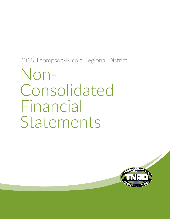# Non-<br>Consolidated Financial Statements

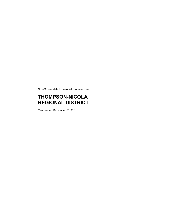Non-Consolidated Financial Statements of

## **THOMPSON-NICOLA REGIONAL DISTRICT**

Year ended December 31, 2018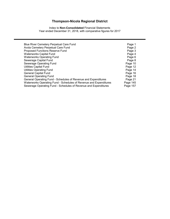Index to **Non-Consolidated** Financial Statements Year ended December 31, 2018, with comparative figures for 2017

| Blue River Cemetery Perpetual Care Fund                           | Page 1   |
|-------------------------------------------------------------------|----------|
| Avola Cemetery Perpetual Care Fund                                | Page 2   |
| Proposed Functions Reserve Fund                                   | Page 3   |
| <b>Waterworks Capital Fund</b>                                    | Page 4   |
| <b>Waterworks Operating Fund</b>                                  | Page 6   |
| Sewerage Capital Fund                                             | Page 8   |
| Sewerage Operating Fund                                           | Page 10  |
| <b>Utilities Capital Fund</b>                                     | Page 12  |
| <b>Utilities Operating Fund</b>                                   | Page 14  |
| <b>General Capital Fund</b>                                       | Page 16  |
| <b>General Operating Fund</b>                                     | Page 18  |
| General Operating Fund - Schedules of Revenue and Expenditures    | Page 21  |
| Waterworks Operating Fund - Schedules of Revenue and Expenditures | Page 145 |
| Sewerage Operating Fund - Schedules of Revenue and Expenditures   | Page 157 |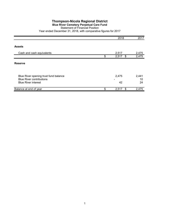#### **Blue River Cemetery Perpetual Care Fund**

#### Statement of Financial Position

|                                                                                                        | 2018              | 2017              |
|--------------------------------------------------------------------------------------------------------|-------------------|-------------------|
|                                                                                                        |                   |                   |
| <b>Assets</b>                                                                                          |                   |                   |
| Cash and cash equivalents                                                                              | 2,517             | 2,475             |
|                                                                                                        | \$<br>2,517<br>\$ | 2,475             |
| <b>Reserve</b>                                                                                         |                   |                   |
| Blue River opening trust fund balance<br><b>Blue River contributions</b><br><b>Blue River interest</b> | 2,475<br>42       | 2,441<br>10<br>24 |
| Balance at end of year                                                                                 | \$<br>\$<br>2,517 | 2,475             |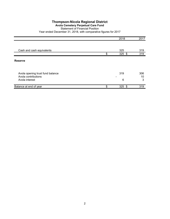## **Avola Cemetery Perpetual Care Fund**

## Statement of Financial Position

|                                                         | 2018            | 2017      |
|---------------------------------------------------------|-----------------|-----------|
|                                                         |                 |           |
| Cash and cash equivalents                               | 325             | 319       |
|                                                         | \$<br>$325$ \$  | 319       |
| <b>Reserve</b>                                          |                 |           |
| Avola opening trust fund balance<br>Avola contributions | 319             | 306<br>10 |
| Avola interest                                          | 6               | 3         |
| Balance at end of year                                  | \$<br>325<br>\$ | 319       |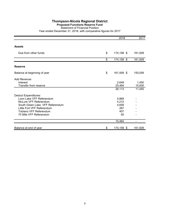## **Proposed Functions Reserve Fund**

Statement of Financial Position

|                                 | 2018             | 2017    |
|---------------------------------|------------------|---------|
| <b>Assets</b>                   |                  |         |
|                                 |                  |         |
| Due from other funds            | \$<br>174,158 \$ | 161,509 |
|                                 | \$<br>174,158 \$ | 161,509 |
| <b>Reserve</b>                  |                  |         |
| Balance at beginning of year    | \$<br>161,509 \$ | 150,059 |
| Add Revenue:                    |                  |         |
| Interest                        | 2,649            | 1,450   |
| Transfer from reserve           | 25,464           | 10,000  |
|                                 | 28,113           | 11,450  |
| <b>Deduct Expenditures:</b>     |                  |         |
| Loon Lake VFF Referendum        | 5,869            |         |
| McLure VFF Referendum           | 4,212            |         |
| South Green Lake VFF Referendum | 4,659            |         |
| Little Fort VFF Referendum      | 267              |         |
| Tobiano VFF Referendum          | 407              |         |
| 70 Mile VFF Referendum          | 50               |         |
|                                 | 15,464           | -       |
| Balance at end of year          | \$<br>174,158 \$ | 161,509 |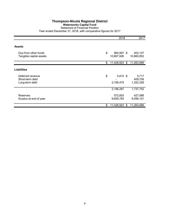#### **Waterworks Capital Fund**

Statement of Financial Position

| Year ended December 31, 2018, with comparative figures for 2017 |  |  |  |
|-----------------------------------------------------------------|--|--|--|
|                                                                 |  |  |  |

|                                           | 2018                 | 2017                 |
|-------------------------------------------|----------------------|----------------------|
|                                           |                      |                      |
| <b>Assets</b>                             |                      |                      |
| Due from other funds                      | \$<br>560,997 \$     | 403,137              |
| Tangible capital assets                   | 10,867,926           | 10,860,852           |
|                                           | \$<br>11,428,923 \$  | 11,263,989           |
| <b>Liabilities</b>                        |                      |                      |
|                                           |                      |                      |
| Deferred revenue<br>Short-term debt       | \$<br>5,812 \$       | 5,717<br>409,709     |
| Long-term debt                            | 2,190,475            | 1,322,326            |
|                                           | 2,196,287            | 1,737,752            |
|                                           |                      |                      |
| <b>Reserves</b><br>Surplus at end of year | 572,853<br>8,659,783 | 427,086<br>9,099,151 |
|                                           |                      |                      |
|                                           | \$<br>11,428,923 \$  | 11,263,989           |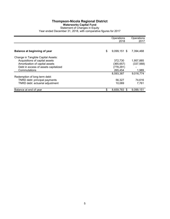## **Thompson-Nicola Regional District Waterworks Capital Fund**

## Statement of Changes in Equity

|                                      | Operations<br>2018   | Operations<br>2017 |
|--------------------------------------|----------------------|--------------------|
|                                      |                      |                    |
| Balance at beginning of year         | \$<br>$9.099.151$ \$ | 7,394,468          |
| Change in Tangible Capital Assets:   |                      |                    |
| Acquisitions of capital assets       | 372,730              | 1,957,885          |
| Amortization of capital assets       | (365,657)            | (337, 568)         |
| Debt in excess of assets capitalized | (778,291)            |                    |
| Commutations                         | 265,454              | 1,989              |
|                                      | 8,593,387            | 9,016,774          |
| Redemption of long term debt:        |                      |                    |
| TNRD debt: principal payments        | 56,327               | 74,616             |
| TNRD debt: actuarial adjustment      | 10.069               | 7.761              |
| Balance at end of year               | \$<br>8,659,783 \$   | 9.099.151          |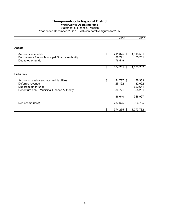## **Waterworks Operating Fund**

Statement of Financial Position Year ended December 31, 2018, with comparative figures for 2017

|                                                                                                                                      | 2018                                 | 2017                                  |
|--------------------------------------------------------------------------------------------------------------------------------------|--------------------------------------|---------------------------------------|
|                                                                                                                                      |                                      |                                       |
| <b>Assets</b>                                                                                                                        |                                      |                                       |
| Accounts receivable<br>Debt reserve funds - Municipal Finance Authority<br>Due to other funds                                        | \$<br>211,025 \$<br>86,721<br>76,519 | 1,018,501<br>55,281                   |
|                                                                                                                                      | \$<br>374,265 \$                     | 1,073,782                             |
| <b>Liabilities</b>                                                                                                                   |                                      |                                       |
| Accounts payable and accrued liabilities<br>Deferred revenue<br>Due from other funds<br>Debenture debt - Municipal Finance Authority | \$<br>24,727 \$<br>25,192<br>86,721  | 38,383<br>32,692<br>622,641<br>55,281 |
|                                                                                                                                      | 136,640                              | 748,997                               |
| Net income (loss)                                                                                                                    | 237,625                              | 324,785                               |
|                                                                                                                                      | \$<br>374,265 \$                     | 1,073,782                             |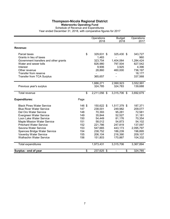#### **Waterworks Operating Fund**

Schedule of Revenue and Expenditures

|                                       |        | Operations   | <b>Budget</b>        | Operations |
|---------------------------------------|--------|--------------|----------------------|------------|
|                                       |        | 2018         | 2018                 | 2017       |
| Revenue:                              |        |              |                      |            |
| Parcel taxes                          | \$     | 329,631 \$   | 325,430 \$           | 343,727    |
| Grants in lieu of taxes               |        | 1,483        |                      | 960        |
| Government transfers and other grants |        | 323,754      | 1,404,064            | 1,284,424  |
| Water and sewer tolls                 |        | 826,980      | 797,504              | 827,542    |
| Interest                              |        | 9,906        | 3,925                | 4,396      |
| Other revenue                         |        | 28,860       | 460,000              | 736,197    |
| Transfer from reserve                 |        |              |                      | 18,177     |
| <b>Transfer from TCA Surplus</b>      |        | 365,657      |                      | 337,568    |
|                                       |        | 1,886,271    | 2,990,923            | 3,552,991  |
| Previous year's surplus               |        | 324,785      | 324,783              | 139,688    |
| <b>Total revenue</b>                  | \$     | 2,211,056 \$ | 3,315,706 \$         | 3,692,679  |
| <b>Expenditures:</b>                  | Page   |              |                      |            |
| <b>Black Pines Water Service</b>      | 146 \$ | 150,622 \$   | 1,517,379 \$         | 187,371    |
| <b>Blue River Water Service</b>       | 147    | 238,001      | 249,982              | 209,077    |
| Del Oro Water Service                 | 148    | 70,393       | 95,281               | 72,581     |
| Evergreen Water Service               | 149    | 35,844       | 52,527               | 31,181     |
| Loon Lake Water Service               | 150    | 54,449       | 81,176               | 70,354     |
| <b>Maple Mission Water Service</b>    | 151    | 58,012       | 54,873               | 54,102     |
| <b>Pritchard Water Service</b>        | 152    | 221,786      | 247,819              | 137,097    |
| Savona Water Service                  | 153    | 547,665      | 443,173              | 2,095,797  |
| Spences Bridge Water Service          | 154    | 238,752      | 186,239              | 196,895    |
| Vavenby Water Service                 | 155    | 206,104      | 216,390              | 209,107    |
| <b>Walhachin Water Service</b>        | 156    | 151,803      | 170,867              | 104,332    |
| Total expenditures                    |        | 1,973,431    | 3,315,706            | 3,367,894  |
| Surplus - end of year                 | \$     | 237,625 \$   | \$<br>$\blacksquare$ | 324,785    |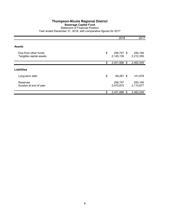## **Sewerage Capital Fund**

Statement of Financial Position Year ended December 31, 2018, with comparative figures for 2017

|                                                 | 2018                          | 2017                 |
|-------------------------------------------------|-------------------------------|----------------------|
|                                                 |                               |                      |
| <b>Assets</b>                                   |                               |                      |
| Due from other funds<br>Tangible capital assets | \$<br>256,747 \$<br>2,145,139 | 250,194<br>2,212,355 |
|                                                 | \$<br>2,401,886<br>\$         | 2,462,549            |
| <b>Liabilities</b>                              |                               |                      |
| Long-term debt                                  | \$<br>69,267 \$               | 101,678              |
| Reserves<br>Surplus at end of year              | 256,747<br>2,075,872          | 250,194<br>2,110,677 |
|                                                 | \$<br>2,401,886<br>S          | 2,462,549            |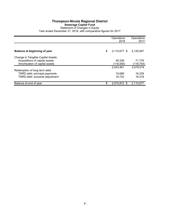#### **Thompson-Nicola Regional District Sewerage Capital Fund** Statement of Changes in Equity Year ended December 31, 2018, with comparative figures for 2017

|                                    | Operations<br>2018 | Operations<br>2017 |
|------------------------------------|--------------------|--------------------|
|                                    |                    |                    |
| Balance at beginning of year       | \$<br>2,110,677 \$ | 2,125,947          |
| Change in Tangible Capital Assets: |                    |                    |
| Acquisitions of capital assets     | 49.339             | 71,776             |
| Amortization of capital assets     | (116,555)          | (119, 704)         |
|                                    | 2,043,461          | 2,078,019          |
| Redemption of long term debt:      |                    |                    |
| TNRD debt: principal payments      | 15,689             | 16,339             |
| TNRD debt: actuarial adjustment    | 16,722             | 16.319             |
| Balance at end of year             | \$<br>2,075,872 \$ | 2,110,677          |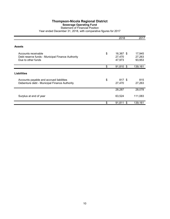## **Sewerage Operating Fund**

#### Statement of Financial Position Year ended December 31, 2018, with comparative figures for 2017

|                                                                                               | 2018                                | 2017                       |
|-----------------------------------------------------------------------------------------------|-------------------------------------|----------------------------|
| <b>Assets</b>                                                                                 |                                     |                            |
| Accounts receivable<br>Debt reserve funds - Municipal Finance Authority<br>Due to other funds | \$<br>16,367 \$<br>27,470<br>47,973 | 17,945<br>27,263<br>93,953 |
|                                                                                               | \$<br>91,810<br>\$                  | 139,161                    |
| <b>Liabilities</b>                                                                            |                                     |                            |
| Accounts payable and accrued liabilities<br>Debenture debt - Municipal Finance Authority      | \$<br>817 \$<br>27,470              | 815<br>27,263              |
|                                                                                               | 28,287                              | 28,078                     |
| Surplus at end of year                                                                        | 63,524                              | 111,083                    |
|                                                                                               | \$<br>91,811<br>\$                  | 139,161                    |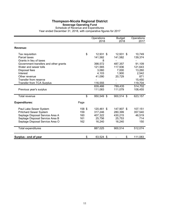#### **Sewerage Operating Fund**

Schedule of Revenue and Expenditures

|                                       |        | Operations | <b>Budget</b> | Operations |
|---------------------------------------|--------|------------|---------------|------------|
|                                       |        | 2018       | 2018          | 2017       |
| Revenue:                              |        |            |               |            |
| Tax requisition                       | \$     | 12,931 \$  | 12,931 \$     | 10,749     |
| Parcel taxes                          |        | 141,582    | 141,582       | 139,374    |
| Grants in lieu of taxes               |        | 8          |               |            |
| Government transfers and other grants |        | 398,572    | 487,357       | 91,109     |
| Water and sewer tolls                 |        | 121,565    | 117,936       | 121,643    |
| Disposal fees                         |        | 3,060      | 7,000         | 13,260     |
| Interest                              |        | 4,103      | 1,900         | 2,542      |
| Other revenue                         |        | 41,090     | 20,729        | 871        |
| Transfer from reserve                 |        |            |               | 15,450     |
| <b>Transfer from TCA Surplus</b>      |        | 116,555    |               | 119,704    |
|                                       |        | 839,466    | 789,435       | 514,702    |
| Previous year's surplus               |        | 111,083    | 111,079       | 108,455    |
| Total revenue                         | \$     | 950,549 \$ | 900,514 \$    | 623,157    |
| <b>Expenditures:</b>                  | Page   |            |               |            |
| Paul Lake Sewer System                | 158 \$ | 120,461 \$ | 147,907 \$    | 107,151    |
| <b>Pritchard Sewer System</b>         | 159    | 317,246    | 280,399       | 357,540    |
| Septage Disposal Service Area A       | 160    | 407,322    | 430,215       | 46,519     |
| Septage Disposal Service Area B       | 161    | 25,756     | 25,753        | 714        |
| Septage Disposal Service Area O       | 162    | 16,240     | 16,240        | 150        |
| <b>Total expenditures</b>             |        | 887,025    | 900,514       | 512,074    |
| Surplus - end of year                 | \$     | 63,524 \$  | \$            | 111,083    |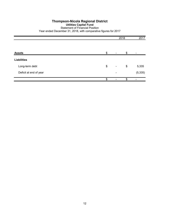## **Thompson-Nicola Regional District Utilities Capital Fund** Statement of Financial Position Year ended December 31, 2018, with comparative figures for 2017

|                        |                                | 2018 | 2017     |
|------------------------|--------------------------------|------|----------|
| <b>Assets</b>          | \$                             | \$   |          |
| <b>Liabilities</b>     |                                |      |          |
| Long-term debt         | \$<br>$\overline{\phantom{a}}$ | \$   | 5,335    |
| Deficit at end of year | -                              |      | (5, 335) |
|                        | \$                             | \$   |          |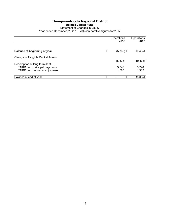## **Thompson-Nicola Regional District Utilities Capital Fund** Statement of Changes in Equity Year ended December 31, 2018, with comparative figures for 2017

|                                     | Operations<br>2018 | Operations<br>2017 |
|-------------------------------------|--------------------|--------------------|
|                                     |                    |                    |
| <b>Balance at beginning of year</b> | \$<br>$(5,335)$ \$ | (10, 465)          |
| Change in Tangible Capital Assets:  |                    |                    |
|                                     | (5, 335)           | (10, 465)          |
| Redemption of long term debt:       |                    |                    |
| TNRD debt: principal payments       | 3,748              | 3,748              |
| TNRD debt: actuarial adjustment     | 1,587              | 1,382              |
| Balance at end of year              | \$<br>\$           | (5, 335)           |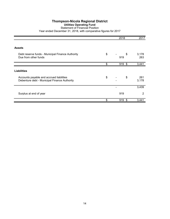## **Utilities Operating Fund**

#### Statement of Financial Position Year ended December 31, 2018, with comparative figures for 2017

|                                                                                          | 2018            | 2017         |
|------------------------------------------------------------------------------------------|-----------------|--------------|
| <b>Assets</b>                                                                            |                 |              |
| Debt reserve funds - Municipal Finance Authority<br>Due from other funds                 | \$<br>\$<br>919 | 3,178<br>263 |
|                                                                                          | \$<br>919 \$    | 3,441        |
| <b>Liabilities</b>                                                                       |                 |              |
| Accounts payable and accrued liabilities<br>Debenture debt - Municipal Finance Authority | \$<br>\$        | 261<br>3,178 |
|                                                                                          |                 | 3,439        |
| Surplus at end of year                                                                   | 919             | 2            |
|                                                                                          | \$<br>919<br>\$ | 3,441        |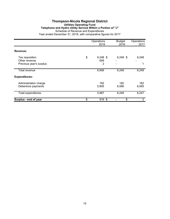#### **Thompson-Nicola Regional District Utilities Operating Fund Telephone and Hydro Utility Service Within a Portion of "J"** Schedule of Revenue and Expenditures Year ended December 31, 2018, with comparative figures for 2017

|                                                             | Operations<br>2018           | <b>Budget</b><br>2018 | Operations<br>2017 |
|-------------------------------------------------------------|------------------------------|-----------------------|--------------------|
| Revenue:                                                    |                              |                       |                    |
| Tax requisition<br>Other revenue<br>Previous year's surplus | \$<br>$6,248$ \$<br>656<br>2 | $6,248$ \$            | 6,248              |
| Total revenue                                               | 6,906                        | 6,248                 | 6,249              |
| <b>Expenditures:</b>                                        |                              |                       |                    |
| Administration charge<br>Debenture payments                 | 182<br>5,805                 | 182<br>6,066          | 182<br>6,065       |
| <b>Total expenditures</b>                                   | 5,987                        | 6,248                 | 6,247              |
| Surplus - end of year                                       | \$<br>919 \$                 | \$                    | $\overline{2}$     |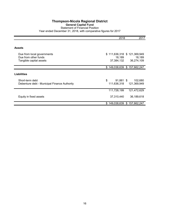## **Thompson-Nicola Regional District General Capital Fund** Statement of Financial Position Year ended December 31, 2018, with comparative figures for 2017

|                                                                               | 2018                                                | 2017                   |
|-------------------------------------------------------------------------------|-----------------------------------------------------|------------------------|
| Assets                                                                        |                                                     |                        |
| Due from local governments<br>Due from other funds<br>Tangible capital assets | \$111,636,318 \$121,369,949<br>18,189<br>37,384,132 | 18,189<br>36,274,109   |
|                                                                               | \$149,038,639                                       | \$157,662,247          |
| Liabilities                                                                   |                                                     |                        |
| Short-term debt<br>Debenture debt - Municipal Finance Authority               | \$<br>$91,881$ \$<br>111,636,318                    | 102,680<br>121,369,949 |
|                                                                               | 111,728,199                                         | 121,472,629            |
| Equity in fixed assets                                                        | 37,310,440                                          | 36,189,618             |
|                                                                               | \$149,038,639 \$157,662,247                         |                        |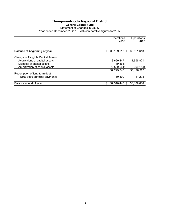## **Thompson-Nicola Regional District General Capital Fund** Statement of Changes in Equity Year ended December 31, 2018, with comparative figures for 2017

|                                                                      | Operations<br>2018             | Operations<br>2017 |
|----------------------------------------------------------------------|--------------------------------|--------------------|
| Balance at beginning of year                                         | \$<br>36,189,618 \$ 36,821,613 |                    |
| Change in Tangible Capital Assets:<br>Acquisitions of capital assets | 3,699,447                      | 1,956,821          |
| Disposal of capital assets<br>Amortization of capital assets         | (49, 864)<br>(2,539,561)       | (2,600,114)        |
| Redemption of long term debt:                                        | 37.299.640                     | 36,178,320         |
| TNRD debt: principal payments                                        | 10,800                         | 11,298             |
| Balance at end of year                                               | \$<br>37,310,440 \$            | 36,189,618         |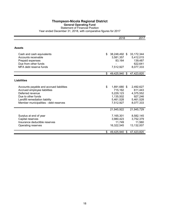## **General Operating Fund**

Statement of Financial Position Year ended December 31, 2018, with comparative figures for 2017

|                                                                                                                                                                                               | 2018                                                                              | 2017                                                                   |
|-----------------------------------------------------------------------------------------------------------------------------------------------------------------------------------------------|-----------------------------------------------------------------------------------|------------------------------------------------------------------------|
|                                                                                                                                                                                               |                                                                                   |                                                                        |
| <b>Assets</b>                                                                                                                                                                                 |                                                                                   |                                                                        |
| Cash and cash equivalents<br>Accounts receivable<br>Prepaid expenses<br>Due from other funds<br>MFA debt reserve funds                                                                        | \$<br>38,248,492 \$<br>3,581,357<br>83,164<br>7,512,927                           | 33, 172, 344<br>5,412,015<br>139,487<br>622,641<br>8,077,333           |
|                                                                                                                                                                                               | \$<br>49,425,940 \$                                                               | 47,423,820                                                             |
| <b>Liabilities</b>                                                                                                                                                                            |                                                                                   |                                                                        |
| Accounts payable and accrued liabilities<br>Accrued employee liabilities<br>Deferred revenue<br>Due to other funds<br>Landfill remediation liability<br>Member municipalities - debt reserves | \$<br>1,891,680 \$<br>715,162<br>5,229,123<br>1,135,502<br>5,461,528<br>7,512,927 | 2,492,627<br>611,443<br>4,375,552<br>927,246<br>5,461,528<br>8,077,333 |
|                                                                                                                                                                                               | 21,945,922                                                                        | 21,945,729                                                             |
| Surplus at end of year<br>Capital reserves<br>Insurance deductible reserves<br>Operating reserves                                                                                             | 7,165,301<br>3,980,423<br>11,749<br>16,322,545                                    | 8,582,145<br>3,752,379<br>11,560<br>13,132,007                         |
|                                                                                                                                                                                               | \$<br>49,425,940<br>\$                                                            | 47,423,820                                                             |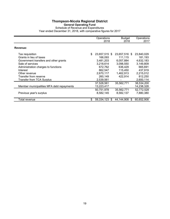#### **General Operating Fund**

Schedule of Revenue and Expenditures

|                                           |    | Operations<br>2018 | <b>Budget</b><br>2018 | Operations<br>2017 |
|-------------------------------------------|----|--------------------|-----------------------|--------------------|
|                                           |    |                    |                       |                    |
| Revenue:                                  |    |                    |                       |                    |
| Tax requisition                           | \$ | 23,657,515 \$      | 23,657,516 \$         | 23,840,029         |
| Grants in lieu of taxes                   |    | 166.093            | 111,115               | 181,193            |
| Government transfers and other grants     |    | 3,481,203          | 6,057,884             | 4,632,183          |
| Sale of services                          |    | 3,218,614          | 3,098,550             | 3,149,809          |
| Administration charges to functions       |    | 672,762            | 636,429               | 665,691            |
| Interest                                  |    | 862.547            | 115,450               | 437,919            |
| Other revenue                             |    | 2,670,117          | 1,462,913             | 2,215,012          |
| Transfer from reserve                     |    | 260,149            | 422,914               | 812,250            |
| <b>Transfer from TCA Surplus</b>          |    | 2,539,561          |                       | 2,600,114          |
|                                           |    | 37,528,561         | 35,562,771            | 38,534,200         |
| Member municipalities MFA debt repayments |    | 13,223,417         |                       | 14,238,328         |
|                                           |    | 50,751,978         | 35,562,771            | 52,772,528         |
| Previous year's surplus                   |    | 8,582,145          | 8,582,137             | 7,880,380          |
|                                           |    |                    |                       |                    |
| Total revenue                             | S  | 59.334.123<br>-S   | 44.144.908<br>S       | 60.652.908         |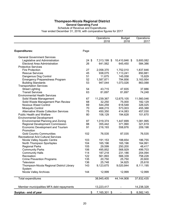**General Operating Fund**

Schedule of Revenue and Expenditures Year ended December 31, 2018, with comparative figures for 2017

|                                              |                 | Operations   | <b>Budget</b> | Operations |
|----------------------------------------------|-----------------|--------------|---------------|------------|
|                                              |                 | 2018         | 2018          | 2017       |
|                                              |                 |              |               |            |
| <b>Expenditures:</b>                         | Page            |              |               |            |
| <b>General Government Services</b>           |                 |              |               |            |
| Legislative and Administration               | $24 \text{ } $$ | 7,313,199 \$ | 10,410,846 \$ | 5,600,082  |
| Electoral Area Administration                | 26              | 641,562      | 645,450       | 584,386    |
| <b>Protective Services</b>                   |                 |              |               |            |
| <b>Fire Protection</b>                       | 27              | 2,058,370    | 1,752,010     | 1,837,846  |
| <b>Rescue Services</b>                       | 45              | 938,075      | 1,113,241     | 850,881    |
| Dangerous Dog Control                        | 51              | 11,675       | 145,058       | 15,829     |
| <b>Emergency Preparedness Program</b>        | 52              | 1,587,871    | 794,856       | 3,163,954  |
| <b>Building Standards</b>                    | 53              | 947,044      | 1,073,026     | 863,088    |
| <b>Transportation Services</b>               |                 |              |               |            |
| <b>Street Lighting</b>                       | 54              | 43,715       | 47,835        | 37,886     |
| <b>Transit Services</b>                      | 63              | 81,697       | 81,697        | 74,248     |
| <b>Environmental Health Services</b>         |                 |              |               |            |
| Solid Waste Management                       | 67              | 11,239,367   | 12,675,105    | 11,560,046 |
| Solid Waste Management Plan Review           | 68              | 32,250       | 75,000        | 182,129    |
| <b>Noxious Weed Control</b>                  | 69              | 544,259      | 618,548       | 326,025    |
| Mosquito Control                             | 70              | 468,215      | 573,003       | 455,388    |
| <b>Alternative Waste Collection Services</b> | 75              | 450,350      | 414,083       | 457,030    |
| <b>Public Health and Welfare</b>             | 80              | 106,129      | 194,628       | 101,670    |
| <b>Environmental Development</b>             |                 |              |               |            |
| Environmental Planning and Zoning            | 87              | 1,019,374    | 1,447,699     | 1,081,995  |
| Regional Development Commission              | 88              | 355,442      | 371,990       | 321,619    |
| <b>Economic Development and Tourism</b>      | 91              | 216,193      | 558,876       | 209,198    |
| Promotion                                    |                 |              |               |            |
| <b>Gold Country Communities</b>              | 102             | 76,535       | 87,035        | 76,535     |
| <b>Recreational And Cultural Services</b>    |                 |              |               |            |
| Nicola Valley Aquatic Centre                 | 103             | 191,153      | 188,654       | 186,755    |
| North Thompson Sportsplex                    | 104             | 165,196      | 165,196       | 164,991    |
| <b>Regional Parks</b>                        | 105             | 29,599       | 250,200       | 48,417     |
| <b>Community Parks</b>                       | 106             | 495,852      | 568,929       | 499,703    |
| <b>Community Halls</b>                       | 114             | 187,218      | 231,186       | 204,094    |
| Recreation                                   | 122             | 561,893      | 566,339       | 758,228    |
| <b>Crime Prevention Programs</b>             | 135             | 20,750       | 25,750        | 20,600     |
| <b>Television</b>                            | 136             | 25,748       | 34,825        | 25,618     |
| Thompson-Nicola Regional District Library    | 143             | 9,123,675    | 9,020,844     | 8,111,195  |
| System                                       |                 |              |               |            |
| Nicola Valley Archives                       | 144             | 12,999       | 12,999        | 12,999     |
| Total expenditures                           |                 | 38,945,405   | 44,144,908    | 37,832,435 |
| Member municipalities MFA debt repayments    |                 | 13,223,417   |               | 14,238,328 |
| Surplus - end of year                        | \$              | 7,165,301 \$ | \$            | 8,582,145  |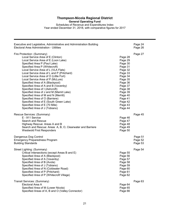**General Operating Fund**

Schedules of Revenue and Expenditures Index Year ended December 31, 2018, with comparative figures for 2017

| Executive and Legislative, Administrative and Administration Building<br>Electoral Area Administration - Utilities                                                                                                                                                                                                                                                                                                                                                                                                                                                                                                                                                                  |                                                                                                                                                                                         | Page 24<br>Page 26            |
|-------------------------------------------------------------------------------------------------------------------------------------------------------------------------------------------------------------------------------------------------------------------------------------------------------------------------------------------------------------------------------------------------------------------------------------------------------------------------------------------------------------------------------------------------------------------------------------------------------------------------------------------------------------------------------------|-----------------------------------------------------------------------------------------------------------------------------------------------------------------------------------------|-------------------------------|
| Fire Protection: (Summary)<br>Local Service Area of E (Clinton)<br>Local Service Area of E (Loon Lake)<br>Specified Area P (Paul Lake)<br>Specified Area P (Whitecroft)<br>Local Service Area of L (VLA Flats)<br>Local Service Area of L and P (Pritchard)<br>Local Service Area of O (Little Fort)<br>Local Service Area of P (McLure)<br>Specified Area of A (Blackpool)<br>Specified Area of A and B (Vavenby)<br>Specified Area of I (Ashcroft)<br>Specified Area of J and M (Mamit Lake)<br>Specified Area of M and N (Merritt)<br>Specified Area of O (Barriere)<br>Specified Area of E (South Green Lake)<br>Specified Area of E (70 Mile)<br>Specified Area of J (Tobiano) | Page 28<br>Page 29<br>Page 30<br>Page 31<br>Page 32<br>Page 33<br>Page 34<br>Page 35<br>Page 36<br>Page 37<br>Page 38<br>Page 39<br>Page 40<br>Page 41<br>Page 42<br>Page 43<br>Page 44 | Page 27                       |
| Rescue Services: (Summary)<br>E - 911 Service<br>Search and Rescue<br>Highway Rescue: Areas A and B<br>Search and Rescue: Areas A, B, O, Clearwater and Barriere<br><b>Westwold First Responders</b>                                                                                                                                                                                                                                                                                                                                                                                                                                                                                | Page 46<br>Page 47<br>Page 48<br>Page 49<br>Page 50                                                                                                                                     | Page 45                       |
| Dangerous Dog Control<br><b>Emergency Preparedness Program</b><br><b>Building Standards</b>                                                                                                                                                                                                                                                                                                                                                                                                                                                                                                                                                                                         |                                                                                                                                                                                         | Page 51<br>Page 52<br>Page 53 |
| Street Lighting: (Summary)<br>Critical Intersections (except Areas B and E)<br>Specified Area of A (Blackpool)<br>Specified Area of A (Vavenby)<br>Specified Area of B (Avola)<br>Specified Area of J (Tobiano)<br>Specified Area of N (Coldwater Road)<br>Specified Area of P (Pritchard)<br>Specified Area of P (Whitecroft Village)                                                                                                                                                                                                                                                                                                                                              | Page 55<br>Page 56<br>Page 57<br>Page 58<br>Page 59<br>Page 60<br>Page 61<br>Page 62                                                                                                    | Page 54                       |
| Transit Services: (Summary)<br>Electoral Area A<br>Specified Area of M (Lower Nicola)<br>Specified Areas of A, B and O (Valley Connector)                                                                                                                                                                                                                                                                                                                                                                                                                                                                                                                                           | Page 64<br>Page 65<br>Page 66                                                                                                                                                           | Page 63                       |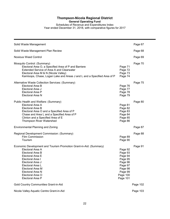**General Operating Fund**

Schedules of Revenue and Expenditures Index Year ended December 31, 2018, with comparative figures for 2017

| Solid Waste Management                                                                                                                                                                                                                                                     |                                                                                                              | Page 67  |
|----------------------------------------------------------------------------------------------------------------------------------------------------------------------------------------------------------------------------------------------------------------------------|--------------------------------------------------------------------------------------------------------------|----------|
| Solid Waste Management Plan Review                                                                                                                                                                                                                                         |                                                                                                              | Page 68  |
| <b>Noxious Weed Control</b>                                                                                                                                                                                                                                                |                                                                                                              | Page 69  |
| Mosquito Control: (Summary)<br>Electoral Area O, a Specified Area of P and Barriere<br>Extended Service of Area A and Clearwater<br>Electoral Area M & N (Nicola Valley)<br>Kamloops, Chase, Logan Lake and Areas J and L and a Specified Area of P                        | Page 71<br>Page 72<br>Page 73<br>Page 74                                                                     | Page 70  |
| Alternative Waste Collection Services: (Summary)<br>Electoral Area B<br>Electoral Area J<br>Electoral Area P<br>Electoral Area N                                                                                                                                           | Page 76<br>Page 77<br>Page 78<br>Page 79                                                                     | Page 75  |
| Public Health and Welfare: (Summary)<br>Electoral Area A<br>Electoral Area B<br>Electoral Area O and a Specified Area of P<br>Chase and Area L and a Specified Area of P<br>Clinton and a Specified Area of E<br>Thompson River Watershed                                  | Page 81<br>Page 82<br>Page 83<br>Page 84<br>Page 85<br>Page 86                                               | Page 80  |
| Environmental Planning and Zoning                                                                                                                                                                                                                                          |                                                                                                              | Page 87  |
| Regional Development Commission: (Summary)<br><b>Film Commission</b><br>Tourism                                                                                                                                                                                            | Page 89<br>Page 90                                                                                           | Page 88  |
| Economic Development and Tourism Promotion Grant-in-Aid: (Summary)<br>Electoral Area A<br>Electoral Area B<br>Electoral Area E<br>Electoral Area I<br>Electoral Area J<br>Electoral Area L<br>Electoral Area M<br>Electoral Area N<br>Electoral Area O<br>Electoral Area P | Page 92<br>Page 93<br>Page 94<br>Page 95<br>Page 96<br>Page 97<br>Page 98<br>Page 99<br>Page 100<br>Page 101 | Page 91  |
| Gold Country Communities Grant-in-Aid                                                                                                                                                                                                                                      |                                                                                                              | Page 102 |
| Nicola Valley Aquatic Centre Grant-in-Aid                                                                                                                                                                                                                                  |                                                                                                              | Page 103 |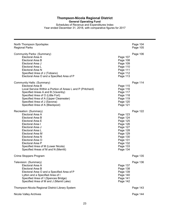**General Operating Fund**

Schedules of Revenue and Expenditures Index Year ended December 31, 2018, with comparative figures for 2017

| North Thompson Sportsplex                                   | Page 104 |
|-------------------------------------------------------------|----------|
| <b>Regional Parks</b>                                       | Page 105 |
| Community Parks: (Summary)                                  | Page 106 |
| Electoral Area A                                            | Page 107 |
| Electoral Area B                                            | Page 108 |
| Electoral Area J                                            | Page 109 |
| Electoral Area L                                            | Page 110 |
| Electoral Area N                                            | Page 111 |
| Specified Area of J (Tobiano)                               | Page 112 |
| Electoral Area O and a Specified Area of P                  | Page 113 |
| Community Halls: (Summary)                                  | Page 114 |
| Electoral Area B                                            | Page 115 |
| Local Service Within a Portion of Areas L and P (Pritchard) | Page 116 |
| Specified Areas A and B (Vavenby)                           | Page 117 |
| Specified Area of O (Little Fort)                           | Page 118 |
| Specified Area of A (Upper Clearwater)                      | Page 119 |
| Specified Area of J (Savona)                                | Page 120 |
| Specified Area of A (Blackpool)                             | Page 121 |
| Recreation: (Summary)                                       | Page 122 |
| Electoral Area A                                            | Page 123 |
| Electoral Area B                                            | Page 124 |
| Electoral Area E                                            | Page 125 |
| Electoral Area I                                            | Page 126 |
| Electoral Area J                                            | Page 127 |
| Electoral Area L                                            | Page 128 |
| Electoral Area M                                            | Page 129 |
| Electoral Area N                                            | Page 130 |
| Electoral Area O                                            | Page 131 |
| Electoral Area P                                            | Page 132 |
| Specified Area of M (Lower Nicola)                          | Page 133 |
| Specified Areas of M and N (Merritt)                        | Page 134 |
| Crime Stoppers Program                                      | Page 135 |
| Television: (Summary)                                       | Page 136 |
| Electoral Area A                                            | Page 137 |
| Electoral Area B                                            | Page 138 |
| Electoral Area O and a Specified Area of P                  | Page 139 |
| Lytton and a Specified Area of I                            | Page 140 |
| Specified Area of I (Spences Bridge)                        | Page 141 |
| Specified Area of M and J (Mamit Lake)                      | Page 142 |
| Thompson-Nicola Regional District Library System            | Page 143 |
| Nicola Valley Archives                                      | Page 144 |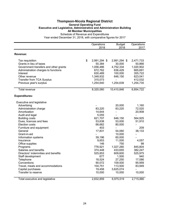#### **Thompson-Nicola Regional District General Operating Fund Executive and Legislative, Administrative and Administration Building All Member Municipalities** Schedule of Revenue and Expenditures

|                                                   | Operations<br>2018           | <b>Budget</b><br>2018     | Operations<br>2017  |
|---------------------------------------------------|------------------------------|---------------------------|---------------------|
|                                                   |                              |                           |                     |
| Revenue:                                          |                              |                           |                     |
| Tax requisition<br>Grants in lieu of taxes        | \$<br>2,991,294 \$<br>50,384 | 2,991,294 \$<br>30,000    | 2,471,733<br>50,866 |
| Government transfers and other grants             | 1,056,486                    | 4,752,334                 | 1,020,902           |
| Administration charges to functions               | 672,762                      | 636,429                   | 665,691             |
| Interest                                          | 630,489                      | 100,000                   | 355,722             |
| Other revenue<br><b>Transfer from TCA Surplus</b> | 1,348,932<br>315,073         | 646,150<br>$\blacksquare$ | 623,041<br>412,032  |
| Previous year's surplus                           | 1,254,640                    | 1,254,639                 | 1,254,735           |
|                                                   |                              |                           |                     |
| <b>Total revenue</b>                              | 8,320,060                    | 10,410,846                | 6,854,722           |
| <b>Expenditures:</b>                              |                              |                           |                     |
| Executive and legislative                         |                              |                           |                     |
| Advertising                                       |                              | 20,000                    | 1,160               |
| Administration charge                             | 83,220                       | 83,220                    | 72,520              |
| Amortization                                      | 14,644                       | $\overline{\phantom{a}}$  | 20,908              |
| Audit and legal                                   | 5,055                        | $\overline{\phantom{a}}$  |                     |
| <b>Building costs</b>                             | 621,707                      | 646,150                   | 564,925             |
| Dues, licences and fees                           | 53,638                       | 53,000                    | 51,910              |
| <b>Election costs</b>                             | 66,662                       | 80,000                    | $\blacksquare$      |
| Furniture and equipment                           | 403                          | $\overline{\phantom{a}}$  | 209                 |
| General                                           | 17,831                       | 54,060                    | 38,133              |
| Grant-in-aid                                      |                              | 10,000                    |                     |
| Information systems                               | 39,196                       | 60,000                    |                     |
| Insurance                                         | 9,653                        | 11,000                    | 4,057               |
| Office supplies                                   | 146                          | 750                       | 98                  |
| Programs                                          | 776,921                      | 1,027,260                 | 845,804             |
| Salaries and benefits                             | 374,448                      | 433,655                   | 382,247             |
| Directors' indemnities and benefits               | 525,853                      | 609,600                   | 525,975             |
| Staff development                                 | 677                          | 1,500                     | 940                 |
| Telephone                                         | 18,524                       | 27,250                    | 17,086              |
| Conventions                                       | 90,072                       | 109,500                   | 95,959              |
| Travel, meals and accommodations                  | 104,751                      | 113,500                   | 83,949              |
| Capital purchases                                 | 19,458                       | 3,625,074                 |                     |
| Transfer to reserve                               | 10,000                       | 10,000                    | 10,000              |
| Total executive and legislative                   | 2,832,859                    | 6,975,519                 | 2,715,880           |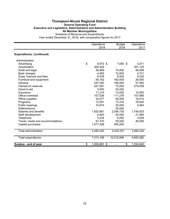#### **Thompson-Nicola Regional District General Operating Fund Executive and Legislative, Administrative and Administration Building All Member Municipalities** Schedule of Revenue and Expenditures

|                                  | Operations<br>2018 | <b>Budget</b><br>2018          | Operations<br>2017 |
|----------------------------------|--------------------|--------------------------------|--------------------|
| <b>Expenditures: (continued)</b> |                    |                                |                    |
| Administration                   |                    |                                |                    |
| Advertising                      | \$<br>8,970 \$     | 7,000 \$                       | 3,071              |
| Amortization                     | 300,429            |                                | 391,125            |
| Audit and legal                  | 36,869             | 75,000                         | 56,098             |
| Bank charges                     | 4,855              | 10,000                         | 4,731              |
| Dues, licences and fees          | 8,439              | 9,500                          | 9,332              |
| Furniture and equipment          | 84,162             | 160,000                        | 39,550             |
| General                          | 247,540            | 180,000                        | 57,982             |
| Interest on reserves             | 527,581            | 70,000                         | 279,458            |
| Grant-in-aid                     | 5,000              | 20,000                         |                    |
| Insurance                        | 11,214             | 13,000                         | 10,483             |
| Office overhead                  | 107,026            | 111,276                        | 107,866            |
| Office supplies                  | 32,077             | 46,000                         | 18,012             |
| Programs                         | 12,591             | 73,316                         | 78,045             |
| Public hearings                  | 15,974             | 20,000                         | 5,064              |
| Referendums                      |                    | 25,000                         |                    |
| Salaries and benefits            | 1,920,881          | 2,056,735                      | 1,748,933          |
| Staff development                | 6,820              | 40,000                         | 21,684             |
| Telephone                        | 5,234              | 9,000                          | 4,509              |
| Travel, meals and accommodations | 67,370             | 59,500                         | 48,259             |
| Capital purchases                | 1,077,308          | 450,000                        |                    |
| Total administration             | 4,480,340          | 3,435,327                      | 2,884,202          |
| <b>Total expenditures</b>        | 7,313,199          | 10,410,846                     | 5,600,082          |
| Surplus - end of year            | \$<br>1,006,861 \$ | \$<br>$\overline{\phantom{0}}$ | 1,254,640          |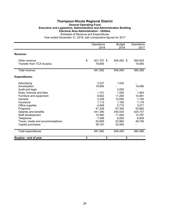## **Thompson-Nicola Regional District General Operating Fund Executive and Legislative, Administrative and Administration Building Electoral Area Administration - Utilities** Schedule of Revenue and Expenditures

|                                                   | Operations<br>2018         | <b>Budget</b><br>2018 | Operations<br>2017 |
|---------------------------------------------------|----------------------------|-----------------------|--------------------|
| Revenue:                                          |                            |                       |                    |
| Other revenue<br><b>Transfer from TCA Surplus</b> | \$<br>621,707 \$<br>19,855 | 645,450 \$            | 564,925<br>19,460  |
| <b>Total revenue</b>                              | 641,562                    | 645,450               | 584,385            |
| <b>Expenditures:</b>                              |                            |                       |                    |
| Advertising                                       | 3,237                      | 1,530                 |                    |
| Amortization                                      | 19,855                     |                       | 19,460             |
| Audit and legal                                   |                            | 3,050                 |                    |
| Dues, licences and fees                           | 1,151                      | 1,500                 | 1,463              |
| Furniture and equipment                           | 9,822                      | 11,200                | 10,481             |
| General                                           | 3,229                      | 10,000                | 1,100              |
| Insurance                                         | 1,112                      | 1,160                 | 1,119              |
| Office supplies                                   | 4,948                      | 3,715                 | 3,271              |
| Programs                                          | 47,329                     | 67,300                | 53,882             |
| Salaries and benefits                             | 441,390                    | 440,533               | 424,157            |
| Staff development                                 | 10,950                     | 11,000                | 12,797             |
| Telephone                                         | 7,499                      | 8,000                 | 6,909              |
| Travel, meals and accommodations                  | 52,859                     | 53,962                | 49,746             |
| Capital purchases                                 | 38,181                     | 32,500                |                    |
| <b>Total expenditures</b>                         | 641,562                    | 645,450               | 584,385            |
| Surplus - end of year                             | \$<br>\$                   | \$                    |                    |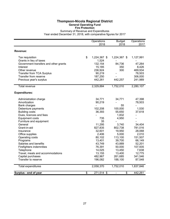## **Thompson-Nicola Regional District General Operating Fund Fire Protection**

Summary of Revenue and Expenditures Year ended December 31, 2018, with comparative figures for 2017

|                                       | Operations<br>2018 |              | <b>Budget</b><br>2018          | Operations<br>2017 |  |
|---------------------------------------|--------------------|--------------|--------------------------------|--------------------|--|
| Revenue:                              |                    |              |                                |                    |  |
| Tax requisition                       | \$                 | 1,224,367 \$ | 1,224,367 \$                   | 1,127,991          |  |
| Grants in lieu of taxes               |                    | 1,524        |                                |                    |  |
| Government transfers and other grants |                    | 132,154      | 84,736                         | 47,264             |  |
| Interest                              |                    | 15,185       | 350                            | 8,426              |  |
| Other revenue                         |                    | 236,924      | 300                            | 469,934            |  |
| <b>Transfer from TCA Surplus</b>      |                    | 90,219       |                                | 78,503             |  |
| Transfer from reserve                 |                    | 187,250      |                                | 306,000            |  |
| Previous year's surplus               |                    | 442,261      | 442,257                        | 241,989            |  |
| <b>Total revenue</b>                  |                    | 2,329,884    | 1,752,010                      | 2,280,107          |  |
| <b>Expenditures:</b>                  |                    |              |                                |                    |  |
| Administration charge                 |                    | 34,771       | 34,771                         | 47,398             |  |
| Amortization                          |                    | 90,219       |                                | 78,503             |  |
| <b>Bank charges</b>                   |                    |              | 55                             |                    |  |
| Debenture payments                    |                    | 102,208      | 100,000                        | 1,530              |  |
| <b>Building costs</b>                 |                    | 36,393       | 55,650                         | 37,618             |  |
| Dues, licences and fees               |                    |              | 1,832                          |                    |  |
| <b>Equipment costs</b>                |                    | 735          | 4,950                          |                    |  |
| Furniture and equipment               |                    | 35           |                                |                    |  |
| General                               |                    | 11,295       | 3,740                          | 34,404             |  |
| Grant-in-aid                          |                    | 827,835      | 802,738                        | 781,016            |  |
| Insurance                             |                    | 32,601       | 19,950                         | 28,068             |  |
| Office supplies                       |                    | 2,406        | 5,000                          | 2,010              |  |
| Operating costs                       |                    | 80,102       | 113,100                        | 151,507            |  |
| Programs                              |                    | 13,401       | 39,700                         | 66,149             |  |
| Salaries and benefits                 |                    | 43,749       | 43,889                         | 52,201             |  |
| Firefighters indemnities              |                    | 76,391       | 50,000                         | 107,935            |  |
| Telephone                             |                    | 14,025       | 13,450                         | 7,638              |  |
| Travel, meals and accommodations      |                    | 13,155       | 13,400                         | 12,775             |  |
| Capital purchases                     |                    | 482,967      | 261,685                        | 341,546            |  |
| Transfer to reserve                   |                    | 196,082      | 188,100                        | 87,548             |  |
| Total expenditures                    |                    | 2,058,370    | 1,752,010                      | 1,837,846          |  |
| Surplus - end of year                 | \$                 | 271,514 \$   | \$<br>$\overline{\phantom{a}}$ | 442,261            |  |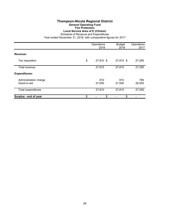## **Thompson-Nicola Regional District General Operating Fund Fire Protection Local Service Area of E (Clinton)**

Schedule of Revenue and Expenditures

|                                       | Operations<br>2018 | <b>Budget</b><br>2018 | Operations<br>2017 |  |
|---------------------------------------|--------------------|-----------------------|--------------------|--|
| Revenue:                              |                    |                       |                    |  |
| Tax requisition                       | \$<br>27,810 \$    | 27,810 \$             | 27,295             |  |
| Total revenue                         | 27,810             | 27,810                | 27,295             |  |
| <b>Expenditures:</b>                  |                    |                       |                    |  |
| Administration charge<br>Grant-in-aid | 810<br>27,000      | 810<br>27,000         | 795<br>26,500      |  |
| Total expenditures                    | 27,810             | 27,810                | 27,295             |  |
| Surplus - end of year                 | \$<br>\$           | \$                    |                    |  |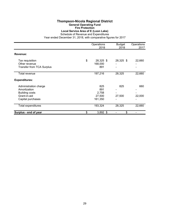## **Thompson-Nicola Regional District General Operating Fund Fire Protection Local Service Area of E (Loon Lake)**

Schedule of Revenue and Expenditures

|                                  | Operations<br>2018 | <b>Budget</b><br>2018 | Operations<br>2017 |
|----------------------------------|--------------------|-----------------------|--------------------|
|                                  |                    |                       |                    |
| Revenue:                         |                    |                       |                    |
| Tax requisition                  | \$<br>28,325 \$    | 28,325 \$             | 22,660             |
| Other revenue                    | 168,000            |                       |                    |
| <b>Transfer from TCA Surplus</b> | 891                |                       |                    |
| Total revenue                    | 197,216            | 28,325                | 22,660             |
| <b>Expenditures:</b>             |                    |                       |                    |
| Administration charge            | 825                | 825                   | 660                |
| Amortization                     | 891                |                       |                    |
| <b>Building costs</b>            | 2,758              |                       |                    |
| Grant-in-aid                     | 27,500             | 27,500                | 22,000             |
| Capital purchases                | 161,350            |                       |                    |
| Total expenditures               | 193,324            | 28,325                | 22,660             |
| Surplus - end of year            | \$<br>3,892 \$     | \$                    |                    |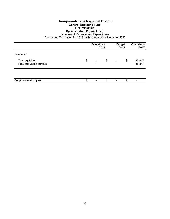## **Thompson-Nicola Regional District General Operating Fund Fire Protection**

## **Specified Area P (Paul Lake)**

Schedule of Revenue and Expenditures

|                                            | Operations<br>2018 |                          | <b>Budget</b><br>2018 |                          | Operations<br>2017 |                  |
|--------------------------------------------|--------------------|--------------------------|-----------------------|--------------------------|--------------------|------------------|
| Revenue:                                   |                    |                          |                       |                          |                    |                  |
| Tax requisition<br>Previous year's surplus | \$                 | $\overline{\phantom{a}}$ | \$                    | $\overline{\phantom{a}}$ | \$                 | 35,847<br>35,847 |
|                                            |                    |                          |                       |                          |                    |                  |
| Surplus - end of year                      |                    |                          | \$                    |                          | \$                 |                  |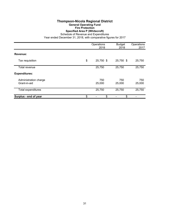#### **Thompson-Nicola Regional District General Operating Fund Fire Protection Specified Area P (Whitecroft)**

Schedule of Revenue and Expenditures

|                                       | Operations<br>2018 | <b>Budget</b><br>2018 | Operations<br>2017 |
|---------------------------------------|--------------------|-----------------------|--------------------|
| Revenue:                              |                    |                       |                    |
| Tax requisition                       | \$<br>25,750 \$    | 25,750 \$             | 25,750             |
| Total revenue                         | 25,750             | 25,750                | 25,750             |
| <b>Expenditures:</b>                  |                    |                       |                    |
| Administration charge<br>Grant-in-aid | 750<br>25,000      | 750<br>25,000         | 750<br>25,000      |
| <b>Total expenditures</b>             | 25,750             | 25,750                | 25,750             |
| Surplus - end of year                 | \$<br>\$           | \$                    |                    |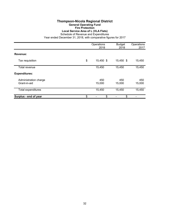## **Thompson-Nicola Regional District General Operating Fund Fire Protection Local Service Area of L (VLA Flats)**

Schedule of Revenue and Expenditures

|                                       | Operations<br>2018 | <b>Budget</b><br>2018 | Operations<br>2017 |  |
|---------------------------------------|--------------------|-----------------------|--------------------|--|
| Revenue:                              |                    |                       |                    |  |
| Tax requisition                       | \$<br>15,450 \$    | 15,450 \$             | 15,450             |  |
| Total revenue                         | 15,450             | 15,450                | 15,450             |  |
| <b>Expenditures:</b>                  |                    |                       |                    |  |
| Administration charge<br>Grant-in-aid | 450<br>15,000      | 450<br>15,000         | 450<br>15,000      |  |
| Total expenditures                    | 15,450             | 15,450                | 15,450             |  |
| Surplus - end of year                 | \$<br>\$           | \$                    |                    |  |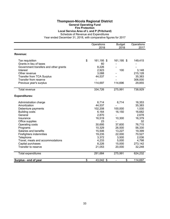#### **Thompson-Nicola Regional District General Operating Fund Fire Protection**

**Local Service Area of L and P (Pritchard)**

Schedule of Revenue and Expenditures

|                                       | Operations       | <b>Budget</b> | Operations |
|---------------------------------------|------------------|---------------|------------|
|                                       | 2018             | 2018          | 2017       |
| Revenue:                              |                  |               |            |
| Tax requisition                       | \$<br>161,195 \$ | 161,195 \$    | 149,415    |
| Grants in lieu of taxes               | 60               |               |            |
| Government transfers and other grants | 8,226            |               |            |
| Interest                              | 2,923            | 100           | 3,148      |
| Other revenue                         | 3,088            |               | 215,128    |
| <b>Transfer from TCA Surplus</b>      | 44,537           |               | 35,383     |
| Transfer from reserve                 |                  |               | 306,000    |
| Previous year's surplus               | 114,697          | 114,696       | 29,855     |
| <b>Total revenue</b>                  | 334,726          | 275,991       | 738,929    |
| <b>Expenditures:</b>                  |                  |               |            |
| Administration charge                 | 6,714            | 6,714         | 16,353     |
| Amortization                          | 44,537           |               | 35,383     |
| Debenture payments                    | 102,208          | 100,000       | 1,530      |
| <b>Building costs</b>                 | 6,164            | 16,150        | 16,682     |
| General                               | 2,870            |               | 2,678      |
| Insurance                             | 16,519           | 10,300        | 16,379     |
| Office supplies                       | 23               |               | 32         |
| Operating costs                       | 30,695           | 37,600        | 76,715     |
| Programs                              | 10,329           | 26,500        | 56,330     |
| Salaries and benefits                 | 15,506           | 13,227        | 19,399     |
| Firefighters indemnities              | 19,235           | 22,000        | 70,527     |
| Telephone                             | 3,372            | 3,500         | 2,036      |
| Travel, meals and accommodations      | 4,233            | 5,000         | 4,798      |
| Capital purchases                     | 8,226            | 15,000        | 273,142    |
| Transfer to reserve                   | 21,053           | 20,000        | 32,248     |
| Total expenditures                    | 291,684          | 275,991       | 624,232    |
| Surplus - end of year                 | \$<br>43,042 \$  | \$            | 114,697    |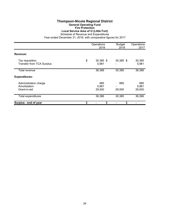### **Thompson-Nicola Regional District General Operating Fund Fire Protection Local Service Area of O (Little Fort)**

Schedule of Revenue and Expenditures

|                                                       | Operations<br>2018       | <b>Budget</b><br>2018 | Operations<br>2017     |
|-------------------------------------------------------|--------------------------|-----------------------|------------------------|
| Revenue:                                              |                          |                       |                        |
| Tax requisition<br><b>Transfer from TCA Surplus</b>   | \$<br>30,385 \$<br>5,981 | 30,385 \$             | 30,385<br>5,981        |
| Total revenue                                         | 36,366                   | 30,385                | 36,366                 |
| <b>Expenditures:</b>                                  |                          |                       |                        |
| Administration charge<br>Amortization<br>Grant-in-aid | 885<br>5,981<br>29,500   | 885<br>29,500         | 885<br>5,981<br>29,500 |
| Total expenditures                                    | 36,366                   | 30,385                | 36,366                 |
| Surplus - end of year                                 | \$<br>\$                 | \$                    |                        |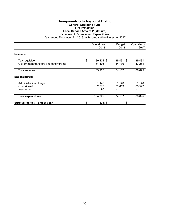## **Thompson-Nicola Regional District General Operating Fund Fire Protection Local Service Area of P (McLure)**

Schedule of Revenue and Expenditures

|                                                          | Operations<br>2018        | <b>Budget</b><br>2018 | Operations<br>2017 |
|----------------------------------------------------------|---------------------------|-----------------------|--------------------|
| Revenue:                                                 |                           |                       |                    |
| Tax requisition<br>Government transfers and other grants | \$<br>39,431 \$<br>64,495 | 39,431 \$<br>34,736   | 39,431<br>47,264   |
| Total revenue                                            | 103,926                   | 74,167                | 86,695             |
| <b>Expenditures:</b>                                     |                           |                       |                    |
| Administration charge<br>Grant-in-aid<br>Insurance       | 1,148<br>102,778<br>96    | 1,148<br>73,019       | 1,148<br>85,547    |
| Total expenditures                                       | 104,022                   | 74,167                | 86,695             |
| Surplus (deficit) - end of year                          | \$<br>(96) \$             | \$                    |                    |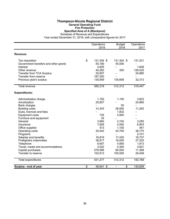#### **Thompson-Nicola Regional District General Operating Fund Fire Protection Specified Area of A (Blackpool)**

Schedule of Revenue and Expenditures

|                                       | Operations       | <b>Budget</b>        | Operations |
|---------------------------------------|------------------|----------------------|------------|
|                                       | 2018             | 2018                 | 2017       |
| Revenue:                              |                  |                      |            |
| Tax requisition                       | \$<br>131,354 \$ | 131,354 \$           | 131,221    |
| Government transfers and other grants | 55,190           | 45,000               |            |
| Interest                              | 4,825            |                      | 1,608      |
| Other revenue                         | 40,283           | 300                  | 128,425    |
| Transfer from TCA Surplus             | 25,657           |                      | 24,880     |
| Transfer from reserve                 | 187,250          |                      |            |
| Previous year's surplus               | 135,659          | 135,658              | 32,313     |
| Total revenue                         | 580,218          | 312,312              | 318,447    |
| <b>Expenditures:</b>                  |                  |                      |            |
| Administration charge                 | 1,150            | 1,150                | 3,823      |
| Amortization                          | 25,657           |                      | 24,880     |
| Bank charges                          |                  | 55                   |            |
| <b>Building costs</b>                 | 14,343           | 28,500               | 11,283     |
| Dues, licences and fees               |                  | 1,832                |            |
| <b>Equipment costs</b>                | 735              | 4,950                |            |
| Furniture and equipment               | 35               |                      |            |
| General                               | 3,982            | 3,740                | 3,285      |
| Insurance                             | 7,826            | 4,550                | 6,903      |
| Office supplies                       | 513              | 1,100                | 461        |
| Operating costs                       | 30,542           | 43,700               | 38,770     |
| Programs                              |                  |                      | 2,701      |
| Salaries and benefits                 | 16,819           | 17,435               | 16,737     |
| Firefighters indemnities              | 38,817           | 16,000               | 27,325     |
| Telephone                             | 6,657            | 4,950                | 1,913      |
| Travel, meals and accommodations      | 3,522            | 4,300                | 3,931      |
| Capital purchases                     | 278,066          | 80,050               | 11,368     |
| Transfer to reserve                   | 102,613          | 100,000              | 29,408     |
| <b>Total expenditures</b>             | 531,277          | 312,312              | 182,788    |
| Surplus - end of year                 | \$<br>48,941 \$  | \$<br>$\blacksquare$ | 135,659    |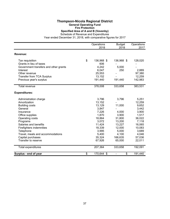### **Thompson-Nicola Regional District General Operating Fund Fire Protection Specified Area of A and B (Vavenby)**

Schedule of Revenue and Expenditures

|                                       | Operations       | <b>Budget</b>                      | Operations |
|---------------------------------------|------------------|------------------------------------|------------|
|                                       | 2018             | 2018                               | 2017       |
| Revenue:                              |                  |                                    |            |
| Tax requisition                       | \$<br>136,968 \$ | 136,968 \$                         | 128,020    |
| Grants in lieu of taxes               | 606              |                                    |            |
| Government transfers and other grants | 4,242            | 5,000                              |            |
| Interest                              | 6,047            | 250                                | 2,889      |
| Other revenue                         | 25,553           |                                    | 97,380     |
| Transfer from TCA Surplus             | 13,152           |                                    | 12,259     |
| Previous year's surplus               | 191,440          | 191,440                            | 142,983    |
| Total revenue                         | 378,008          | 333,658                            | 383,531    |
| <b>Expenditures:</b>                  |                  |                                    |            |
| Administration charge                 | 3,796            | 3,796                              | 5,251      |
| Amortization                          | 13,152           |                                    | 12,259     |
| <b>Building costs</b>                 | 13,129           | 11,000                             | 9,652      |
| General                               | 3,847            |                                    | 3,442      |
| Insurance                             | 7,226            | 4,000                              | 3,900      |
| Office supplies                       | 1,870            | 3,900                              | 1,517      |
| Operating costs                       | 18,864           | 31,800                             | 36,022     |
| Programs                              | 3,072            | 13,200                             | 7,118      |
| Salaries and benefits                 | 11,424           | 13,227                             | 16,065     |
| Firefighters indemnities              | 18,339           | 12,000                             | 10,083     |
| Telephone                             | 3,995            | 5,000                              | 3,689      |
| Travel, meals and accommodations      | 5,400            | 4,100                              | 4,046      |
| Capital purchases                     | 35,324           | 166,635                            | 57,036     |
| Transfer to reserve                   | 67,926           | 65,000                             | 22,011     |
| <b>Total expenditures</b>             | 207,364          | 333,658                            | 192,091    |
| Surplus - end of year                 | \$<br>170,644 \$ | \$<br>$\qquad \qquad \blacksquare$ | 191,440    |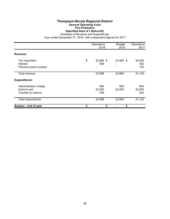### **Thompson-Nicola Regional District General Operating Fund Fire Protection Specified Area of I (Ashcroft)**

Schedule of Revenue and Expenditures

|                                                              | Operations<br>2018     | <b>Budget</b><br>2018 | Operations<br>2017   |
|--------------------------------------------------------------|------------------------|-----------------------|----------------------|
| Revenue:                                                     |                        |                       |                      |
| Tax requisition<br>Interest<br>Previous year's surplus       | \$<br>22,660 \$<br>928 | 22,660 \$<br>-        | 20,450<br>542<br>150 |
| Total revenue                                                | 23,588                 | 22,660                | 21,142               |
| <b>Expenditures:</b>                                         |                        |                       |                      |
| Administration charge<br>Grant-in-aid<br>Transfer to reserve | 660<br>22,000<br>928   | 660<br>22,000         | 600<br>20,000<br>542 |
| Total expenditures                                           | 23,588                 | 22,660                | 21,142               |
| Surplus - end of year                                        | \$<br>\$               | \$                    |                      |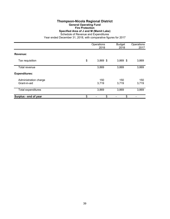#### **Thompson-Nicola Regional District General Operating Fund Fire Protection Specified Area of J and M (Mamit Lake)** Schedule of Revenue and Expenditures

|                                       | Operations<br>2018 | <b>Budget</b><br>2018 | Operations<br>2017 |
|---------------------------------------|--------------------|-----------------------|--------------------|
| Revenue:                              |                    |                       |                    |
| Tax requisition                       | \$<br>$3,869$ \$   | $3,869$ \$            | 3,869              |
| Total revenue                         | 3,869              | 3,869                 | 3,869              |
| <b>Expenditures:</b>                  |                    |                       |                    |
| Administration charge<br>Grant-in-aid | 150<br>3,719       | 150<br>3,719          | 150<br>3,719       |
| Total expenditures                    | 3,869              | 3,869                 | 3,869              |
| Surplus - end of year                 | \$<br>\$           | \$                    |                    |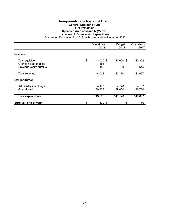### **Thompson-Nicola Regional District General Operating Fund Fire Protection Specified Area of M and N (Merritt)**

Schedule of Revenue and Expenditures

|                                                                       | Operations<br>2018             | <b>Budget</b><br>2018 | Operations<br>2017 |
|-----------------------------------------------------------------------|--------------------------------|-----------------------|--------------------|
| Revenue:                                                              |                                |                       |                    |
| Tax requisition<br>Grants in lieu of taxes<br>Previous year's surplus | \$<br>143,020 \$<br>858<br>150 | 143,020 \$<br>150     | 140,362<br>645     |
| Total revenue                                                         | 144,028                        | 143,170               | 141,007            |
| <b>Expenditures:</b>                                                  |                                |                       |                    |
| Administration charge<br>Grant-in-aid                                 | 4,170<br>139,338               | 4,170<br>139,000      | 4,107<br>136,750   |
| Total expenditures                                                    | 143,508                        | 143,170               | 140,857            |
| Surplus - end of year                                                 | \$<br>520 \$                   | \$                    | 150                |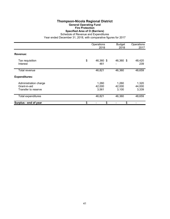# **Thompson-Nicola Regional District General Operating Fund Fire Protection Specified Area of O (Barriere)**

Schedule of Revenue and Expenditures

|                                                              | Operations<br>2018       | <b>Budget</b><br>2018    | Operations<br>2017       |
|--------------------------------------------------------------|--------------------------|--------------------------|--------------------------|
| Revenue:                                                     |                          |                          |                          |
| Tax requisition<br>Interest                                  | \$<br>46,360 \$<br>461   | 46,360 \$                | 48,420<br>239            |
| Total revenue                                                | 46,821                   | 46,360                   | 48,659                   |
| <b>Expenditures:</b>                                         |                          |                          |                          |
| Administration charge<br>Grant-in-aid<br>Transfer to reserve | 1,260<br>42,000<br>3,561 | 1,260<br>42,000<br>3,100 | 1,320<br>44,000<br>3,339 |
| <b>Total expenditures</b>                                    | 46,821                   | 46,360                   | 48,659                   |
| Surplus - end of year                                        | \$<br>\$                 | \$                       |                          |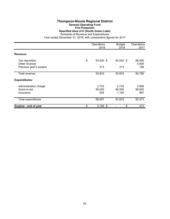#### **Thompson-Nicola Regional District General Operating Fund Fire Protection Specified Area of E (South Green Lake)** Schedule of Revenue and Expenditures

|                                                             | Operations<br>2018     | <b>Budget</b><br>2018    | Operations<br>2017     |
|-------------------------------------------------------------|------------------------|--------------------------|------------------------|
| Revenue:                                                    |                        |                          |                        |
| Tax requisition<br>Other revenue<br>Previous year's surplus | \$<br>93,520 \$<br>313 | 93,520 \$<br>313         | 88,590<br>4,000<br>196 |
| Total revenue                                               | 93,833                 | 93,833                   | 92,786                 |
| <b>Expenditures:</b>                                        |                        |                          |                        |
| Administration charge<br>Grant-in-aid<br>Insurance          | 2,733<br>85,000<br>934 | 2,733<br>90,000<br>1,100 | 2,586<br>89,000<br>887 |
| <b>Total expenditures</b>                                   | 88,667                 | 93,833                   | 92,473                 |
| Surplus - end of year                                       | \$<br>5,166 \$         | \$                       | 313                    |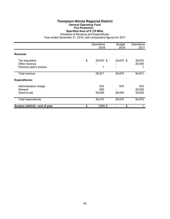## **Thompson-Nicola Regional District General Operating Fund Fire Protection Specified Area of E (70 Mile)**

Schedule of Revenue and Expenditures

|                                                  | Operations<br>2018   | <b>Budget</b><br>2018 | Operations<br>2017      |
|--------------------------------------------------|----------------------|-----------------------|-------------------------|
| Revenue:                                         |                      |                       |                         |
| Tax requisition<br>Other revenue                 | \$<br>29,870 \$      | 29,870 \$             | 29,870<br>25,000        |
| Previous year's surplus                          | 1                    | -                     |                         |
| Total revenue                                    | 29,871               | 29,870                | 54,871                  |
| <b>Expenditures:</b>                             |                      |                       |                         |
| Administration charge<br>General<br>Grant-in-aid | 870<br>600<br>29,000 | 870<br>29,000         | 870<br>25,000<br>29,000 |
| Total expenditures                               | 30,470               | 29,870                | 54,870                  |
| Surplus (deficit) - end of year                  | \$<br>$(599)$ \$     | \$                    |                         |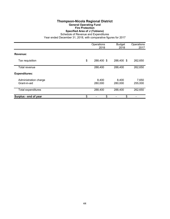# **Thompson-Nicola Regional District General Operating Fund Fire Protection Specified Area of J (Tobiano)**

Schedule of Revenue and Expenditures

|                                       | Operations<br>2018 | <b>Budget</b><br>2018 | Operations<br>2017 |
|---------------------------------------|--------------------|-----------------------|--------------------|
| Revenue:                              |                    |                       |                    |
| Tax requisition                       | \$<br>288,400 \$   | 288,400 \$            | 262,650            |
| Total revenue                         | 288,400            | 288,400               | 262,650            |
| <b>Expenditures:</b>                  |                    |                       |                    |
| Administration charge<br>Grant-in-aid | 8,400<br>280,000   | 8,400<br>280,000      | 7,650<br>255,000   |
| Total expenditures                    | 288,400            | 288,400               | 262,650            |
| Surplus - end of year                 | \$<br>\$           | \$                    |                    |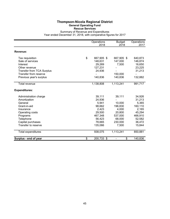#### **Thompson-Nicola Regional District General Operating Fund Rescue Services**

Summary of Revenue and Expenditures Year ended December 31, 2018, with comparative figures for 2017

|                                  | Operations       | <b>Budget</b> | Operations |
|----------------------------------|------------------|---------------|------------|
|                                  | 2018             | 2018          | 2017       |
| Revenue:                         |                  |               |            |
| Tax requisition                  | \$<br>667,905 \$ | 667,905 \$    | 640,873    |
| Sale of services                 | 148,631          | 147,000       | 146,874    |
| Interest                         | 29,269           | 7,500         | 16,650     |
| Other revenue                    | 127,231          |               | 23,225     |
| <b>Transfer from TCA Surplus</b> | 24,936           |               | 31,213     |
| Transfer from reserve            |                  | 150,000       |            |
| Previous year's surplus          | 140,836          | 140,836       | 132,882    |
| Total revenue                    | 1,138,808        | 1,113,241     | 991,717    |
| <b>Expenditures:</b>             |                  |               |            |
| Administration charge            | 39,111           | 39,111        | 34,926     |
| Amortization                     | 24,936           |               | 31,213     |
| General                          | 5,941            | 10,000        | 5,365      |
| Grant-in-aid                     | 98,662           | 196,830       | 160,110    |
| Insurance                        | 2,423            | 4,000         | 2,165      |
| Operating costs                  | 29,500           | 20,800        | 45,294     |
| Programs                         | 467,348          | 537,000       | 466,910    |
| Telephone                        | 56,423           | 68,000        | 52,582     |
| Capital purchases                | 78,665           | 230,000       | 36,472     |
| Transfer to reserve              | 135,066          | 7,500         | 15,844     |
| <b>Total expenditures</b>        | 938,075          | 1,113,241     | 850,881    |
| Surplus - end of year            | \$<br>200,733 \$ | \$            | 140,836    |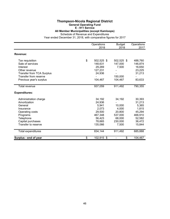#### **Thompson-Nicola Regional District General Operating Fund**

**E - 911 Service**

**All Member Municipalities (except Kamloops)**

Schedule of Revenue and Expenditures

|                                  | Operations       | <b>Budget</b> | Operations |
|----------------------------------|------------------|---------------|------------|
|                                  | 2018             | 2018          | 2017       |
| Revenue:                         |                  |               |            |
| Tax requisition                  | \$<br>502,525 \$ | 502,525 \$    | 488,760    |
| Sale of services                 | 148,631          | 147,000       | 146,874    |
| Interest                         | 29,269           | 7,500         | 16,650     |
| Other revenue                    | 127,231          |               | 23,225     |
| <b>Transfer from TCA Surplus</b> | 24,936           |               | 31,213     |
| Transfer from reserve            |                  | 150,000       |            |
| Previous year's surplus          | 104,467          | 104,467       | 83,633     |
| <b>Total revenue</b>             | 937,059          | 911,492       | 790,355    |
| <b>Expenditures:</b>             |                  |               |            |
| Administration charge            | 34,192           | 34,192        | 30,393     |
| Amortization                     | 24,936           |               | 31,213     |
| General                          | 5,941            | 10,000        | 5,365      |
| Insurance                        | 2,073            | 4,000         | 1,815      |
| Operating costs                  | 29,500           | 20,800        | 45,294     |
| Programs                         | 467,348          | 537,000       | 466,910    |
| Telephone                        | 56,423           | 68,000        | 52,582     |
| Capital purchases                | 78,665           | 230,000       | 36,472     |
| Transfer to reserve              | 135,066          | 7,500         | 15,844     |
| Total expenditures               | 834,144          | 911,492       | 685,888    |
| Surplus - end of year            | \$<br>102,915 \$ | \$            | 104,467    |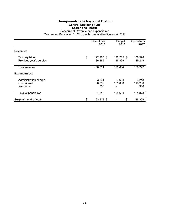# **Thompson-Nicola Regional District General Operating Fund Search and Rescue**

Schedule of Revenue and Expenditures Year ended December 31, 2018, with comparative figures for 2017

|                                                    | Operations<br>2018         | <b>Budget</b><br>2018 | Operations<br>2017      |
|----------------------------------------------------|----------------------------|-----------------------|-------------------------|
| Revenue:                                           |                            |                       |                         |
| Tax requisition<br>Previous year's surplus         | \$<br>122,265 \$<br>36,369 | 122,265 \$<br>36,369  | 108,998<br>49,249       |
| Total revenue                                      | 158,634                    | 158,634               | 158,247                 |
| <b>Expenditures:</b>                               |                            |                       |                         |
| Administration charge<br>Grant-in-aid<br>Insurance | 3,634<br>60,832<br>350     | 3,634<br>155,000      | 3,248<br>118,280<br>350 |
| Total expenditures                                 | 64,816                     | 158,634               | 121,878                 |
| Surplus - end of year                              | \$<br>93,818 \$            | \$                    | 36,369                  |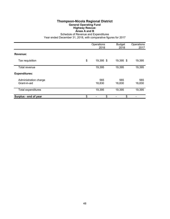#### **Thompson-Nicola Regional District General Operating Fund Highway Rescue: Areas A and B**

Schedule of Revenue and Expenditures

|                                       | Operations<br>2018 | <b>Budget</b><br>2018 | Operations<br>2017 |
|---------------------------------------|--------------------|-----------------------|--------------------|
| Revenue:                              |                    |                       |                    |
| Tax requisition                       | \$<br>19,395 \$    | 19,395 \$             | 19,395             |
| Total revenue                         | 19,395             | 19,395                | 19,395             |
| <b>Expenditures:</b>                  |                    |                       |                    |
| Administration charge<br>Grant-in-aid | 565<br>18,830      | 565<br>18,830         | 565<br>18,830      |
| Total expenditures                    | 19,395             | 19,395                | 19,395             |
| Surplus - end of year                 | \$<br>\$           | \$                    |                    |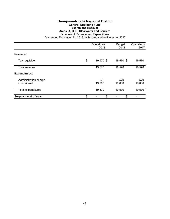### **Thompson-Nicola Regional District General Operating Fund**

### **Search and Rescue:**

**Areas A, B, O, Clearwater and Barriere**

Schedule of Revenue and Expenditures

|                                       | Operations<br>2018 | <b>Budget</b><br>2018 | Operations<br>2017 |
|---------------------------------------|--------------------|-----------------------|--------------------|
| Revenue:                              |                    |                       |                    |
| Tax requisition                       | \$<br>19,570 \$    | 19,570 \$             | 19,570             |
| Total revenue                         | 19,570             | 19,570                | 19,570             |
| <b>Expenditures:</b>                  |                    |                       |                    |
| Administration charge<br>Grant-in-aid | 570<br>19,000      | 570<br>19,000         | 570<br>19,000      |
| Total expenditures                    | 19,570             | 19,570                | 19,570             |
| Surplus - end of year                 | \$<br>\$           | \$                    |                    |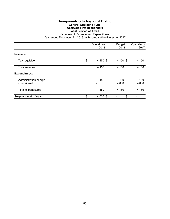# **Thompson-Nicola Regional District General Operating Fund Westwold First Responders Local Service of Area L**

Schedule of Revenue and Expenditures Year ended December 31, 2018, with comparative figures for 2017

|                                       | Operations<br>2018 | <b>Budget</b><br>2018 | Operations<br>2017 |
|---------------------------------------|--------------------|-----------------------|--------------------|
| Revenue:                              |                    |                       |                    |
| Tax requisition                       | \$<br>$4,150$ \$   | 4,150 \$              | 4,150              |
| Total revenue                         | 4,150              | 4,150                 | 4,150              |
| <b>Expenditures:</b>                  |                    |                       |                    |
| Administration charge<br>Grant-in-aid | 150                | 150<br>4,000          | 150<br>4,000       |
| <b>Total expenditures</b>             | 150                | 4,150                 | 4,150              |
| Surplus - end of year                 | \$<br>$4,000$ \$   | \$                    |                    |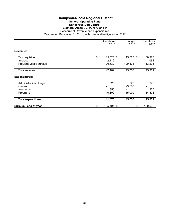#### **Thompson-Nicola Regional District General Operating Fund Dangerous Dog Control Electoral Areas I, J, M, N, O and P** Schedule of Revenue and Expenditures

|                             | Operations<br>2018       | <b>Budget</b><br>2018 | Operations<br>2017 |
|-----------------------------|--------------------------|-----------------------|--------------------|
| Revenue:                    |                          |                       |                    |
| Tax requisition<br>Interest | \$<br>15,525 \$<br>2,112 | 15,525 \$             | 30,975<br>1,091    |
| Previous year's surplus     | 129,532                  | 129,533               | 113,295            |
| Total revenue               | 147,169                  | 145,058               | 145,361            |
| <b>Expenditures:</b>        |                          |                       |                    |
| Administration charge       | 525                      | 525                   | 975                |
| General                     |                          | 129,533               |                    |
| Insurance                   | 350                      |                       | 350                |
| Programs                    | 10,800                   | 15,000                | 14,504             |
| <b>Total expenditures</b>   | 11,675                   | 145,058               | 15,829             |
| Surplus - end of year       | \$<br>135,494 \$         | \$                    | 129,532            |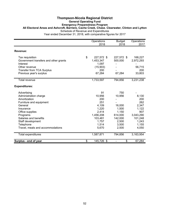### **Thompson-Nicola Regional District General Operating Fund Emergency Preparedness Program All Electoral Areas and Ashcroft, Barriere, Cache Creek, Chase. Clearwater, Clinton and Lytton** Schedule of Revenue and Expenditures

|                                                   | Operations<br>2018 | <b>Budget</b><br>2018 | Operations<br>2017 |
|---------------------------------------------------|--------------------|-----------------------|--------------------|
| Revenue:                                          |                    |                       |                    |
| Tax requisition                                   | \$<br>227,572 \$   | 227,572 \$            | 168,227            |
| Government transfers and other grants<br>Interest | 1,453,347<br>1,097 | 500,000               | 2,972,293          |
| Other revenue                                     | (15,903)           |                       | 56,715             |
| <b>Transfer from TCA Surplus</b>                  | 200                |                       | 200                |
| Previous year's surplus                           | 67,284             | 67,284                | 33,803             |
| <b>Total revenue</b>                              | 1,733,597          | 794,856               | 3,231,238          |
| <b>Expenditures:</b>                              |                    |                       |                    |
| Advertising                                       | 91                 | 750                   |                    |
| Administration charge                             | 10,956             | 10,956                | 8,130              |
| Amortization                                      | 200                |                       | 200                |
| Furniture and equipment                           | 251                |                       | 262                |
| General                                           | 4,109              | 16,000                | 2,347              |
| Insurance                                         | 1,220              | 1,500                 | 1,122              |
| Office supplies                                   | 2,414              | 1,150                 | 907                |
| Programs                                          | 1,456,208          | 614,000               | 3,043,290          |
| Salaries and benefits                             | 103,481            | 142,000               | 101,248            |
| Staff development                                 | 1,757              | 2,500                 | 1,243              |
| Telephone                                         | 1,514              | 3,500                 | 1,155              |
| Travel, meals and accommodations                  | 5,670              | 2,500                 | 4,050              |
| Total expenditures                                | 1,587,871          | 794,856               | 3,163,954          |
| Surplus - end of year                             | \$<br>145,726 \$   | \$                    | 67,284             |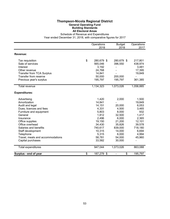### **Thompson-Nicola Regional District General Operating Fund Building Standards All Electoral Areas**

Schedule of Revenue and Expenditures

|                                  | Operations       | <b>Budget</b>        | Operations |
|----------------------------------|------------------|----------------------|------------|
|                                  | 2018             | 2018                 | 2017       |
| Revenue:                         |                  |                      |            |
| Tax requisition                  | \$<br>280,679 \$ | 280,679 \$           | 217,801    |
| Sale of services                 | 565,046          | 396,550              | 438,974    |
| Interest                         | 3,192            |                      | 3,481      |
| Other revenue                    | 24,768           |                      | 17,395     |
| <b>Transfer from TCA Surplus</b> | 14,841           |                      | 19,849     |
| Transfer from reserve            | 50,000           | 200,000              |            |
| Previous year's surplus          | 195,797          | 195,797              | 361,385    |
| Total revenue                    | 1,134,323        | 1,073,026            | 1,058,885  |
| <b>Expenditures:</b>             |                  |                      |            |
| Advertising                      | 1,420            | 2,000                | 1,500      |
| Amortization                     | 14,841           |                      | 19,849     |
| Audit and legal                  | 14,151           | 20,000               | 6,053      |
| Dues, licences and fees          | 4,331            | 4,500                | 3,465      |
| Furniture and equipment          | 5,803            | 8,000                | 932        |
| General                          | 1,812            | 32,500               | 1,417      |
| Insurance                        | 2,496            | 6,000                | 2,365      |
| Office supplies                  | 19,150           | 21,200               | 12,101     |
| Office overhead                  | 34,430           | 35,826               | 39,578     |
| Salaries and benefits            | 740,617          | 839,000              | 718,180    |
| Staff development                | 10,315           | 14,000               | 6,694      |
| Telephone                        | 5,315            | 6,000                | 4,994      |
| Travel, meals and accommodations | 58,781           | 54,000               | 45,960     |
| Capital purchases                | 33,582           | 30,000               |            |
| Total expenditures               | 947,044          | 1,073,026            | 863,088    |
| Surplus - end of year            | \$<br>187,279 \$ | \$<br>$\blacksquare$ | 195,797    |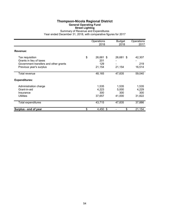# **Thompson-Nicola Regional District General Operating Fund Street Lighting**

Summary of Revenue and Expenditures Year ended December 31, 2018, with comparative figures for 2017

|                                                                                                                | Operations<br>2018                      | <b>Budget</b><br>2018           | Operations<br>2017              |
|----------------------------------------------------------------------------------------------------------------|-----------------------------------------|---------------------------------|---------------------------------|
| Revenue:                                                                                                       |                                         |                                 |                                 |
| Tax requisition<br>Grants in lieu of taxes<br>Government transfers and other grants<br>Previous year's surplus | \$<br>26,681 \$<br>201<br>129<br>21,154 | 26,681 \$<br>21,154             | 42,307<br>219<br>16,514         |
| Total revenue                                                                                                  | 48,165                                  | 47,835                          | 59,040                          |
| <b>Expenditures:</b>                                                                                           |                                         |                                 |                                 |
| Administration charge<br>Grant-in-aid<br>Insurance<br><b>Utilities</b>                                         | 1,535<br>4,223<br>300<br>37,657         | 1,535<br>5,000<br>300<br>41,000 | 1,535<br>4,229<br>300<br>31,822 |
| <b>Total expenditures</b>                                                                                      | 43,715                                  | 47,835                          | 37,886                          |
| Surplus - end of year                                                                                          | \$<br>4,450 \$                          | \$                              | 21,154                          |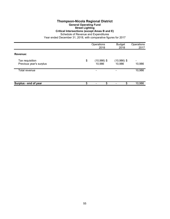#### **Thompson-Nicola Regional District General Operating Fund Street Lighting Critical Intersections (except Areas B and E)**

Schedule of Revenue and Expenditures

|                                            | Operations<br>2018            | <b>Budget</b><br>2018   | Operations<br>2017                 |
|--------------------------------------------|-------------------------------|-------------------------|------------------------------------|
| Revenue:                                   |                               |                         |                                    |
| Tax requisition<br>Previous year's surplus | \$<br>$(10,986)$ \$<br>10,986 | $(10,986)$ \$<br>10,986 | $\overline{\phantom{0}}$<br>10,986 |
| Total revenue                              | $\overline{\phantom{0}}$      |                         | 10,986                             |
| Surplus - end of year                      | \$<br>\$                      | \$                      | 10,986                             |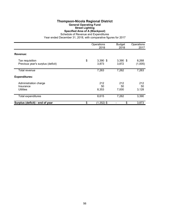# **Thompson-Nicola Regional District General Operating Fund Street Lighting Specified Area of A (Blackpool)**

Schedule of Revenue and Expenditures

|                                                      | Operations<br>2018        | <b>Budget</b><br>2018 | Operations<br>2017 |
|------------------------------------------------------|---------------------------|-----------------------|--------------------|
| Revenue:                                             |                           |                       |                    |
|                                                      |                           |                       |                    |
| Tax requisition<br>Previous year's surplus (deficit) | \$<br>$3,390$ \$<br>3,873 | $3,390$ \$<br>3,872   | 8,268<br>(1,005)   |
|                                                      |                           |                       |                    |
| Total revenue                                        | 7,263                     | 7,262                 | 7,263              |
| <b>Expenditures:</b>                                 |                           |                       |                    |
| Administration charge                                | 212                       | 212                   | 212                |
| Insurance                                            | 50                        | 50                    | 50                 |
| <b>Utilities</b>                                     | 8,353                     | 7,000                 | 3,128              |
| <b>Total expenditures</b>                            | 8,615                     | 7,262                 | 3,390              |
| Surplus (deficit) - end of year                      | \$<br>$(1,352)$ \$        | \$                    | 3,873              |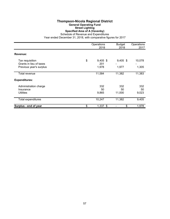# **Thompson-Nicola Regional District General Operating Fund Street Lighting Specified Area of A (Vavenby)**

Schedule of Revenue and Expenditures

|                                                                       | Operations<br>2018               | <b>Budget</b><br>2018 | Operations<br>2017 |
|-----------------------------------------------------------------------|----------------------------------|-----------------------|--------------------|
| Revenue:                                                              |                                  |                       |                    |
| Tax requisition<br>Grants in lieu of taxes<br>Previous year's surplus | \$<br>$9,405$ \$<br>201<br>1,978 | $9,405$ \$<br>1,977   | 10,078<br>1,305    |
| Total revenue                                                         | 11,584                           | 11,382                | 11,383             |
| <b>Expenditures:</b>                                                  |                                  |                       |                    |
| Administration charge<br>Insurance<br><b>Utilities</b>                | 332<br>50<br>9,865               | 332<br>50<br>11,000   | 332<br>50<br>9,023 |
| <b>Total expenditures</b>                                             | 10,247                           | 11,382                | 9,405              |
| Surplus - end of year                                                 | \$<br>$1,337$ \$                 | \$                    | 1,978              |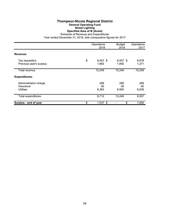# **Thompson-Nicola Regional District General Operating Fund Street Lighting Specified Area of B (Avola)**

Schedule of Revenue and Expenditures

|                                                        | Operations<br>2018        | <b>Budget</b><br>2018 | Operations<br>2017 |
|--------------------------------------------------------|---------------------------|-----------------------|--------------------|
| Revenue:                                               |                           |                       |                    |
| Tax requisition<br>Previous year's surplus             | \$<br>$8,557$ \$<br>1,692 | 8,557 \$<br>1,692     | 8,978<br>1,271     |
| Total revenue                                          | 10,249                    | 10,249                | 10,249             |
| <b>Expenditures:</b>                                   |                           |                       |                    |
| Administration charge<br>Insurance<br><b>Utilities</b> | 299<br>50<br>8,363        | 299<br>50<br>9,900    | 299<br>50<br>8,208 |
| <b>Total expenditures</b>                              | 8,712                     | 10,249                | 8,557              |
| Surplus - end of year                                  | \$<br>$1,537$ \$          | \$                    | 1,692              |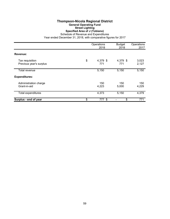# **Thompson-Nicola Regional District General Operating Fund Street Lighting Specified Area of J (Tobiano)**

Schedule of Revenue and Expenditures

|                                            | Operations<br>2018    | <b>Budget</b><br>2018 | Operations<br>2017 |
|--------------------------------------------|-----------------------|-----------------------|--------------------|
| Revenue:                                   |                       |                       |                    |
| Tax requisition<br>Previous year's surplus | \$<br>4,379 \$<br>771 | 4,379 \$<br>771       | 3,023<br>2,127     |
| Total revenue                              | 5,150                 | 5,150                 | 5,150              |
| <b>Expenditures:</b>                       |                       |                       |                    |
| Administration charge<br>Grant-in-aid      | 150<br>4,223          | 150<br>5,000          | 150<br>4,229       |
| <b>Total expenditures</b>                  | 4,373                 | 5,150                 | 4,379              |
| Surplus - end of year                      | \$<br>777 \$          | \$                    | 771                |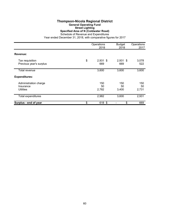#### **Thompson-Nicola Regional District General Operating Fund Street Lighting Specified Area of N (Coldwater Road)** Schedule of Revenue and Expenditures

|                                                        | Operations<br>2018      | <b>Budget</b><br>2018 | Operations<br>2017 |
|--------------------------------------------------------|-------------------------|-----------------------|--------------------|
| Revenue:                                               |                         |                       |                    |
| Tax requisition<br>Previous year's surplus             | \$<br>$2,931$ \$<br>669 | $2,931$ \$<br>669     | 3,078<br>522       |
| <b>Total revenue</b>                                   | 3,600                   | 3,600                 | 3,600              |
| <b>Expenditures:</b>                                   |                         |                       |                    |
| Administration charge<br>Insurance<br><b>Utilities</b> | 150<br>50<br>2,782      | 150<br>50<br>3,400    | 150<br>50<br>2,731 |
| Total expenditures                                     | 2,982                   | 3,600                 | 2,931              |
| Surplus - end of year                                  | \$<br>618 \$            | \$                    | 669                |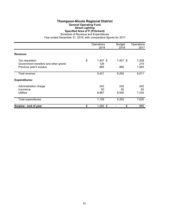# **Thompson-Nicola Regional District General Operating Fund Street Lighting Specified Area of P (Pritchard)**

Schedule of Revenue and Expenditures

|                                                                                     | Operations<br>2018           | <b>Budget</b><br>2018 | Operations<br>2017    |
|-------------------------------------------------------------------------------------|------------------------------|-----------------------|-----------------------|
| Revenue:                                                                            |                              |                       |                       |
| Tax requisition<br>Government transfers and other grants<br>Previous year's surplus | \$<br>7,407 \$<br>129<br>885 | 7,407 \$<br>885       | 7,208<br>219<br>1,084 |
| Total revenue                                                                       | 8,421                        | 8,292                 | 8,511                 |
| <b>Expenditures:</b>                                                                |                              |                       |                       |
| Administration charge<br>Insurance<br><b>Utilities</b>                              | 242<br>50<br>6,867           | 242<br>50<br>8,000    | 242<br>50<br>7,334    |
| Total expenditures                                                                  | 7,159                        | 8,292                 | 7,626                 |
| Surplus - end of year                                                               | \$<br>$1,262$ \$             | \$                    | 885                   |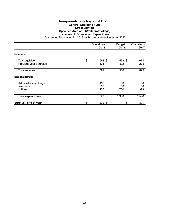#### **Thompson-Nicola Regional District General Operating Fund Street Lighting Specified Area of P (Whitecroft Village)** Schedule of Revenue and Expenditures

|                                                        | Operations<br>2018    | <b>Budget</b><br>2018 | Operations<br>2017 |
|--------------------------------------------------------|-----------------------|-----------------------|--------------------|
| Revenue:                                               |                       |                       |                    |
| Tax requisition<br>Previous year's surplus             | \$<br>1,598 \$<br>301 | 1,598 \$<br>302       | 1,674<br>225       |
| Total revenue                                          | 1,899                 | 1,900                 | 1,899              |
| <b>Expenditures:</b>                                   |                       |                       |                    |
| Administration charge<br>Insurance<br><b>Utilities</b> | 150<br>50<br>1,427    | 150<br>50<br>1,700    | 150<br>50<br>1,398 |
| <b>Total expenditures</b>                              | 1,627                 | 1,900                 | 1,598              |
| Surplus - end of year                                  | \$<br>272 \$          | \$                    | 301                |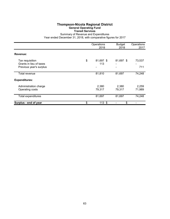### **Thompson-Nicola Regional District General Operating Fund Transit Services**

Summary of Revenue and Expenditures

|                                                                       | Operations<br>2018     | <b>Budget</b><br>2018 | Operations<br>2017 |
|-----------------------------------------------------------------------|------------------------|-----------------------|--------------------|
| Revenue:                                                              |                        |                       |                    |
| Tax requisition<br>Grants in lieu of taxes<br>Previous year's surplus | \$<br>81,697 \$<br>113 | 81,697 \$             | 73,537<br>711      |
| Total revenue                                                         | 81,810                 | 81,697                | 74,248             |
| <b>Expenditures:</b>                                                  |                        |                       |                    |
| Administration charge<br>Operating costs                              | 2,380<br>79,317        | 2,380<br>79,317       | 2,259<br>71,989    |
| Total expenditures                                                    | 81,697                 | 81,697                | 74,248             |
| Surplus - end of year                                                 | \$<br>113S             | \$                    |                    |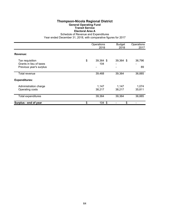# **Thompson-Nicola Regional District General Operating Fund Transit Service Electoral Area A**

Schedule of Revenue and Expenditures

|                                                                       | Operations<br>2018     | <b>Budget</b><br>2018 | Operations<br>2017 |
|-----------------------------------------------------------------------|------------------------|-----------------------|--------------------|
| Revenue:                                                              |                        |                       |                    |
| Tax requisition<br>Grants in lieu of taxes<br>Previous year's surplus | \$<br>39,364 \$<br>104 | 39,364 \$             | 36,796<br>89       |
| Total revenue                                                         | 39,468                 | 39,364                | 36,885             |
| <b>Expenditures:</b>                                                  |                        |                       |                    |
| Administration charge<br>Operating costs                              | 1,147<br>38,217        | 1,147<br>38,217       | 1,074<br>35,811    |
| Total expenditures                                                    | 39,364                 | 39,364                | 36,885             |
| Surplus - end of year                                                 | \$<br>$104$ \$         | \$                    |                    |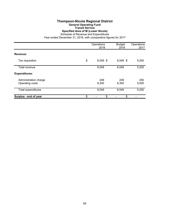# **Thompson-Nicola Regional District General Operating Fund Transit Service Specified Area of M (Lower Nicola)**

Schedule of Revenue and Expenditures

|                                          | Operations<br>2018 | <b>Budget</b><br>2018 | Operations<br>2017 |
|------------------------------------------|--------------------|-----------------------|--------------------|
| Revenue:                                 |                    |                       |                    |
| Tax requisition                          | \$<br>8,549 \$     | 8,549 \$              | 5,250              |
| Total revenue                            | 8,549              | 8,549                 | 5,250              |
| <b>Expenditures:</b>                     |                    |                       |                    |
| Administration charge<br>Operating costs | 249<br>8,300       | 249<br>8,300          | 250<br>5,000       |
| <b>Total expenditures</b>                | 8,549              | 8,549                 | 5,250              |
| Surplus - end of year                    | \$<br>\$           | \$                    |                    |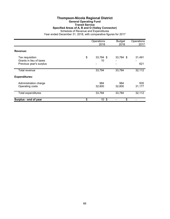#### **Thompson-Nicola Regional District General Operating Fund Transit Service Specified Areas of A, B and O (Valley Connector)** Schedule of Revenue and Expenditures Year ended December 31, 2018, with comparative figures for 2017

|                                                                       | Operations<br>2018           | <b>Budget</b><br>2018 | Operations<br>2017 |
|-----------------------------------------------------------------------|------------------------------|-----------------------|--------------------|
| Revenue:                                                              |                              |                       |                    |
| Tax requisition<br>Grants in lieu of taxes<br>Previous year's surplus | \$<br>33,784 \$<br>10        | 33,784 \$             | 31,491<br>621      |
| Total revenue                                                         | 33,794                       | 33,784                | 32,112             |
| <b>Expenditures:</b>                                                  |                              |                       |                    |
| Administration charge<br>Operating costs                              | 984<br>32,800                | 984<br>32,800         | 935<br>31,177      |
| <b>Total expenditures</b>                                             | 33,784                       | 33,784                | 32,112             |
| Surplus - end of year                                                 | \$<br>10 <sup>°</sup><br>-\$ | \$                    |                    |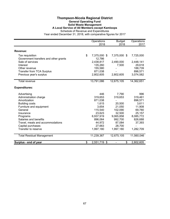#### **Thompson-Nicola Regional District General Operating Fund Solid Waste Management A Local Service of All Members except Kamloops** Schedule of Revenue and Expenditures

|                                       | Operations<br>2018 | <b>Budget</b><br>2018 | Operations<br>2017 |
|---------------------------------------|--------------------|-----------------------|--------------------|
|                                       |                    |                       |                    |
| Revenue:                              |                    |                       |                    |
| Tax requisition                       | \$<br>7,375,000 \$ | 7,375,000 \$          | 7,725,000          |
| Government transfers and other grants | 12,786             |                       |                    |
| Sale of services                      | 2,438,817          | 2,490,000             | 2,448,141          |
| Interest                              | 135,260            | 7,500                 | 29,618             |
| Other revenue                         | 155,580            |                       | 188,739            |
| <b>Transfer from TCA Surplus</b>      | 871,038            |                       | 896,571            |
| Previous year's surplus               | 2,802,605          | 2,802,605             | 3,074,582          |
| Total revenue                         | 13,791,086         | 12,675,105            | 14,362,651         |
| <b>Expenditures:</b>                  |                    |                       |                    |
| Advertising                           | 446                | 7,790                 | 996                |
| Administration charge                 | 319,653            | 319,653               | 319,461            |
| Amortization                          | 871,038            |                       | 896,571            |
| <b>Building costs</b>                 | 1,615              | 20,500                | 3,611              |
| Furniture and equipment               | 3,654              | 21,050                | 11,908             |
| General                               | 115,540            | 102,090               | 69,780             |
| Insurance                             | 23,623             | 32,500                | 25,157             |
| Programs                              | 6,937,919          | 9,065,858             | 8,085,772          |
| Salaries and benefits                 | 896,064            | 992,700               | 826,688            |
| Travel, meals and accommodations      | 44,972             | 87,084                | 37,393             |
| Capital purchases                     | 27,663             | 28,700                |                    |
| Transfer to reserve                   | 1,997,180          | 1,997,180             | 1,282,709          |
| <b>Total Residual Management</b>      | 11,239,367         | 12,675,105            | 11,560,046         |
| Surplus - end of year                 | \$<br>2,551,719 \$ | \$                    | 2,802,605          |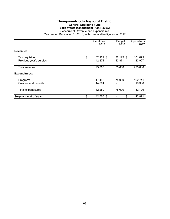# **Thompson-Nicola Regional District General Operating Fund Solid Waste Management Plan Review**

Schedule of Revenue and Expenditures Year ended December 31, 2018, with comparative figures for 2017

|                                            | Operations<br>2018        | <b>Budget</b><br>2018 | Operations<br>2017 |
|--------------------------------------------|---------------------------|-----------------------|--------------------|
| Revenue:                                   |                           |                       |                    |
| Tax requisition<br>Previous year's surplus | \$<br>32,129 \$<br>42,871 | 32,129 \$<br>42,871   | 101,073<br>123,927 |
| <b>Total revenue</b>                       | 75,000                    | 75,000                | 225,000            |
| <b>Expenditures:</b>                       |                           |                       |                    |
| Programs<br>Salaries and benefits          | 17,446<br>14,804          | 75,000<br>-           | 162,741<br>19,388  |
| <b>Total expenditures</b>                  | 32,250                    | 75,000                | 182,129            |
| Surplus - end of year                      | \$<br>42,750 \$           | \$                    | 42,871             |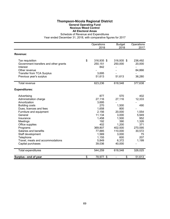### **Thompson-Nicola Regional District General Operating Fund Noxious Weed Control All Electoral Areas**

Schedule of Revenue and Expenditures

|                                       | Operations<br>2018 | <b>Budget</b><br>2018          | Operations<br>2017 |
|---------------------------------------|--------------------|--------------------------------|--------------------|
| Revenue:                              |                    |                                |                    |
|                                       |                    |                                |                    |
| Tax requisition                       | \$<br>316,935 \$   | 316,935 \$                     | 236,492            |
| Government transfers and other grants | 250,151            | 250,000                        | 20,000             |
| Interest                              | 842                |                                |                    |
| Other revenue                         |                    |                                | 84,866             |
| <b>Transfer from TCA Surplus</b>      | 3,695              |                                |                    |
| Previous year's surplus               | 51,613             | 51,613                         | 36,280             |
| <b>Total revenue</b>                  | 623,236            | 618,548                        | 377,638            |
| <b>Expenditures:</b>                  |                    |                                |                    |
| Advertising                           | 877                | 570                            | 402                |
| Administration charge                 | 27,116             | 27,116                         | 12,333             |
| Amortization                          | 3,695              |                                |                    |
| <b>Building costs</b>                 | 270                | 1,500                          | 490                |
| Dues, licences and fees               | 1,658              | 800                            |                    |
| Furniture and equipment               | 2,156              | 20,000                         | 1,554              |
| General                               | 11,134             | 3,000                          | 5,949              |
| Insurance                             | 1,458              | 1,500                          | 952                |
| Meetings                              | 192                | 390                            | 1,326              |
| Office supplies                       | 402                | 1,200                          | 371                |
| Programs                              | 369,807            | 402,500                        | 270,595            |
| Salaries and benefits                 | 77,885             | 110,000                        | 30,572             |
| Staff development                     | 1,569              | 3,000                          | 75                 |
| Telephone                             | 1,155              | 600                            | 207                |
| Travel, meals and accommodations      | 5,849              | 6,372                          | 1,199              |
| Capital purchases                     | 39,036             | 40,000                         |                    |
| <b>Total expenditures</b>             | 544,259            | 618,548                        | 326,025            |
| Surplus - end of year                 | \$<br>78,977 \$    | \$<br>$\overline{\phantom{a}}$ | 51,613             |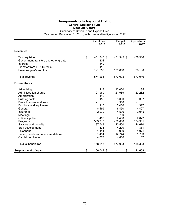## **Thompson-Nicola Regional District General Operating Fund Mosquito Control**

|                                       | Operations<br>2018 | <b>Budget</b><br>2018 | Operations<br>2017 |
|---------------------------------------|--------------------|-----------------------|--------------------|
| Revenue:                              |                    |                       |                    |
| Tax requisition                       | \$<br>451,345 \$   | 451,345 \$            | 478,916            |
| Government transfers and other grants | 302                |                       |                    |
| Interest                              | 849                |                       |                    |
| <b>Transfer from TCA Surplus</b>      | 110                |                       |                    |
| Previous year's surplus               | 121,658            | 121,658               | 98,130             |
| <b>Total revenue</b>                  | 574,264            | 573,003               | 577,046            |
| <b>Expenditures:</b>                  |                    |                       |                    |
| Advertising                           | 213                | 10,000                | 35                 |
| Administration charge                 | 21,969             | 21,969                | 23,282             |
| Amortization                          | 110                |                       |                    |
| <b>Building costs</b>                 | 159                | 3,000                 | 357                |
| Dues, licences and fees               |                    | 360                   |                    |
| Furniture and equipment               | 115                | 2,400                 | 327                |
| General                               | 8,199              | 6,450                 | 4,407              |
| Insurance                             | 2,079              | 4,500                 | 2,045              |
| Meetings                              |                    | 780                   |                    |
| Office supplies                       | 1,405              | 2,400                 | 2,022              |
| Programs                              | 389,318            | 458,000               | 374,981            |
| Salaries and benefits                 | 37,543             | 40,500                | 44,670             |
| Staff development                     | 433                | 4,200                 | 351                |
| Telephone                             | 1,111              | 900                   | 1,071              |
| Travel, meals and accommodations      | 1,484              | 12,744                | 1,753              |
| Capital purchases                     | 4,077              | 4,800                 | 87                 |
| <b>Total expenditures</b>             | 468,215            | 573,003               | 455,388            |
| Surplus - end of year                 | \$<br>106,049 \$   | \$                    | 121,658            |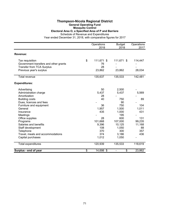### **Thompson-Nicola Regional District General Operating Fund Mosquito Control**

### **Electoral Area O, a Specified Area of P and Barriere**

Schedule of Revenue and Expenditures

|                                       | Operations<br>2018 | <b>Budget</b><br>2018 | Operations<br>2017 |
|---------------------------------------|--------------------|-----------------------|--------------------|
| Revenue:                              |                    |                       |                    |
| Tax requisition                       | \$<br>111,671 \$   | 111,671 \$            | 114,447            |
| Government transfers and other grants | 76                 |                       |                    |
| <b>Transfer from TCA Surplus</b>      | 28                 |                       |                    |
| Previous year's surplus               | 23,862             | 23,862                | 28,034             |
| Total revenue                         | 135,637            | 135,533               | 142,481            |
| <b>Expenditures:</b>                  |                    |                       |                    |
| Advertising                           | 50                 | 2,500                 |                    |
| Administration charge                 | 5,437              | 5,437                 | 5,569              |
| Amortization                          | 28                 |                       |                    |
| <b>Building costs</b>                 | 40                 | 750                   | 89                 |
| Dues, licences and fees               |                    | 90                    |                    |
| Furniture and equipment               | 36                 | 750                   | 104                |
| General                               | 1,957              | 1,500                 | 1,011              |
| Insurance                             | 435                | 1,000                 | 431                |
| Meetings                              |                    | 195                   |                    |
| Office supplies                       | 28                 | 600                   | 131                |
| Programs                              | 101,668            | 107,000               | 99,235             |
| Salaries and benefits                 | 9,396              | 10,125                | 11,168             |
| Staff development                     | 108                | 1,050                 | 88                 |
| Telephone                             | 370                | 300                   | 357                |
| Travel, meals and accommodations      | 374                | 3,186                 | 436                |
| Capital purchases                     | 1,012              | 1,050                 |                    |
| <b>Total expenditures</b>             | 120,939            | 135,533               | 118,619            |
| Surplus - end of year                 | \$<br>14,698 \$    | \$                    | 23,862             |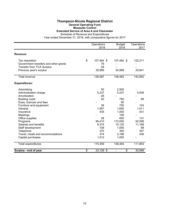### **Thompson-Nicola Regional District General Operating Fund Mosquito Control Extended Service of Area A and Clearwater**

|                                       | Operations<br>2018 | <b>Budget</b><br>2018          | Operations<br>2017 |
|---------------------------------------|--------------------|--------------------------------|--------------------|
| Revenue:                              |                    |                                |                    |
| Tax requisition                       | \$<br>107,484 \$   | 107,484 \$                     | 122,211            |
| Government transfers and other grants | 76                 |                                |                    |
| <b>Transfer from TCA Surplus</b>      | 28                 |                                |                    |
| Previous year's surplus               | 30,999             | 30,999                         | 20,641             |
| Total revenue                         | 138,587            | 138,483                        | 142,852            |
| <b>Expenditures:</b>                  |                    |                                |                    |
| Advertising                           | 50                 | 2,500                          |                    |
| Administration charge                 | 5,237              | 5,237                          | 5,939              |
| Amortization                          | 28                 |                                |                    |
| <b>Building costs</b>                 | 40                 | 750                            | 89                 |
| Dues, licences and fees               |                    | 90                             |                    |
| Furniture and equipment               | 36                 | 750                            | 104                |
| General                               | 1,957              | 1,650                          | 1,011              |
| Insurance                             | 435                | 1,000                          | 431                |
| Meetings                              |                    | 195                            |                    |
| Office supplies                       | 28                 | 600                            | 131                |
| Programs                              | 96,410             | 110,000                        | 92,099             |
| Salaries and benefits                 | 9,374              | 10,125                         | 11,168             |
| Staff development                     | 108                | 1,050                          | 88                 |
| Telephone                             | 370                | 300                            | 357                |
| Travel, meals and accommodations      | 374                | 3,186                          | 436                |
| Capital purchases                     | 1,012              | 1,050                          |                    |
| <b>Total expenditures</b>             | 115,459            | 138,483                        | 111,853            |
| Surplus - end of year                 | \$<br>23,128 \$    | \$<br>$\overline{\phantom{a}}$ | 30,999             |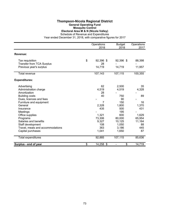## **Thompson-Nicola Regional District General Operating Fund Mosquito Control Electoral Area M & N (Nicola Valley)**

Schedule of Revenue and Expenditures

|                                  | Operations<br>2018 | <b>Budget</b><br>2018          | Operations<br>2017 |
|----------------------------------|--------------------|--------------------------------|--------------------|
| Revenue:                         |                    |                                |                    |
|                                  |                    |                                |                    |
| Tax requisition                  | \$<br>92,396 \$    | 92,396 \$                      | 88,398             |
| <b>Transfer from TCA Surplus</b> | 28                 |                                |                    |
| Previous year's surplus          | 14,719             | 14,719                         | 11,957             |
| Total revenue                    | 107,143            | 107,115                        | 100,355            |
| <b>Expenditures:</b>             |                    |                                |                    |
| Advertising                      | 62                 | 2,500                          | 35                 |
| Administration charge            | 4,519              | 4,519                          | 4,328              |
| Amortization                     | 28                 |                                |                    |
| <b>Building costs</b>            | 40                 | 750                            | 89                 |
| Dues, licences and fees          |                    | 90                             |                    |
| Furniture and equipment          | $\overline{7}$     | 150                            | 16                 |
| General                          | 2,328              | 1,800                          | 1,370              |
| Insurance                        | 435                | 500                            | 431                |
| Meetings                         |                    | 195                            |                    |
| Office supplies                  | 1,321              | 600                            | 1,629              |
| Programs                         | 73,306             | 80,000                         | 65,954             |
| Salaries and benefits            | 9,327              | 10,125                         | 11,164             |
| Staff development                | 108                | 1,050                          | 88                 |
| Travel, meals and accommodations | 363                | 3,186                          | 445                |
| Capital purchases                | 1,041              | 1,650                          | 87                 |
| <b>Total expenditures</b>        | 92,885             | 107,115                        | 85,636             |
| Surplus - end of year            | \$<br>14,258 \$    | \$<br>$\overline{\phantom{a}}$ | 14,719             |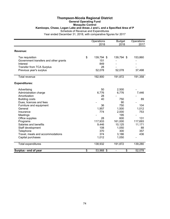### **Thompson-Nicola Regional District General Operating Fund Mosquito Control Kamloops, Chase, Logan Lake and Areas J and L and a Specified Area of P** Schedule of Revenue and Expenditures

|                                       | Operations       | <b>Budget</b> | Operations |
|---------------------------------------|------------------|---------------|------------|
|                                       | 2018             | 2018          | 2017       |
| Revenue:                              |                  |               |            |
| Tax requisition                       | \$<br>139,794 \$ | 139,794 \$    | 153,860    |
| Government transfers and other grants | 151              |               |            |
| Interest                              | 849              |               |            |
| <b>Transfer from TCA Surplus</b>      | 28               |               |            |
| Previous year's surplus               | 52,078           | 52,078        | 37,498     |
| <b>Total revenue</b>                  | 192,900          | 191,872       | 191,358    |
| <b>Expenditures:</b>                  |                  |               |            |
| Advertising                           | 50               | 2,500         |            |
| Administration charge                 | 6,776            | 6,776         | 7,446      |
| Amortization                          | 28               |               |            |
| <b>Building costs</b>                 | 40               | 750           | 89         |
| Dues, licences and fees               |                  | 90            |            |
| Furniture and equipment               | 36               | 750           | 104        |
| General                               | 1,957            | 1,500         | 1,012      |
| Insurance                             | 774              | 2,000         | 753        |
| Meetings                              |                  | 195           |            |
| Office supplies                       | 28               | 600           | 131        |
| Programs                              | 117,933          | 161,000       | 117,693    |
| Salaries and benefits                 | 9,446            | 10,125        | 11,171     |
| Staff development                     | 108              | 1,050         | 88         |
| Telephone                             | 370              | 300           | 357        |
| Travel, meals and accommodations      | 374              | 3,186         | 436        |
| Capital purchases                     | 1,012            | 1,050         |            |
| <b>Total expenditures</b>             | 138,932          | 191,872       | 139,280    |
| Surplus - end of year                 | \$<br>53,968 \$  | \$            | 52,078     |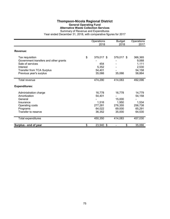## **Thompson-Nicola Regional District General Operating Fund Alternative Waste Collection Services**

|                                       | Operations<br>2018 | <b>Budget</b><br>2018 | Operations<br>2017 |
|---------------------------------------|--------------------|-----------------------|--------------------|
| Revenue:                              |                    |                       |                    |
| Tax requisition                       | \$<br>379,017 \$   | 379,017 \$            | 366,365            |
| Government transfers and other grants |                    |                       | 9,068              |
| Sale of services<br>Interest          | 454<br>5,352       |                       | 1,111<br>2,530     |
| <b>Transfer from TCA Surplus</b>      | 54,401             |                       | 54,158             |
| Previous year's surplus               | 35,066             | 35,066                | 58,864             |
|                                       |                    |                       |                    |
| Total revenue                         | 474,290            | 414,083               | 492,096            |
| <b>Expenditures:</b>                  |                    |                       |                    |
| Administration charge                 | 16,778             | 16,778                | 14,779             |
| Amortization                          | 54,401             |                       | 54,158             |
| General                               |                    | 15,000                |                    |
| Insurance                             | 1,516              | 1,950                 | 1,534              |
| Operating costs                       | 277,281            | 276,355               | 256,738            |
| Programs                              | 64,022             | 69,000                | 65,291             |
| Transfer to reserve                   | 36,352             | 35,000                | 64,530             |
| Total expenditures                    | 450,350            | 414,083               | 457,030            |
| Surplus - end of year                 | \$<br>23,940 \$    | \$                    | 35,066             |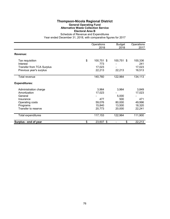## **Thompson-Nicola Regional District General Operating Fund Alternative Waste Collection Service Electoral Area B**

|                                  | Operations<br>2018      | <b>Budget</b><br>2018 | Operations<br>2017 |
|----------------------------------|-------------------------|-----------------------|--------------------|
| Revenue:                         |                         |                       |                    |
| Tax requisition<br>Interest      | \$<br>100,751 \$<br>773 | 100,751 \$            | 100,336<br>241     |
| <b>Transfer from TCA Surplus</b> | 17,023                  |                       | 17,023             |
| Previous year's surplus          | 22,213                  | 22,213                | 16,513             |
| Total revenue                    | 140,760                 | 122,964               | 134,113            |
| <b>Expenditures:</b>             |                         |                       |                    |
| Administration charge            | 3,964                   | 3,964                 | 3,849              |
| Amortization                     | 17,023                  |                       | 17,023             |
| General                          |                         | 5,000                 |                    |
| Insurance                        | 477                     | 500                   | 471                |
| Operating costs                  | 59,076                  | 80,000                | 49,996             |
| Programs                         | 15,840                  | 13,500                | 18,320             |
| Transfer to reserve              | 20,773                  | 20,000                | 22,241             |
| Total expenditures               | 117,153                 | 122,964               | 111,900            |
| Surplus - end of year            | \$<br>23,607 \$         | \$                    | 22,213             |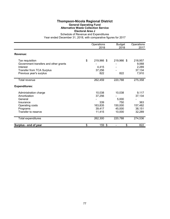## **Thompson-Nicola Regional District General Operating Fund Alternative Waste Collection Service Electoral Area J**

|                                                                                                                                     | Operations<br>2018                                     | <b>Budget</b><br>2018                                 | Operations<br>2017                                    |
|-------------------------------------------------------------------------------------------------------------------------------------|--------------------------------------------------------|-------------------------------------------------------|-------------------------------------------------------|
| Revenue:                                                                                                                            |                                                        |                                                       |                                                       |
| Tax requisition<br>Government transfers and other grants<br>Interest<br><b>Transfer from TCA Surplus</b><br>Previous year's surplus | \$<br>219,966 \$<br>4,415<br>37,256<br>822             | 219,966 \$<br>822                                     | 218,957<br>9,068<br>2,289<br>37,134<br>7,910          |
| Total revenue                                                                                                                       | 262,459                                                | 220,788                                               | 275,358                                               |
| <b>Expenditures:</b>                                                                                                                |                                                        |                                                       |                                                       |
| Administration charge<br>Amortization<br>General<br>Insurance<br>Operating costs<br>Programs<br>Transfer to reserve                 | 10,038<br>37,256<br>339<br>163,835<br>39,417<br>11,415 | 10,038<br>5,000<br>750<br>150,000<br>45,000<br>10,000 | 9,117<br>37,134<br>363<br>157,482<br>38,151<br>32,289 |
| Total expenditures                                                                                                                  | 262,300                                                | 220,788                                               | 274,536                                               |
| Surplus - end of year                                                                                                               | \$<br>159 \$                                           | \$<br>$\qquad \qquad \blacksquare$                    | 822                                                   |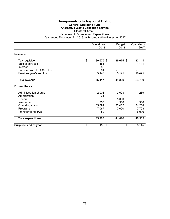## **Thompson-Nicola Regional District General Operating Fund Alternative Waste Collection Service Electoral Area P**

|                                  | Operations<br>2018 | <b>Budget</b><br>2018 | Operations<br>2017 |
|----------------------------------|--------------------|-----------------------|--------------------|
| Revenue:                         |                    |                       |                    |
| Tax requisition                  | \$<br>39,675 \$    | 39,675 \$             | 33,144             |
| Sale of services                 | 454                |                       | 1,111              |
| Interest                         | 82                 |                       |                    |
| <b>Transfer from TCA Surplus</b> | 61                 |                       |                    |
| Previous year's surplus          | 5,145              | 5,145                 | 19,475             |
| Total revenue                    | 45,417             | 44,820                | 53,730             |
| <b>Expenditures:</b>             |                    |                       |                    |
| Administration charge            | 2,008              | 2,008                 | 1,269              |
| Amortization                     | 61                 |                       |                    |
| General                          |                    | 5,000                 |                    |
| Insurance                        | 350                | 350                   | 350                |
| Operating costs                  | 35,699             | 30,462                | 34,258             |
| Programs                         | 7,067              | 7,000                 | 7,708              |
| Transfer to reserve              | 82                 |                       | 5,000              |
| Total expenditures               | 45,267             | 44,820                | 48,585             |
| Surplus - end of year            | \$<br>150 \$       | \$                    | 5,145              |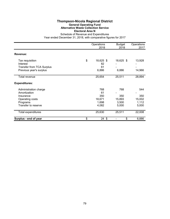## **Thompson-Nicola Regional District General Operating Fund Alternative Waste Collection Service Electoral Area N**

|                                                                                                          | Operations<br>2018                           | <b>Budget</b><br>2018                  | Operations<br>2017                     |
|----------------------------------------------------------------------------------------------------------|----------------------------------------------|----------------------------------------|----------------------------------------|
| Revenue:                                                                                                 |                                              |                                        |                                        |
| Tax requisition<br>Interest<br><b>Transfer from TCA Surplus</b><br>Previous year's surplus               | \$<br>18,625 \$<br>82<br>61<br>6,886         | 18,625 \$<br>6,886                     | 13,928<br>14,966                       |
| Total revenue                                                                                            | 25,654                                       | 25,511                                 | 28,894                                 |
| <b>Expenditures:</b>                                                                                     |                                              |                                        |                                        |
| Administration charge<br>Amortization<br>Insurance<br>Operating costs<br>Programs<br>Transfer to reserve | 768<br>61<br>350<br>18,671<br>1,698<br>4,082 | 768<br>350<br>15,893<br>3,500<br>5,000 | 544<br>350<br>15,002<br>1,112<br>5,000 |
| <b>Total expenditures</b>                                                                                | 25,630                                       | 25,511                                 | 22,008                                 |
| Surplus - end of year                                                                                    | \$<br>$24 \text{ } $$                        | \$                                     | 6,886                                  |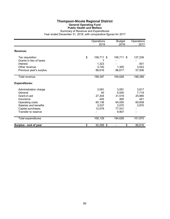## **Thompson-Nicola Regional District General Operating Fund Public Health and Welfare**

|                         | Operations<br>2018 | <b>Budget</b><br>2018 | Operations<br>2017 |
|-------------------------|--------------------|-----------------------|--------------------|
| Revenue:                |                    |                       |                    |
| Tax requisition         | \$<br>106,711 \$   | 106,711 \$            | 127,236            |
| Grants in lieu of taxes | 7                  |                       |                    |
| Interest                | 1,323              |                       | 501                |
| Other revenue           | 3,740              | 1,300                 | 3,543              |
| Previous year's surplus | 86,616             | 86,617                | 57,006             |
| Total revenue           | 198,397            | 194,628               | 188,286            |
| <b>Expenditures:</b>    |                    |                       |                    |
| Administration charge   | 3,091              | 3,091                 | 3,817              |
| General                 | 40                 | 5,000                 | 7,719              |
| Grant-in-aid            | 27,304             | 31,519                | 25,985             |
| Insurance               | 445                | 460                   | 441                |
| Operating costs         | 60,136             | 64,050                | 60,838             |
| Salaries and benefits   | 3,037              | 3,070                 | 2,870              |
| Capital purchases       | 12,076             | 77,531                |                    |
| Transfer to reserve     |                    | 9,907                 |                    |
| Total expenditures      | 106,129            | 194,628               | 101,670            |
| Surplus - end of year   | \$<br>92,268 \$    | \$                    | 86,616             |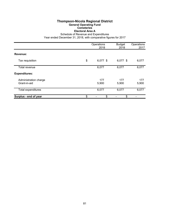## **Thompson-Nicola Regional District General Operating Fund Cemeteries Electoral Area A**

Schedule of Revenue and Expenditures

|                                       | Operations<br>2018 | <b>Budget</b><br>2018 | Operations<br>2017 |
|---------------------------------------|--------------------|-----------------------|--------------------|
| Revenue:                              |                    |                       |                    |
| Tax requisition                       | \$<br>6,077 \$     | 6,077 \$              | 6,077              |
| Total revenue                         | 6,077              | 6,077                 | 6,077              |
| <b>Expenditures:</b>                  |                    |                       |                    |
| Administration charge<br>Grant-in-aid | 177<br>5,900       | 177<br>5,900          | 177<br>5,900       |
| Total expenditures                    | 6,077              | 6,077                 | 6,077              |
| Surplus - end of year                 | \$<br>\$           | \$                    |                    |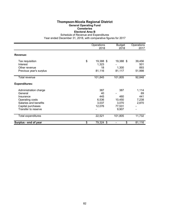### **Thompson-Nicola Regional District General Operating Fund Cemeteries Electoral Area B**

Schedule of Revenue and Expenditures

|                         | Operations<br>2018 | <b>Budget</b><br>2018 | Operations<br>2017 |
|-------------------------|--------------------|-----------------------|--------------------|
| Revenue:                |                    |                       |                    |
| Tax requisition         | \$<br>19,388 \$    | 19,388 \$             | 39,456             |
| Interest                | 1,323              |                       | 501                |
| Other revenue           | 18                 | 1,300                 | 893                |
| Previous year's surplus | 81,116             | 81,117                | 51,998             |
| Total revenue           | 101,845            | 101,805               | 92,848             |
| <b>Expenditures:</b>    |                    |                       |                    |
| Administration charge   | 387                | 387                   | 1,114              |
| General                 | 40                 |                       | 69                 |
| Insurance               | 445                | 460                   | 441                |
| Operating costs         | 6,536              | 10,450                | 7,238              |
| Salaries and benefits   | 3,037              | 3,070                 | 2,870              |
| Capital purchases       | 12,076             | 77,531                |                    |
| Transfer to reserve     |                    | 9,907                 |                    |
| Total expenditures      | 22,521             | 101,805               | 11,732             |
| Surplus - end of year   | \$<br>79,324 \$    | \$                    | 81,116             |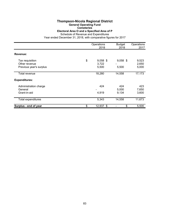# **Thompson-Nicola Regional District**

**General Operating Fund**

**Cemeteries Electoral Area O and a Specified Area of P**

Schedule of Revenue and Expenditures

|                                          | Operations<br>2018 | <b>Budget</b><br>2018 | Operations<br>2017 |
|------------------------------------------|--------------------|-----------------------|--------------------|
| Revenue:                                 |                    |                       |                    |
| Tax requisition                          | \$<br>$9,058$ \$   | $9,058$ \$            | 9,523              |
| Other revenue<br>Previous year's surplus | 3,722<br>5,500     | 5,500                 | 2,650<br>5,000     |
| Total revenue                            | 18,280             | 14,558                | 17,173             |
| <b>Expenditures:</b>                     |                    |                       |                    |
| Administration charge                    | 424                | 424                   | 423                |
| General<br>Grant-in-aid                  | 4,919              | 5,000<br>9,134        | 7,650<br>3,600     |
| <b>Total expenditures</b>                | 5,343              | 14,558                | 11,673             |
| Surplus - end of year                    | \$<br>12,937 \$    | \$                    | 5,500              |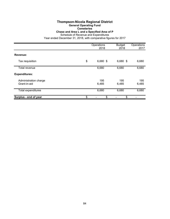### **Thompson-Nicola Regional District General Operating Fund Cemeteries**

**Chase and Area L and a Specified Area of P**

Schedule of Revenue and Expenditures

|                                       | Operations<br>2018 | <b>Budget</b><br>2018 | Operations<br>2017 |
|---------------------------------------|--------------------|-----------------------|--------------------|
| Revenue:                              |                    |                       |                    |
| Tax requisition                       | \$<br>6,680 \$     | 6,680 \$              | 6,680              |
| Total revenue                         | 6,680              | 6,680                 | 6,680              |
| <b>Expenditures:</b>                  |                    |                       |                    |
| Administration charge<br>Grant-in-aid | 195<br>6,485       | 195<br>6,485          | 195<br>6,485       |
| <b>Total expenditures</b>             | 6,680              | 6,680                 | 6,680              |
| Surplus - end of year                 | \$<br>\$           | \$                    |                    |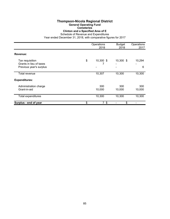### **Thompson-Nicola Regional District General Operating Fund Cemeteries Clinton and a Specified Area of E**

Schedule of Revenue and Expenditures

|                                                                       | Operations<br>2018   | <b>Budget</b><br>2018 | Operations<br>2017 |
|-----------------------------------------------------------------------|----------------------|-----------------------|--------------------|
| Revenue:                                                              |                      |                       |                    |
| Tax requisition<br>Grants in lieu of taxes<br>Previous year's surplus | \$<br>10,300 \$      | 10,300 \$             | 10,294<br>6        |
| Total revenue                                                         | 10,307               | 10,300                | 10,300             |
| <b>Expenditures:</b>                                                  |                      |                       |                    |
| Administration charge<br>Grant-in-aid                                 | 300<br>10,000        | 300<br>10,000         | 300<br>10,000      |
| <b>Total expenditures</b>                                             | 10,300               | 10,300                | 10,300             |
| Surplus - end of year                                                 | \$<br>7 <sup>°</sup> | \$                    |                    |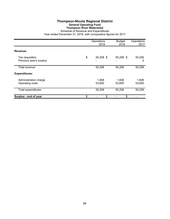## **Thompson-Nicola Regional District General Operating Fund Thompson River Watershed**

|                                            | Operations<br>2018 | <b>Budget</b><br>2018 | Operations<br>2017 |
|--------------------------------------------|--------------------|-----------------------|--------------------|
| Revenue:                                   |                    |                       |                    |
| Tax requisition<br>Previous year's surplus | \$<br>55,208 \$    | 55,208 \$             | 55,206<br>2        |
| Total revenue                              | 55,208             | 55,208                | 55,208             |
| <b>Expenditures:</b>                       |                    |                       |                    |
| Administration charge<br>Operating costs   | 1,608<br>53,600    | 1,608<br>53,600       | 1,608<br>53,600    |
| <b>Total expenditures</b>                  | 55,208             | 55,208                | 55,208             |
| Surplus - end of year                      | \$<br>\$           | \$                    |                    |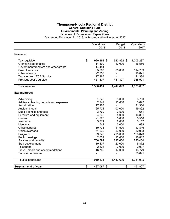### **Thompson-Nicola Regional District General Operating Fund Environmental Planning and Zoning**

Schedule of Revenue and Expenditures

|                                       | Operations       | <b>Budget</b>            | Operations |
|---------------------------------------|------------------|--------------------------|------------|
|                                       | 2018             | 2018                     | 2017       |
| Revenue:                              |                  |                          |            |
|                                       |                  |                          |            |
| Tax requisition                       | \$<br>920,892 \$ | 920,892 \$               | 1,005,287  |
| Grants in lieu of taxes               | 14,390           | 10,000                   | 16,550     |
| Government transfers and other grants | 14,481           | $\overline{\phantom{0}}$ | ÷,         |
| Sale of services                      | 65,667           | 65,000                   | 114,709    |
| Other revenue                         | 22,057           |                          | 10,021     |
| Transfer from TCA Surplus             | 17,167           | $\overline{\phantom{a}}$ | 21,334     |
| Previous year's surplus               | 451,807          | 451,807                  | 365,901    |
| <b>Total revenue</b>                  | 1,506,461        | 1,447,699                | 1,533,802  |
| <b>Expenditures:</b>                  |                  |                          |            |
| Advertising                           | 1,246            | 3,000                    | 3,750      |
| Advisory planning commission expenses | 2,249            | 13,000                   | 3,692      |
| Amortization                          | 17,167           |                          | 21,334     |
| Audit and legal                       | 25,724           | 100,000                  | 19,892     |
| Dues, licences and fees               | 3,769            | 3,500                    | 651        |
| Furniture and equipment               | 4,245            | 5,000                    | 16,861     |
| General                               | 21,028           | 5,000                    | 5,518      |
| Insurance                             | 3,071            | 8,000                    | 3,117      |
| Meetings                              | 544              | 3,000                    | 698        |
| Office supplies                       | 10,731           | 11,500                   | 13,846     |
| Office overhead                       | 51,039           | 53,099                   | 52,908     |
| Programs                              | 89,349           | 295,000                  | 128,073    |
| Public hearings                       | 2,609            | 10,000                   | 10,812     |
| Salaries and benefits                 | 756,599          | 897,600                  | 725,404    |
| Staff development                     | 10,407           | 20,000                   | 5,872      |
| Telephone                             | 2,828            | 3,000                    | 2,097      |
| Travel, meals and accommodations      | 16,769           | 17,000                   | 13,779     |
| Transfer to reserve                   |                  |                          | 53,691     |
| <b>Total expenditures</b>             | 1,019,374        | 1,447,699                | 1,081,995  |
| Surplus - end of year                 | \$<br>487,087 \$ | \$<br>L,                 | 451,807    |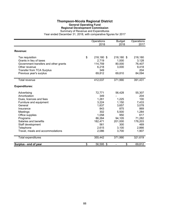## **Thompson-Nicola Regional District General Operating Fund Regional Development Commission**

Summary of Revenue and Expenditures

|                                       | Operations<br>2018 | <b>Budget</b><br>2018 | Operations<br>2017 |
|---------------------------------------|--------------------|-----------------------|--------------------|
| Revenue:                              |                    |                       |                    |
| Tax requisition                       | \$<br>218,180 \$   | 218,180 \$            | 218,180            |
| Grants in lieu of taxes               | 2,719              | 1,000                 | 3,128              |
| Government transfers and other grants | 114,759            | 80,000                | 76,407             |
| Other revenue                         | 6,218              | 3,000                 | 9,418              |
| <b>Transfer from TCA Surplus</b>      | 349                |                       | 204                |
| Previous year's surplus               | 69,812             | 69,810                | 84,094             |
| <b>Total revenue</b>                  | 412,037            | 371,990               | 391,431            |
| <b>Expenditures:</b>                  |                    |                       |                    |
| Advertising                           | 72,771             | 56,428                | 55,307             |
| Amortization                          | 349                |                       | 204                |
| Dues, licences and fees               | 1,261              | 1,225                 | 100                |
| Furniture and equipment               | 3,224              | 1,150                 | 7,433              |
| General                               | 1,637              | 3,657                 | 3,078              |
| Insurance                             | 843                | 875                   | 869                |
| Meetings                              | 302                | 5,500                 | 1,284              |
| Office supplies                       | 1,058              | 950                   | 617                |
| Programs                              | 86,264             | 94,105                | 71,282             |
| Salaries and benefits                 | 182,471            | 201,000               | 176,203            |
| Staff development                     | 561                | 300                   | 469                |
| Telephone                             | 2,615              | 3,100                 | 2,866              |
| Travel, meals and accommodations      | 2,086              | 3,700                 | 1,907              |
| <b>Total expenditures</b>             | 355,442            | 371,990               | 321,619            |
| Surplus - end of year                 | \$<br>56,595 \$    | \$                    | 69,812             |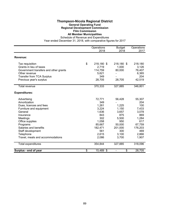## **Thompson-Nicola Regional District General Operating Fund Regional Development Commission Film Commission**

# **All Member Municipalities**

Schedule of Revenue and Expenditures Year ended December 31, 2018, with comparative figures for 2017

Operations Budget Operations 2018 2018 2017 **Revenue:** Tax requisition **1200 S** 218,180 \$ 218,180 \$ 218,180 Grants in lieu of taxes 2,719 1,000 3,126 Government transfers and other grants  $\begin{array}{cccc} 114,759 & 80,000 & 76,407 \\ 0 & - & 6,365 \end{array}$ Other revenue 5,621 - 6,365 and 5,621 - 6,365 and 5,621 and 5,621 and 5,621 and 5,621 and 5,621 and 5,621 and 5,621 and 5,621 and 5,621 and 5,621 and 5,621 and 5,621 and 5,621 and 5,621 and 5,621 and 5,621 and 5,621 and 5, Transfer from TCA Surplus 349 - 204 Previous year's surplus 28,705 28,705 42,519 Total revenue 370,333 327,885 346,801 **Expenditures:** Advertising 55,307 Amortization 204<br>
Dues. licences and fees example and the set of the set of the set of the set of the set of the set of the set o<br>  $\frac{349}{1.261}$  and the set of the set of the set of the set of the set of the set of the s Dues, licences and fees 1,261 1,225<br>
Furniture and equipment 1,261 1,225<br>
1.150 Furniture and equipment **1.150** 1,150 1,150 7,433 General 1,636 3,657 3,078 Insurance 843 875 869 Meetings 302 5,500 1,284 Office supplies 617 Programs 85,667 50,000 67,759 Salaries and benefits 182,471 201,000 176,203<br>Staff development 661 300 469 Staff development 6561 561 300 469<br>Telephone 3.100 2.866 Telephone 2,615 3,100 2,866 Travel, meals and accommodations 2,086 3,700 1,907 Total expenditures 354,844 327,885 318,096 **Surplus - end of year by Surplus - end of year by Surplus - Strategy August 28,705**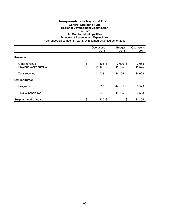# **Thompson-Nicola Regional District**

## **General Operating Fund**

## **Regional Development Commission**

# **Tourism**

# **All Member Municipalities**

|                                          | Operations<br>2018     | <b>Budget</b><br>2018 | Operations<br>2017 |
|------------------------------------------|------------------------|-----------------------|--------------------|
| Revenue:                                 |                        |                       |                    |
| Other revenue<br>Previous year's surplus | \$<br>598 \$<br>41,105 | $3,000$ \$<br>41,105  | 3,053<br>41,575    |
| Total revenue                            | 41,703                 | 44,105                | 44,628             |
| <b>Expenditures:</b>                     |                        |                       |                    |
| Programs                                 | 598                    | 44,105                | 3,523              |
| Total expenditures                       | 598                    | 44,105                | 3,523              |
| Surplus - end of year                    | \$<br>41,105 \$        | \$                    | 41,105             |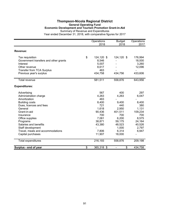## **Thompson-Nicola Regional District General Operating Fund Economic Development and Tourism Promotion Grant-in-Aid** Summary of Revenue and Expenditures

|                                       | Operations<br>2018 | <b>Budget</b><br>2018 | Operations<br>2017 |
|---------------------------------------|--------------------|-----------------------|--------------------|
|                                       |                    |                       |                    |
| Revenue:                              |                    |                       |                    |
| Tax requisition                       | \$<br>124,120 \$   | 124,120 \$            | 176,994            |
| Government transfers and other grants | 8,546              |                       | 18,000             |
| Interest                              | 5,007              |                       | 3,260              |
| Other revenue                         | 8,617              |                       | 12,096             |
| <b>Transfer from TCA Surplus</b>      | 463                |                       |                    |
| Previous year's surplus               | 434,758            | 434,756               | 433,606            |
| <b>Total revenue</b>                  | 581,511            | 558,876               | 643,956            |
| <b>Expenditures:</b>                  |                    |                       |                    |
| Advertising                           | 567                | 400                   | 297                |
| Administration charge                 | 4,263              | 4,263                 | 6,047              |
| Amortization                          | 463                |                       |                    |
| <b>Building costs</b>                 | 8,400              | 9,400                 | 8,400              |
| Dues, licences and fees               | 721                | 440                   | 380                |
| General                               | 1,618              | 2,950                 | 1,131              |
| Grant-in-aid                          | 90,436             | 401,511               | 109,234            |
| Insurance                             | 700                | 700                   | 700                |
| Office supplies                       | 7,061              | 6,200                 | 8,575              |
| Programs                              | 38,871             | 59,175                | 24,164             |
| Salaries and benefits                 | 43,380             | 48,523                | 40,526             |
| Staff development                     |                    | 1,000                 | 2,797              |
| Travel, meals and accommodations      | 7,806              | 6,314                 | 6,947              |
| Capital purchases                     | 11,907             | 18,000                |                    |
| <b>Total expenditures</b>             | 216,193            | 558,876               | 209,198            |
| Surplus - end of year                 | \$<br>365,318 \$   | \$                    | 434,758            |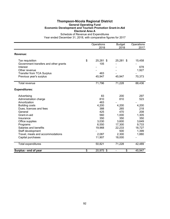## **Thompson-Nicola Regional District General Operating Fund Economic Development and Tourism Promotion Grant-in-Aid Electoral Area A**

|                                       | Operations      | <b>Budget</b> | Operations |
|---------------------------------------|-----------------|---------------|------------|
|                                       | 2018            | 2018          | 2017       |
| Revenue:                              |                 |               |            |
| Tax requisition                       | \$<br>25,281 \$ | 25,281 \$     | 15,458     |
| Government transfers and other grants | 105             |               |            |
| Interest                              |                 |               | 678        |
| Other revenue                         |                 |               | 1,927      |
| <b>Transfer from TCA Surplus</b>      | 463             |               |            |
| Previous year's surplus               | 45,947          | 45,947        | 70,373     |
| Total revenue                         | 71,796          | 71,228        | 88,436     |
| <b>Expenditures:</b>                  |                 |               |            |
| Advertising                           | 83              | 200           | 297        |
| Administration charge                 | 810             | 810           | 523        |
| Amortization                          | 463             |               |            |
| <b>Building costs</b>                 | 4,200           | 4,200         | 4,200      |
| Dues, licences and fees               | 388             | 265           | 218        |
| General                               | 425             | 470           | 208        |
| Grant-in-aid                          | 560             | 1,000         | 1,305      |
| Insurance                             | 350             | 350           | 350        |
| Office supplies                       | 3,030           | 3,600         | 3,649      |
| Programs                              | 6,550           | 17,300        | 9,733      |
| Salaries and benefits                 | 19,968          | 22,233        | 18,727     |
| Staff development                     |                 | 500           | 1,399      |
| Travel, meals and accommodations      | 2,087           | 2,300         | 1,880      |
| Capital purchases                     | 11,907          | 18,000        |            |
| <b>Total expenditures</b>             | 50,821          | 71,228        | 42,489     |
| Surplus - end of year                 | \$<br>20,975 \$ | \$            | 45,947     |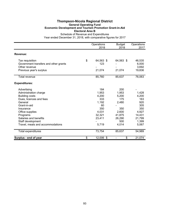## **Thompson-Nicola Regional District General Operating Fund Economic Development and Tourism Promotion Grant-in-Aid Electoral Area B**

|                                       | Operations      | <b>Budget</b> | Operations |
|---------------------------------------|-----------------|---------------|------------|
|                                       | 2018            | 2018          | 2017       |
| Revenue:                              |                 |               |            |
| Tax requisition                       | \$<br>64,563 \$ | 64,563 \$     | 46,535     |
| Government transfers and other grants | 123             |               | 6,000      |
| Other revenue                         |                 |               | 3,692      |
| Previous year's surplus               | 21,074          | 21,074        | 19,836     |
| <b>Total revenue</b>                  | 85,760          | 85,637        | 76,063     |
| <b>Expenditures:</b>                  |                 |               |            |
| Advertising                           | 184             | 200           |            |
| Administration charge                 | 1,953           | 1,953         | 1,428      |
| <b>Building costs</b>                 | 4,200           | 5,200         | 4,200      |
| Dues, licences and fees               | 333             | 175           | 163        |
| General                               | 1,192           | 2,480         | 920        |
| Grant-in-aid                          | 60              |               | 305        |
| Insurance                             | 350             | 350           | 350        |
| Office supplies                       | 4,031           | 2,600         | 4,927      |
| Programs                              | 32,321          | 41,875        | 14,431     |
| Salaries and benefits                 | 23,411          | 26,290        | 21,799     |
| Staff development                     |                 | 500           | 1,399      |
| Travel, meals and accommodations      | 5,719           | 4,014         | 5,067      |
| <b>Total expenditures</b>             | 73,754          | 85,637        | 54,989     |
| Surplus - end of year                 | \$<br>12,006 \$ | \$            | 21,074     |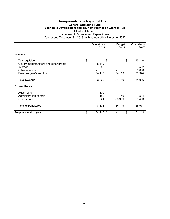## **Thompson-Nicola Regional District General Operating Fund Economic Development and Tourism Promotion Grant-in-Aid Electoral Area E**

|                                                                                                                  | Operations<br>2018                 | <b>Budget</b><br>2018 | Operations<br>2017               |
|------------------------------------------------------------------------------------------------------------------|------------------------------------|-----------------------|----------------------------------|
| Revenue:                                                                                                         |                                    |                       |                                  |
| Tax requisition<br>Government transfers and other grants<br>Interest<br>Other revenue<br>Previous year's surplus | \$<br>\$<br>8,319<br>882<br>54,119 | \$<br>54,119          | 15,140<br>582<br>5,000<br>60,374 |
| <b>Total revenue</b>                                                                                             | 63,320                             | 54,119                | 81,096                           |
| <b>Expenditures:</b>                                                                                             |                                    |                       |                                  |
| Advertising<br>Administration charge<br>Grant-in-aid                                                             | 300<br>150<br>7,924                | 150<br>53,969         | 514<br>26,463                    |
| <b>Total expenditures</b>                                                                                        | 8,374                              | 54,119                | 26,977                           |
| Surplus - end of year                                                                                            | \$<br>54,946 \$                    | \$                    | 54,119                           |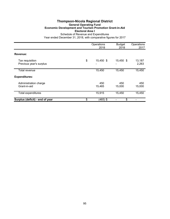### **Thompson-Nicola Regional District General Operating Fund Economic Development and Tourism Promotion Grant-in-Aid Electoral Area I** Schedule of Revenue and Expenditures

|                                            | Operations<br>2018 | <b>Budget</b><br>2018 | Operations<br>2017 |
|--------------------------------------------|--------------------|-----------------------|--------------------|
| Revenue:                                   |                    |                       |                    |
| Tax requisition<br>Previous year's surplus | \$<br>15,450 \$    | 15,450 \$             | 13,187<br>2,263    |
| Total revenue                              | 15,450             | 15,450                | 15,450             |
| <b>Expenditures:</b>                       |                    |                       |                    |
| Administration charge<br>Grant-in-aid      | 450<br>15,465      | 450<br>15,000         | 450<br>15,000      |
| <b>Total expenditures</b>                  | 15,915             | 15,450                | 15,450             |
| Surplus (deficit) - end of year            | \$<br>(465) \$     | \$                    |                    |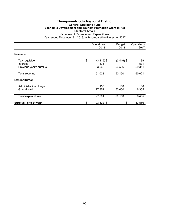### **Thompson-Nicola Regional District General Operating Fund Economic Development and Tourism Promotion Grant-in-Aid Electoral Area J** Schedule of Revenue and Expenditures

|                                       | Operations<br>2018        | <b>Budget</b><br>2018 | Operations<br>2017 |
|---------------------------------------|---------------------------|-----------------------|--------------------|
|                                       |                           |                       |                    |
| Revenue:                              |                           |                       |                    |
| Tax requisition<br>Interest           | \$<br>$(3,416)$ \$<br>873 | $(3,416)$ \$          | 139<br>571         |
| Previous year's surplus               | 53,566                    | 53,566                | 59,311             |
| Total revenue                         | 51,023                    | 50,150                | 60,021             |
| <b>Expenditures:</b>                  |                           |                       |                    |
| Administration charge<br>Grant-in-aid | 150<br>27,351             | 150<br>50,000         | 150<br>6,305       |
| <b>Total expenditures</b>             | 27,501                    | 50,150                | 6,455              |
| Surplus - end of year                 | \$<br>23,522 \$           | \$                    | 53,566             |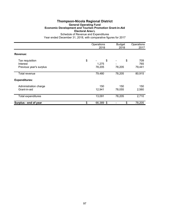### **Thompson-Nicola Regional District General Operating Fund Economic Development and Tourism Promotion Grant-in-Aid Electoral Area L** Schedule of Revenue and Expenditures

|                                                        | Operations<br>2018          | <b>Budget</b><br>2018 | Operations<br>2017   |
|--------------------------------------------------------|-----------------------------|-----------------------|----------------------|
| Revenue:                                               |                             |                       |                      |
| Tax requisition<br>Interest<br>Previous year's surplus | \$<br>\$<br>1,275<br>78,205 | \$<br>78,205          | 709<br>765<br>79,441 |
| Total revenue                                          | 79,480                      | 78,205                | 80,915               |
| <b>Expenditures:</b>                                   |                             |                       |                      |
| Administration charge<br>Grant-in-aid                  | 150<br>12,941               | 150<br>78,055         | 150<br>2,560         |
| Total expenditures                                     | 13,091                      | 78,205                | 2,710                |
| Surplus - end of year                                  | \$<br>66,389 \$             | \$                    | 78,205               |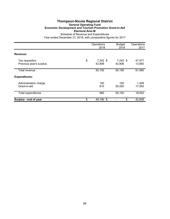## **Thompson-Nicola Regional District General Operating Fund Economic Development and Tourism Promotion Grant-in-Aid Electoral Area M**

|                                            | Operations<br>2018         | <b>Budget</b><br>2018 | Operations<br>2017 |
|--------------------------------------------|----------------------------|-----------------------|--------------------|
| Revenue:                                   |                            |                       |                    |
| Tax requisition<br>Previous year's surplus | \$<br>$7,242$ \$<br>42,908 | $7,242$ \$<br>42,908  | 47,577<br>13,883   |
| Total revenue                              | 50,150                     | 50,150                | 61,460             |
| <b>Expenditures:</b>                       |                            |                       |                    |
| Administration charge<br>Grant-in-aid      | 150<br>810                 | 150<br>50,000         | 1,459<br>17,093    |
| <b>Total expenditures</b>                  | 960                        | 50,150                | 18,552             |
| Surplus - end of year                      | \$<br>49,190 \$            | \$                    | 42,908             |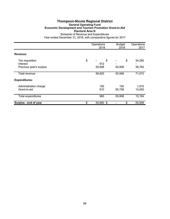## **Thompson-Nicola Regional District General Operating Fund Economic Development and Tourism Promotion Grant-in-Aid Electoral Area N**

|                                                        | Operations<br>2018        | <b>Budget</b><br>2018 | Operations<br>2017 |
|--------------------------------------------------------|---------------------------|-----------------------|--------------------|
| Revenue:                                               |                           |                       |                    |
| Tax requisition<br>Interest<br>Previous year's surplus | \$<br>\$<br>912<br>55,908 | \$<br>55,908          | 34,290<br>36,782   |
| Total revenue                                          | 56,820                    | 55,908                | 71,072             |
| <b>Expenditures:</b>                                   |                           |                       |                    |
| Administration charge<br>Grant-in-aid                  | 150<br>810                | 150<br>55,758         | 1,072<br>14,092    |
| <b>Total expenditures</b>                              | 960                       | 55,908                | 15,164             |
| Surplus - end of year                                  | \$<br>55,860 \$           | \$                    | 55,908             |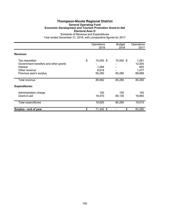### **Thompson-Nicola Regional District General Operating Fund Economic Development and Tourism Promotion Grant-in-Aid Electoral Area O** Schedule of Revenue and Expenditures

|                                                                                                                  | Operations<br>2018                          | <b>Budget</b><br>2018 | Operations<br>2017                        |
|------------------------------------------------------------------------------------------------------------------|---------------------------------------------|-----------------------|-------------------------------------------|
| Revenue:                                                                                                         |                                             |                       |                                           |
| Tax requisition<br>Government transfers and other grants<br>Interest<br>Other revenue<br>Previous year's surplus | \$<br>15,000 \$<br>1,064<br>8,618<br>65,280 | 15,000 \$<br>65,280   | 1,281<br>12,000<br>663<br>1,477<br>68,869 |
| Total revenue                                                                                                    | 89,962                                      | 80,280                | 84,290                                    |
| <b>Expenditures:</b>                                                                                             |                                             |                       |                                           |
| Administration charge<br>Grant-in-aid                                                                            | 150<br>18,470                               | 150<br>80,130         | 150<br>18,860                             |
| <b>Total expenditures</b>                                                                                        | 18,620                                      | 80,280                | 19,010                                    |
| Surplus - end of year                                                                                            | \$<br>71,342 \$                             | \$                    | 65,280                                    |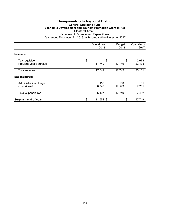## **Thompson-Nicola Regional District General Operating Fund Economic Development and Tourism Promotion Grant-in-Aid Electoral Area P**

|                                            | Operations<br>2018 | <b>Budget</b><br>2018 | Operations<br>2017 |
|--------------------------------------------|--------------------|-----------------------|--------------------|
| Revenue:                                   |                    |                       |                    |
| Tax requisition<br>Previous year's surplus | \$<br>\$<br>17,749 | \$<br>17,749          | 2,678<br>22,473    |
| Total revenue                              | 17,749             | 17,749                | 25,151             |
| <b>Expenditures:</b>                       |                    |                       |                    |
| Administration charge<br>Grant-in-aid      | 150<br>6,047       | 150<br>17,599         | 151<br>7,251       |
| <b>Total expenditures</b>                  | 6,197              | 17,749                | 7,402              |
| Surplus - end of year                      | \$<br>11,552 \$    | \$                    | 17,749             |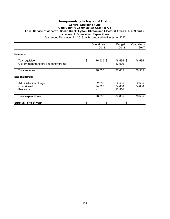#### **Thompson-Nicola Regional District General Operating Fund Gold Country Communities Grant-in-Aid Local Service of Ashcroft, Cache Creek, Lytton, Clinton and Electoral Areas E, I, J, M and N** Schedule of Revenue and Expenditures Year ended December 31, 2018, with comparative figures for 2017

Operations Budget Operations<br>2018 2018 2017 2018 2018 2017 **Revenue:** Tax requisition **Tax requisition**<br>Government transfers and other grants **10,535** \$ 76,535 \$ 76,535 \$ 76,535 Government transfers and other grants Total revenue 76,535 87,035 76,535 **Expenditures:** Administration charge 2,535 2,535 2,535 Grant-in-aid 74,000 74,000 74,000 Programs 10,500 - 10,500 - 10,500 - 10,500 - 10,500 - 10,500 - 10,500 - 10,500 - 10,500 - 10,500 - 10,500 - 10,500 - 10,500 - 10,500 - 10,500 - 10,500 - 10,500 - 10,500 - 10,500 - 10,500 - 10,500 - 10,500 - 10,500 - 10,500 Total expenditures 76,535 87,035 76,535 **Surplus - end of year by a strategies of the strategies of strategies of strategies of strategies of strategies of strategies of strategies of strategies of strategies of strategies of strategies of strategies of strate**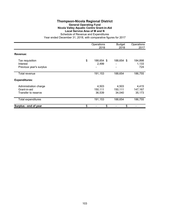### **Thompson-Nicola Regional District General Operating Fund Nicola Valley Aquatic Centre Grant-in-Aid Local Service Area of M and N** Schedule of Revenue and Expenditures

|                                                              | Operations<br>2018         | <b>Budget</b><br>2018      | Operations<br>2017         |
|--------------------------------------------------------------|----------------------------|----------------------------|----------------------------|
| Revenue:                                                     |                            |                            |                            |
| Tax requisition<br>Interest<br>Previous year's surplus       | \$<br>188,654 \$<br>2,499  | 188,654 \$                 | 184,898<br>1,133<br>724    |
| Total revenue                                                | 191,153                    | 188,654                    | 186,755                    |
| <b>Expenditures:</b>                                         |                            |                            |                            |
| Administration charge<br>Grant-in-aid<br>Transfer to reserve | 4,503<br>150,111<br>36,539 | 4,503<br>150,111<br>34,040 | 4,415<br>147,167<br>35,173 |
| Total expenditures                                           | 191,153                    | 188,654                    | 186,755                    |
| Surplus - end of year                                        | \$<br>\$                   | \$                         |                            |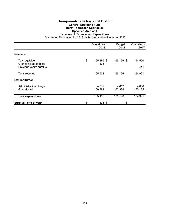## **Thompson-Nicola Regional District General Operating Fund North Thompson Sportsplex Specified Area of A**

|                                                                       | Operations<br>2018      | <b>Budget</b><br>2018 | Operations<br>2017 |
|-----------------------------------------------------------------------|-------------------------|-----------------------|--------------------|
| Revenue:                                                              |                         |                       |                    |
| Tax requisition<br>Grants in lieu of taxes<br>Previous year's surplus | \$<br>165,196 \$<br>335 | 165,196 \$            | 164,550<br>441     |
| Total revenue                                                         | 165,531                 | 165,196               | 164,991            |
| <b>Expenditures:</b>                                                  |                         |                       |                    |
| Administration charge<br>Grant-in-aid                                 | 4,812<br>160,384        | 4,812<br>160,384      | 4,806<br>160,185   |
| <b>Total expenditures</b>                                             | 165,196                 | 165,196               | 164,991            |
| Surplus - end of year                                                 | \$<br>$335$ \$          | \$                    |                    |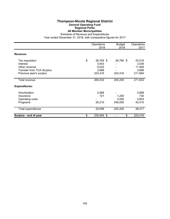## **Thompson-Nicola Regional District General Operating Fund Regional Parks All Member Municipalities**

Schedule of Revenue and Expenditures

|                                  | Operations<br>2018 | <b>Budget</b><br>2018 | Operations<br>2017 |
|----------------------------------|--------------------|-----------------------|--------------------|
| Revenue:                         |                    |                       |                    |
| Tax requisition                  | \$<br>26,784 \$    | 26,784 \$             | 43,516             |
| Interest                         | 3,643              |                       | 2,039              |
| Other revenue                    | 9,022              |                       | 11,926             |
| <b>Transfer from TCA Surplus</b> | 2,668              |                       | 2,668              |
| Previous year's surplus          | 223,416            | 223,416               | 211,684            |
| Total revenue                    | 265,533            | 250,200               | 271,833            |
| <b>Expenditures:</b>             |                    |                       |                    |
| Amortization                     | 2,668              |                       | 2,668              |
| Insurance                        | 721                | 1,200                 | 730                |
| Operating costs                  |                    | 3,000                 | 2,604              |
| Programs                         | 26,210             | 246,000               | 42,415             |
| <b>Total expenditures</b>        | 29,599             | 250,200               | 48,417             |
| Surplus - end of year            | \$<br>235,934 \$   | \$                    | 223,416            |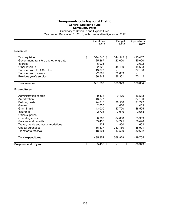#### **Thompson-Nicola Regional District General Operating Fund Community Parks**

Summary of Revenue and Expenditures Year ended December 31, 2018, with comparative figures for 2017

|                                       | Operations<br>2018 | <b>Budget</b><br>2018          | Operations<br>2017 |
|---------------------------------------|--------------------|--------------------------------|--------------------|
| Revenue:                              |                    |                                |                    |
| Tax requisition                       | \$<br>344,545 \$   | 344,545 \$                     | 413,407            |
| Government transfers and other grants | 25,267             | 22,000                         | 45,000             |
| Interest                              | 6,025              |                                | 2,692              |
| Other revenue                         | 2,325              | 45,150                         | 14,653             |
| <b>Transfer from TCA Surplus</b>      | 43,877             |                                | 37,160             |
| Transfer from reserve                 | 22,899             | 70,883                         |                    |
| Previous year's surplus               | 86,349             | 86,351                         | 73,142             |
| <b>Total revenue</b>                  | 531,287            | 568,929                        | 586,054            |
| <b>Expenditures:</b>                  |                    |                                |                    |
| Administration charge                 | 9,476              | 9,476                          | 16,588             |
| Amortization                          | 43,877             |                                | 37,160             |
| <b>Building costs</b>                 | 24,816             | 36,560                         | 21,292             |
| General                               | 2,036              | 1,000                          | 463                |
| Grant-in-aid                          | 143,000            | 147,700                        | 148,505            |
| Insurance                             | 2,726              | 2,910                          | 2,653              |
| Office supplies                       | 5                  |                                |                    |
| Operating costs                       | 60,367             | 64,008                         | 53,359             |
| Salaries and benefits                 | 53,436             | 54,775                         | 50,490             |
| Travel, meals and accommodations      | 932                | 1,850                          | 602                |
| Capital purchases                     | 136,577            | 237,150                        | 135,901            |
| Transfer to reserve                   | 18,604             | 13,500                         | 32,692             |
| <b>Total expenditures</b>             | 495,852            | 568,929                        | 499,705            |
| Surplus - end of year                 | \$<br>35,435 \$    | \$<br>$\overline{\phantom{a}}$ | 86,349             |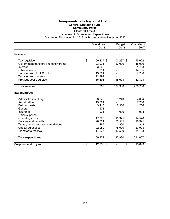## **Thompson-Nicola Regional District General Operating Fund Community Parks Electoral Area A**

Schedule of Revenue and Expenditures

|                                       | Operations<br>2018 | <b>Budget</b><br>2018 | Operations<br>2017 |
|---------------------------------------|--------------------|-----------------------|--------------------|
| Revenue:                              |                    |                       |                    |
| Tax requisition                       | \$<br>100,237 \$   | 100,237 \$            | 115,622            |
| Government transfers and other grants | 23,971             | 22,000                | 45,000             |
| Interest                              | 3,565              |                       | 1,793              |
| Other revenue                         | 1,811              |                       | 14,165             |
| <b>Transfer from TCA Surplus</b>      | 13,781             |                       | 7,786              |
| Transfer from reserve                 | 22,899             |                       |                    |
| Previous year's surplus               | 15,693             | 15,693                | 42,394             |
| <b>Total revenue</b>                  | 181,957            | 137,930               | 226,760            |
| <b>Expenditures:</b>                  |                    |                       |                    |
| Administration charge                 | 3,240              | 3,240                 | 4,654              |
| Amortization                          | 13,781             |                       | 7,786              |
| <b>Building costs</b>                 | 3,417              | 6,980                 | 4,256              |
| General                               | 1,573              |                       |                    |
| Insurance                             | 924                | 1,000                 | 903                |
| Office supplies                       | 5                  |                       |                    |
| Operating costs                       | 17,325             | 16,375                | 14,528             |
| Salaries and benefits                 | 20,024             | 20,585                | 18,921             |
| Travel, meals and accommodations      | 467                | 350                   | 318                |
| Capital purchases                     | 92,050             | 75,900                | 127,908            |
| Transfer to reserve                   | 17,065             | 13,500                | 31,793             |
| <b>Total expenditures</b>             | 169,871            | 137,930               | 211,067            |
| Surplus - end of year                 | \$<br>12,086 \$    | \$                    | 15,693             |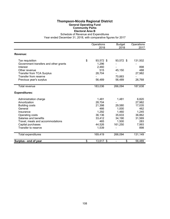## **Thompson-Nicola Regional District General Operating Fund Community Parks Electoral Area B**

Schedule of Revenue and Expenditures

|                                       | Operations      | <b>Budget</b> | Operations |
|---------------------------------------|-----------------|---------------|------------|
|                                       | 2018            | 2018          | 2017       |
| Revenue:                              |                 |               |            |
| Tax requisition                       | \$<br>93,572 \$ | 93,572 \$     | 131,502    |
| Government transfers and other grants | 1,296           |               |            |
| Interest                              | 2,460           |               | 898        |
| Other revenue                         | 515             | 45,150        | 488        |
| <b>Transfer from TCA Surplus</b>      | 28,704          |               | 27,982     |
| Transfer from reserve                 |                 | 70,883        |            |
| Previous year's surplus               | 56,489          | 56,489        | 26,768     |
| <b>Total revenue</b>                  | 183,036         | 266,094       | 187,638    |
| <b>Expenditures:</b>                  |                 |               |            |
| Administration charge                 | 1,481           | 1,481         | 6,820      |
| Amortization                          | 28,704          |               | 27,982     |
| <b>Building costs</b>                 | 21,398          | 29,580        | 17,035     |
| General                               | 466             | 1,000         | 462        |
| Insurance                             | 1,292           | 1,460         | 1,245      |
| Operating costs                       | 36,136          | 35,633        | 36,862     |
| Salaries and benefits                 | 33,412          | 34,190        | 31,569     |
| Travel, meals and accommodations      | 465             | 1,500         | 283        |
| Capital purchases                     | 44,526          | 161,250       | 7,993      |
| Transfer to reserve                   | 1,539           |               | 898        |
| <b>Total expenditures</b>             | 169,419         | 266,094       | 131,149    |
| Surplus - end of year                 | \$<br>13,617 \$ | \$            | 56,489     |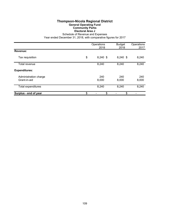### **Thompson-Nicola Regional District General Operating Fund Community Parks Electoral Area J**

Schedule of Revenue and Expenses

|                                       | Operations<br>2018 | <b>Budget</b><br>2018 | Operations<br>2017 |
|---------------------------------------|--------------------|-----------------------|--------------------|
| Revenue:                              |                    |                       |                    |
| Tax requisition                       | \$<br>8,240 \$     | 8,240 \$              | 8,240              |
| Total revenue                         | 8,240              | 8,240                 | 8,240              |
| <b>Expenditures:</b>                  |                    |                       |                    |
| Administration charge<br>Grant-in-aid | 240<br>8,000       | 240<br>8,000          | 240<br>8,000       |
| <b>Total expenditures</b>             | 8,240              | 8,240                 | 8,240              |
| Surplus - end of year                 | \$<br>\$           | \$                    |                    |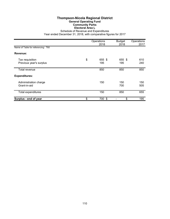# **Thompson-Nicola Regional District General Operating Fund Community Parks Electoral Area L**

Schedule of Revenue and Expenditures Year ended December 31, 2018, with comparative figures for 2017

|                                            | Operations<br>2018  | <b>Budget</b><br>2018 | Operations<br>2017 |
|--------------------------------------------|---------------------|-----------------------|--------------------|
| Name of Table for referencing: T60         |                     |                       |                    |
| Revenue:                                   |                     |                       |                    |
| Tax requisition<br>Previous year's surplus | \$<br>655 \$<br>195 | 655 \$<br>195         | 610<br>240         |
| Total revenue                              | 850                 | 850                   | 850                |
| <b>Expenditures:</b>                       |                     |                       |                    |
| Administration charge<br>Grant-in-aid      | 150                 | 150<br>700            | 150<br>505         |
| Total expenditures                         | 150                 | 850                   | 655                |
| Surplus - end of year                      | \$<br>700 \$        | \$                    | 195                |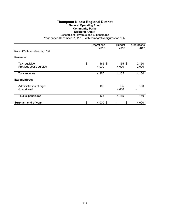# **Thompson-Nicola Regional District General Operating Fund Community Parks Electoral Area N**

Schedule of Revenue and Expenditures

|                                            | Operations<br>2018    | <b>Budget</b><br>2018 | Operations<br>2017 |
|--------------------------------------------|-----------------------|-----------------------|--------------------|
| Name of Table for referencing: S91         |                       |                       |                    |
| Revenue:                                   |                       |                       |                    |
| Tax requisition<br>Previous year's surplus | \$<br>165 \$<br>4,000 | 165 \$<br>4,000       | 2,150<br>2,000     |
| Total revenue                              | 4,165                 | 4,165                 | 4,150              |
| <b>Expenditures:</b>                       |                       |                       |                    |
| Administration charge<br>Grant-in-aid      | 165                   | 165<br>4,000          | 150                |
| Total expenditures                         | 165                   | 4,165                 | 150                |
| Surplus - end of year                      | \$<br>4,000 \$        | \$                    | 4,000              |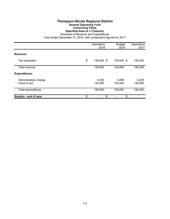## **Thompson-Nicola Regional District General Operating Fund Community Parks Specified Area of J (Tobiano)**

Schedule of Revenue and Expenditures

|                                       | Operations<br>2018 | <b>Budget</b><br>2018 | Operations<br>2017 |
|---------------------------------------|--------------------|-----------------------|--------------------|
| Revenue:                              |                    |                       |                    |
| Tax requisition                       | \$<br>139,050 \$   | 139,050 \$            | 144,200            |
| Total revenue                         | 139,050            | 139,050               | 144,200            |
| <b>Expenditures:</b>                  |                    |                       |                    |
| Administration charge<br>Grant-in-aid | 4,050<br>135,000   | 4,050<br>135,000      | 4,200<br>140,000   |
| Total expenditures                    | 139,050            | 139,050               | 144,200            |
| Surplus - end of year                 | \$<br>\$           | \$                    |                    |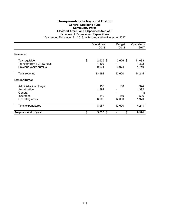# **Thompson-Nicola Regional District General Operating Fund Community Parks**

**Electoral Area O and a Specified Area of P**

Schedule of Revenue and Expenditures Year ended December 31, 2018, with comparative figures for 2017

|                                                                                  | Operations<br>2018                 | <b>Budget</b><br>2018 | Operations<br>2017                  |
|----------------------------------------------------------------------------------|------------------------------------|-----------------------|-------------------------------------|
| Revenue:                                                                         |                                    |                       |                                     |
| Tax requisition<br><b>Transfer from TCA Surplus</b><br>Previous year's surplus   | \$<br>$2,626$ \$<br>1,392<br>9,974 | $2,626$ \$<br>9,974   | 11,083<br>1,392<br>1,740            |
| Total revenue                                                                    | 13,992                             | 12,600                | 14,215                              |
| <b>Expenditures:</b>                                                             |                                    |                       |                                     |
| Administration charge<br>Amortization<br>General<br>Insurance<br>Operating costs | 150<br>1,392<br>510<br>6,905       | 150<br>450<br>12,000  | 374<br>1,392<br>(1)<br>506<br>1,970 |
| <b>Total expenditures</b>                                                        | 8,957                              | 12,600                | 4,241                               |
| Surplus - end of year                                                            | \$<br>5,035 \$                     | \$                    | 9,974                               |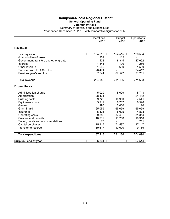#### **Thompson-Nicola Regional District General Operating Fund Community Halls** Summary of Revenue and Expenditures Year ended December 31, 2018, with comparative figures for 2017

|                                       | Operations<br>2018 | <b>Budget</b><br>2018 | Operations<br>2017 |
|---------------------------------------|--------------------|-----------------------|--------------------|
| Revenue:                              |                    |                       |                    |
| Tax requisition                       | \$<br>154,515 \$   | 154,515 \$            | 196,504            |
| Grants in lieu of taxes               | 209                | 115                   |                    |
| Government transfers and other grants | 123                | 8,314                 | 27,652             |
| Interest                              | 1,541              | 100                   | 269                |
| Other revenue                         | 1,649              | 600                   | 1,550              |
| <b>Transfer from TCA Surplus</b>      | 28,471             |                       | 24,412             |
| Previous year's surplus               | 67,544             | 67,542                | 21,251             |
| <b>Total revenue</b>                  | 254,052            | 231,186               | 271,638            |
| <b>Expenditures:</b>                  |                    |                       |                    |
| Administration charge                 | 5,029              | 5,029                 | 5,743              |
| Amortization                          | 28,471             |                       | 24,412             |
| <b>Building costs</b>                 | 9,720              | 16,950                | 7,541              |
| <b>Equipment costs</b>                | 5,912              | 6,787                 | 6,590              |
| General                               | 198                | 2,000                 | 1,120              |
| Grant-in-aid                          | 65,059             | 65,059                | 65,059             |
| Insurance                             | 5,424              | 5,025                 | 4,878              |
| Operating costs                       | 29,886             | 37,481                | 31,314             |
| Salaries and benefits                 | 10,912             | 11,258                | 10,310             |
| Travel, meals and accommodations      | 73                 |                       | 211                |
| Capital purchases                     | 15,917             | 71,597                | 37,147             |
| Transfer to reserve                   | 10,617             | 10,000                | 9,769              |
| <b>Total expenditures</b>             | 187,218            | 231,186               | 204,094            |
| Surplus - end of year                 | \$<br>66,834 \$    | \$                    | 67,544             |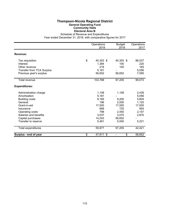### **Thompson-Nicola Regional District General Operating Fund Community Halls Electoral Area B**

Schedule of Revenue and Expenditures

|                                  | Operations<br>2018 | <b>Budget</b><br>2018 | Operations<br>2017 |
|----------------------------------|--------------------|-----------------------|--------------------|
|                                  |                    |                       |                    |
| Revenue:                         |                    |                       |                    |
| Tax requisition                  | \$<br>40,353 \$    | 40,353 \$             | 86,037             |
| Interest                         | 1,384              | 100                   | 220                |
| Other revenue                    | 218                | 100                   | 165                |
| <b>Transfer from TCA Surplus</b> | 5,181              |                       | 5,056              |
| Previous year's surplus          | 56,652             | 56,652                | 7,595              |
| <b>Total revenue</b>             | 103,788            | 97,205                | 99,073             |
| <b>Expenditures:</b>             |                    |                       |                    |
| Administration charge            | 1,108              | 1,108                 | 2,439              |
| Amortization                     | 5,181              |                       | 5,056              |
| <b>Building costs</b>            | 8,185              | 9,200                 | 5,604              |
| General                          | 196                | 2,000                 | 1,120              |
| Grant-in-aid                     | 17,000             | 17,000                | 17,000             |
| Insurance                        | 668                | 725                   | 954                |
| Operating costs                  | 798                | 2,450                 | 2,157              |
| Salaries and benefits            | 3,037              | 3,070                 | 2,870              |
| Capital purchases                | 14,243             | 56,652                |                    |
| Transfer to reserve              | 5,461              | 5,000                 | 5,221              |
| Total expenditures               | 55,877             | 97,205                | 42,421             |
| Surplus - end of year            | \$<br>47,911 \$    | \$                    | 56,652             |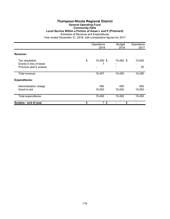#### **Thompson-Nicola Regional District General Operating Fund Community Halls Local Service Within a Portion of Areas L and P (Pritchard)** Schedule of Revenue and Expenditures

|                                                                       | Operations<br>2018 | <b>Budget</b><br>2018 | Operations<br>2017 |
|-----------------------------------------------------------------------|--------------------|-----------------------|--------------------|
| Revenue:                                                              |                    |                       |                    |
| Tax requisition<br>Grants in lieu of taxes<br>Previous year's surplus | \$<br>15,450 \$    | 15,450 \$             | 15,420<br>30       |
| Total revenue                                                         | 15,457             | 15,450                | 15,450             |
| <b>Expenditures:</b>                                                  |                    |                       |                    |
| Administration charge<br>Grant-in-aid                                 | 450<br>15,000      | 450<br>15,000         | 450<br>15,000      |
| <b>Total expenditures</b>                                             | 15,450             | 15,450                | 15,450             |
| Surplus - end of year                                                 | \$<br>7\$          | \$                    |                    |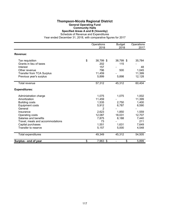#### **Thompson-Nicola Regional District General Operating Fund Community Halls Specified Areas A and B (Vavenby)**

Schedule of Revenue and Expenditures

|                                  | Operations      | <b>Budget</b> | Operations |
|----------------------------------|-----------------|---------------|------------|
|                                  | 2018            | 2018          | 2017       |
| Revenue:                         |                 |               |            |
| Tax requisition                  | \$<br>38,799 \$ | 38,799 \$     | 35,784     |
| Grants in lieu of taxes          | 202             | 115           |            |
| Interest                         | 157             |               | 48         |
| Other revenue                    | 796             | 500           | 1,045      |
| <b>Transfer from TCA Surplus</b> | 11,459          |               | 11,399     |
| Previous year's surplus          | 5,899           | 5,898         | 12,128     |
| <b>Total revenue</b>             | 57,312          | 45,312        | 60,404     |
| <b>Expenditures:</b>             |                 |               |            |
| Administration charge            | 1,075           | 1,075         | 1,002      |
| Amortization                     | 11,459          |               | 11,399     |
| <b>Building costs</b>            | 1,535           | 2,750         | 1,400      |
| <b>Equipment costs</b>           | 5,912           | 6,787         | 6,590      |
| General                          | 2               |               |            |
| Insurance                        | 2,623           | 1,850         | 1,559      |
| Operating costs                  | 12,087          | 18,031        | 12,707     |
| Salaries and benefits            | 7,875           | 8,188         | 7,440      |
| Travel, meals and accommodations | 73              |               | 211        |
| Capital purchases                | 1,551           | 1,631         | 7,649      |
| Transfer to reserve              | 5,157           | 5,000         | 4,548      |
| Total expenditures               | 49,349          | 45,312        | 54,505     |
| Surplus - end of year            | \$<br>7,963 \$  | \$            | 5,899      |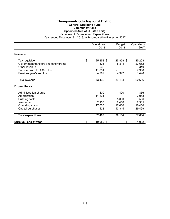#### **Thompson-Nicola Regional District General Operating Fund Community Halls Specified Area of O (Little Fort)**

Schedule of Revenue and Expenditures

|                                       | Operations<br>2018 | <b>Budget</b><br>2018 | Operations<br>2017 |
|---------------------------------------|--------------------|-----------------------|--------------------|
| Revenue:                              |                    |                       |                    |
| Tax requisition                       | \$<br>25,858 \$    | 25,858 \$             | 25,208             |
| Government transfers and other grants | 123                | 8,314                 | 27,652             |
| Other revenue                         | 635                |                       | 340                |
| <b>Transfer from TCA Surplus</b>      | 11,831             |                       | 7,958              |
| Previous year's surplus               | 4,992              | 4,992                 | 1,498              |
| Total revenue                         | 43,439             | 39,164                | 62,656             |
| <b>Expenditures:</b>                  |                    |                       |                    |
| Administration charge                 | 1,400              | 1,400                 | 856                |
| Amortization                          | 11,831             |                       | 7,958              |
| <b>Building costs</b>                 |                    | 5,000                 | 536                |
| Insurance                             | 2,133              | 2,450                 | 2,365              |
| Operating costs                       | 17,000             | 17,000                | 16,450             |
| Capital purchases                     | 123                | 13,314                | 29,499             |
| Total expenditures                    | 32,487             | 39,164                | 57,664             |
| Surplus - end of year                 | \$<br>10,952 \$    | \$                    | 4,992              |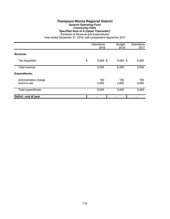# **Thompson-Nicola Regional District General Operating Fund Community Halls Specified Area of A (Upper Clearwater)**

Schedule of Revenue and Expenditures Year ended December 31, 2018, with comparative figures for 2017

|                                       | Operations<br>2018 | <b>Budget</b><br>2018 | Operations<br>2017 |
|---------------------------------------|--------------------|-----------------------|--------------------|
| Revenue:                              |                    |                       |                    |
| Tax requisition                       | \$<br>$5,000$ \$   | $5,000$ \$            | 5,000              |
| Total revenue                         | 5,000              | 5,000                 | 5,000              |
| <b>Expenditures:</b>                  |                    |                       |                    |
| Administration charge<br>Grant-in-aid | 150<br>4,850       | 150<br>4,850          | 150<br>4,850       |
| Total expenditures                    | 5,000              | 5,000                 | 5,000              |
| Deficit - end of year                 | \$<br>\$           | \$                    |                    |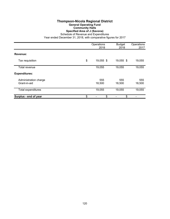## **Thompson-Nicola Regional District General Operating Fund Community Halls Specified Area of J (Savona)**

Schedule of Revenue and Expenditures

|                                       | Operations<br>2018 | <b>Budget</b><br>2018 | Operations<br>2017 |
|---------------------------------------|--------------------|-----------------------|--------------------|
| Revenue:                              |                    |                       |                    |
| Tax requisition                       | \$<br>19,055 \$    | 19,055 \$             | 19,055             |
| Total revenue                         | 19,055             | 19,055                | 19,055             |
| <b>Expenditures:</b>                  |                    |                       |                    |
| Administration charge<br>Grant-in-aid | 555<br>18,500      | 555<br>18,500         | 555<br>18,500      |
| Total expenditures                    | 19,055             | 19,055                | 19,055             |
| Surplus - end of year                 | \$<br>\$           | \$                    |                    |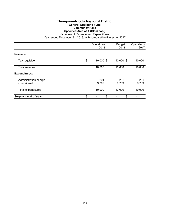#### **Thompson-Nicola Regional District General Operating Fund Community Halls Specified Area of A (Blackpool)**

Schedule of Revenue and Expenditures

|                                       | Operations<br>2018 | <b>Budget</b><br>2018 | Operations<br>2017 |
|---------------------------------------|--------------------|-----------------------|--------------------|
| Revenue:                              |                    |                       |                    |
| Tax requisition                       | \$<br>10,000 \$    | 10,000 \$             | 10,000             |
| Total revenue                         | 10,000             | 10,000                | 10,000             |
| <b>Expenditures:</b>                  |                    |                       |                    |
| Administration charge<br>Grant-in-aid | 291<br>9,709       | 291<br>9,709          | 291<br>9,709       |
| Total expenditures                    | 10,000             | 10,000                | 10,000             |
| Surplus - end of year                 | \$<br>\$           | \$                    |                    |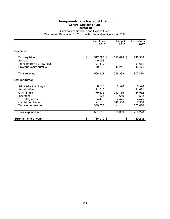#### **Thompson-Nicola Regional District General Operating Fund Recreation**

Summary of Revenue and Expenditures Year ended December 31, 2018, with comparative figures for 2017

|                                  | Operations<br>2018 | <b>Budget</b><br>2018 | Operations<br>2017 |
|----------------------------------|--------------------|-----------------------|--------------------|
| Revenue:                         |                    |                       |                    |
| Tax requisition                  | \$<br>517,098 \$   | 517,098 \$            | 742,368            |
| Interest                         | 9,053              |                       |                    |
| <b>Transfer from TCA Surplus</b> | 21,510             |                       | 21,631             |
| Previous year's surplus          | 49,242             | 49,241                | 43,471             |
| Total revenue                    | 596,903            | 566,339               | 807,470            |
| <b>Expenditures:</b>             |                    |                       |                    |
| Administration charge            | 6,578              | 6,578                 | 6,578              |
| Amortization                     | 21,510             |                       | 21,631             |
| Grant-in-aid                     | 179,172            | 212,136               | 164,952            |
| Insurance                        | 605                | 650                   | 592                |
| Operating costs                  | 4,475              | 4,475                 | 4,475              |
| Capital purchases                |                    | 342,500               | 7,950              |
| Transfer to reserve              | 349,553            |                       | 552,050            |
| Total expenditures               | 561,893            | 566,339               | 758,228            |
| Surplus - end of year            | \$<br>35,010 \$    | \$                    | 49,242             |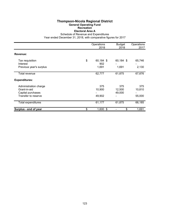## **Thompson-Nicola Regional District General Operating Fund Recreation Electoral Area A**

Schedule of Revenue and Expenditures

|                                                                                   | Operations<br>2018              | <b>Budget</b><br>2018   | Operations<br>2017      |
|-----------------------------------------------------------------------------------|---------------------------------|-------------------------|-------------------------|
| Revenue:                                                                          |                                 |                         |                         |
| Tax requisition<br>Interest<br>Previous year's surplus                            | \$<br>60,184 \$<br>902<br>1,691 | 60,184 \$<br>1,691      | 65,746<br>2,130         |
| Total revenue                                                                     | 62,777                          | 61,875                  | 67,876                  |
| <b>Expenditures:</b>                                                              |                                 |                         |                         |
| Administration charge<br>Grant-in-aid<br>Capital purchases<br>Transfer to reserve | 375<br>10,900<br>49,902         | 375<br>12,500<br>49,000 | 375<br>10,810<br>55,000 |
| Total expenditures                                                                | 61,177                          | 61,875                  | 66,185                  |
| Surplus - end of year                                                             | \$<br>$1,600$ \$                | \$                      | 1,691                   |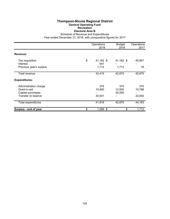## **Thompson-Nicola Regional District General Operating Fund Recreation Electoral Area B**

Schedule of Revenue and Expenditures

|                                          | Operations<br>2018     | <b>Budget</b><br>2018 | Operations<br>2017 |
|------------------------------------------|------------------------|-----------------------|--------------------|
| Revenue:                                 |                        |                       |                    |
| Tax requisition<br>Interest              | \$<br>41,162 \$<br>541 | 41,162 \$             | 45,857             |
| Previous year's surplus                  | 1,712                  | 1,713                 | 18                 |
| Total revenue                            | 43,415                 | 42,875                | 45,875             |
| <b>Expenditures:</b>                     |                        |                       |                    |
| Administration charge                    | 375                    | 375                   | 375                |
| Grant-in-aid                             | 10,900                 | 12,500                | 10,788             |
| Capital purchases<br>Transfer to reserve | 30,541                 | 30,000                | 33,000             |
| Total expenditures                       | 41,816                 | 42,875                | 44,163             |
| Surplus - end of year                    | \$<br>1,599 \$         | \$                    | 1,712              |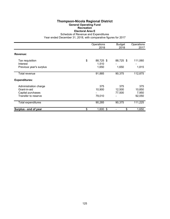## **Thompson-Nicola Regional District General Operating Fund Recreation Electoral Area E**

Schedule of Revenue and Expenditures

|                                                                                   | Operations<br>2018                | <b>Budget</b><br>2018   | Operations<br>2017               |
|-----------------------------------------------------------------------------------|-----------------------------------|-------------------------|----------------------------------|
| Revenue:                                                                          |                                   |                         |                                  |
| Tax requisition<br>Interest<br>Previous year's surplus                            | \$<br>88,725 \$<br>1,510<br>1,650 | 88,725 \$<br>1,650      | 111,060<br>1,815                 |
| Total revenue                                                                     | 91,885                            | 90,375                  | 112,875                          |
| <b>Expenditures:</b>                                                              |                                   |                         |                                  |
| Administration charge<br>Grant-in-aid<br>Capital purchases<br>Transfer to reserve | 375<br>10,900<br>79,010           | 375<br>12,500<br>77,500 | 375<br>10,850<br>7,950<br>92,050 |
| Total expenditures                                                                | 90,285                            | 90,375                  | 111,225                          |
| Surplus - end of year                                                             | \$<br>1,600 \$                    | \$                      | 1,650                            |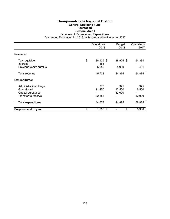## **Thompson-Nicola Regional District General Operating Fund Recreation Electoral Area I**

Schedule of Revenue and Expenditures

|                                                                                   | Operations<br>2018              | <b>Budget</b><br>2018   | Operations<br>2017     |
|-----------------------------------------------------------------------------------|---------------------------------|-------------------------|------------------------|
| Revenue:                                                                          |                                 |                         |                        |
| Tax requisition<br>Interest<br>Previous year's surplus                            | \$<br>38,925 \$<br>853<br>5,950 | 38,925 \$<br>5,950      | 64,384<br>491          |
| Total revenue                                                                     | 45,728                          | 44,875                  | 64,875                 |
| <b>Expenditures:</b>                                                              |                                 |                         |                        |
| Administration charge<br>Grant-in-aid<br>Capital purchases<br>Transfer to reserve | 375<br>11,450<br>32,853         | 375<br>12,500<br>32,000 | 375<br>6,550<br>52,000 |
| <b>Total expenditures</b>                                                         | 44,678                          | 44,875                  | 58,925                 |
| Surplus - end of year                                                             | \$<br>$1,050$ \$                | \$                      | 5,950                  |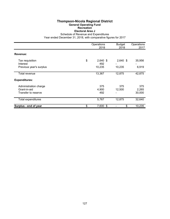## **Thompson-Nicola Regional District General Operating Fund Recreation Electoral Area J**

Schedule of Revenue and Expenditures

|                                                              | Operations<br>2018      | <b>Budget</b><br>2018 | Operations<br>2017     |
|--------------------------------------------------------------|-------------------------|-----------------------|------------------------|
| Revenue:                                                     |                         |                       |                        |
| Tax requisition<br>Interest                                  | \$<br>$2,640$ \$<br>492 | $2,640$ \$            | 35,956                 |
| Previous year's surplus                                      | 10,235                  | 10,235                | 6,919                  |
| Total revenue                                                | 13,367                  | 12,875                | 42,875                 |
| <b>Expenditures:</b>                                         |                         |                       |                        |
| Administration charge<br>Grant-in-aid<br>Transfer to reserve | 375<br>4,900<br>492     | 375<br>12,500         | 375<br>2,265<br>30,000 |
| Total expenditures                                           | 5,767                   | 12,875                | 32,640                 |
| Surplus - end of year                                        | \$<br>7,600 \$          | \$                    | 10,235                 |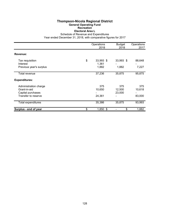## **Thompson-Nicola Regional District General Operating Fund Recreation Electoral Area L**

Schedule of Revenue and Expenditures

|                                                                                   | Operations<br>2018                | <b>Budget</b><br>2018   | Operations<br>2017      |
|-----------------------------------------------------------------------------------|-----------------------------------|-------------------------|-------------------------|
| Revenue:                                                                          |                                   |                         |                         |
| Tax requisition<br>Interest<br>Previous year's surplus                            | \$<br>33,993 \$<br>1,361<br>1,882 | 33,993 \$<br>1,882      | 88,648<br>7,227         |
| Total revenue                                                                     | 37,236                            | 35,875                  | 95,875                  |
| <b>Expenditures:</b>                                                              |                                   |                         |                         |
| Administration charge<br>Grant-in-aid<br>Capital purchases<br>Transfer to reserve | 375<br>10,650<br>24,361           | 375<br>12,500<br>23,000 | 375<br>10,618<br>83,000 |
| <b>Total expenditures</b>                                                         | 35,386                            | 35,875                  | 93,993                  |
| Surplus - end of year                                                             | \$<br>1,850 \$                    | \$                      | 1,882                   |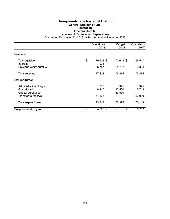#### **Thompson-Nicola Regional District General Operating Fund Recreation Electoral Area M**

Schedule of Revenue and Expenditures

|                                                                                   | Operations<br>2018                | <b>Budget</b><br>2018   | Operations<br>2017     |
|-----------------------------------------------------------------------------------|-----------------------------------|-------------------------|------------------------|
| Revenue:                                                                          |                                   |                         |                        |
| Tax requisition<br>Interest<br>Previous year's surplus                            | \$<br>70,618 \$<br>1,033<br>5,757 | 70,618 \$<br>5,757      | 66,511<br>9,364        |
| Total revenue                                                                     | 77,408                            | 76,375                  | 75,875                 |
| <b>Expenditures:</b>                                                              |                                   |                         |                        |
| Administration charge<br>Grant-in-aid<br>Capital purchases<br>Transfer to reserve | 375<br>8,440<br>64,533            | 375<br>12,500<br>63,500 | 375<br>6,743<br>63,000 |
| Total expenditures                                                                | 73,348                            | 76,375                  | 70,118                 |
| Surplus - end of year                                                             | \$<br>4,060 \$                    | \$                      | 5,757                  |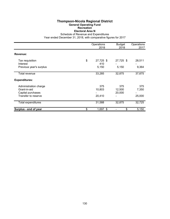## **Thompson-Nicola Regional District General Operating Fund Recreation Electoral Area N**

Schedule of Revenue and Expenditures

|                                   | Operations<br>2018     |                  | Operations<br>2017 |
|-----------------------------------|------------------------|------------------|--------------------|
| Revenue:                          |                        |                  |                    |
| Tax requisition<br>Interest       | \$<br>27,725 \$<br>410 | 27,725 \$        | 28,511             |
| Previous year's surplus           | 5,150                  | 5,150            | 9,364              |
| Total revenue                     | 33,285                 | 32,875           | 37,875             |
| <b>Expenditures:</b>              |                        |                  |                    |
| Administration charge             | 375                    | 375              | 375                |
| Grant-in-aid<br>Capital purchases | 10,803                 | 12,500<br>20,000 | 7,350              |
| Transfer to reserve               | 20,410                 |                  | 25,000             |
| <b>Total expenditures</b>         | 31,588                 | 32,875           | 32,725             |
| Surplus - end of year             | \$<br>1,697 \$         | \$               | 5,150              |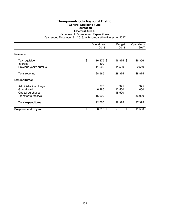## **Thompson-Nicola Regional District General Operating Fund Recreation Electoral Area O**

Schedule of Revenue and Expenditures

|                                                                                   | Operations<br>2018 | <b>Budget</b><br>2018      | Operations<br>2017      |                        |
|-----------------------------------------------------------------------------------|--------------------|----------------------------|-------------------------|------------------------|
| Revenue:                                                                          |                    |                            |                         |                        |
| Tax requisition<br>Interest<br>Previous year's surplus                            | \$                 | 16,875 \$<br>590<br>11,500 | 16,875 \$<br>11,500     | 46,356<br>2,519        |
| Total revenue                                                                     |                    | 28,965                     | 28,375                  | 48,875                 |
| <b>Expenditures:</b>                                                              |                    |                            |                         |                        |
| Administration charge<br>Grant-in-aid<br>Capital purchases<br>Transfer to reserve |                    | 375<br>6,285<br>16,090     | 375<br>12,500<br>15,500 | 375<br>1,000<br>36,000 |
| Total expenditures                                                                |                    | 22,750                     | 28,375                  | 37,375                 |
| Surplus - end of year                                                             | \$                 | $6,215$ \$                 | \$                      | 11,500                 |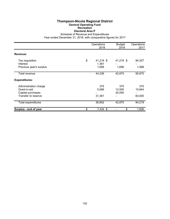## **Thompson-Nicola Regional District General Operating Fund Recreation Electoral Area P**

Schedule of Revenue and Expenditures

|                                                                                   | Operations<br>2018                | <b>Budget</b><br>2018   | Operations<br>2017      |
|-----------------------------------------------------------------------------------|-----------------------------------|-------------------------|-------------------------|
| Revenue:                                                                          |                                   |                         |                         |
| Tax requisition<br>Interest<br>Previous year's surplus                            | \$<br>41,219 \$<br>1,361<br>1,656 | 41,219 \$<br>1,656      | 94,307<br>1,568         |
| Total revenue                                                                     | 44,236                            | 42,875                  | 95,875                  |
| <b>Expenditures:</b>                                                              |                                   |                         |                         |
| Administration charge<br>Grant-in-aid<br>Capital purchases<br>Transfer to reserve | 375<br>5,066<br>31,361            | 375<br>12,500<br>30,000 | 375<br>10,844<br>83,000 |
| Total expenditures                                                                | 36,802                            | 42,875                  | 94,219                  |
| Surplus - end of year                                                             | \$<br>7,434 \$                    | \$                      | 1,656                   |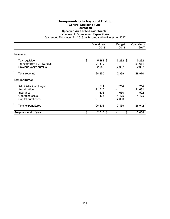#### **Thompson-Nicola Regional District General Operating Fund**

**Recreation**

**Specified Area of M (Lower Nicola)**

Schedule of Revenue and Expenditures

|                                                                                            | Operations<br>2018                  | <b>Budget</b><br>2018        | Operations<br>2017            |
|--------------------------------------------------------------------------------------------|-------------------------------------|------------------------------|-------------------------------|
| Revenue:                                                                                   |                                     |                              |                               |
| Tax requisition<br><b>Transfer from TCA Surplus</b><br>Previous year's surplus             | \$<br>$5,282$ \$<br>21,510<br>2,058 | 5,282 \$<br>2,057            | 5,282<br>21,631<br>2,057      |
| Total revenue                                                                              | 28,850                              | 7,339                        | 28,970                        |
| <b>Expenditures:</b>                                                                       |                                     |                              |                               |
| Administration charge<br>Amortization<br>Insurance<br>Operating costs<br>Capital purchases | 214<br>21,510<br>605<br>4,475       | 214<br>650<br>4,475<br>2,000 | 214<br>21,631<br>592<br>4,475 |
| <b>Total expenditures</b>                                                                  | 26,804                              | 7,339                        | 26,912                        |
| Surplus - end of year                                                                      | \$<br>2,046 \$                      | \$                           | 2,058                         |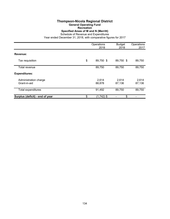# **Thompson-Nicola Regional District General Operating Fund**

**Recreation**

**Specified Areas of M and N (Merritt)**

Schedule of Revenue and Expenditures

|                                       | Operations<br>2018 |                 | <b>Budget</b><br>2018 | Operations<br>2017 |  |
|---------------------------------------|--------------------|-----------------|-----------------------|--------------------|--|
| Revenue:                              |                    |                 |                       |                    |  |
| Tax requisition                       | \$                 | 89,750 \$       | 89,750 \$             | 89,750             |  |
| Total revenue                         |                    | 89,750          | 89,750                | 89,750             |  |
| <b>Expenditures:</b>                  |                    |                 |                       |                    |  |
| Administration charge<br>Grant-in-aid |                    | 2,614<br>88,878 | 2,614<br>87,136       | 2,614<br>87,136    |  |
| Total expenditures                    |                    | 91,492          | 89,750                | 89,750             |  |
| Surplus (deficit) - end of year       | \$                 | $(1,742)$ \$    | \$                    |                    |  |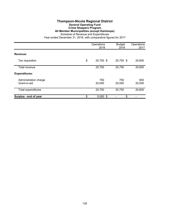#### **Thompson-Nicola Regional District General Operating Fund Crime Stoppers Program All Member Municipalities (except Kamloops)**

Schedule of Revenue and Expenditures

|                                       | Operations<br>2018 |               | Operations<br>2017 |  |
|---------------------------------------|--------------------|---------------|--------------------|--|
| Revenue:                              |                    |               |                    |  |
| Tax requisition                       | \$<br>25,750 \$    | 25,750 \$     | 20,600             |  |
| Total revenue                         | 25,750             | 25,750        | 20,600             |  |
| <b>Expenditures:</b>                  |                    |               |                    |  |
| Administration charge<br>Grant-in-aid | 750<br>20,000      | 750<br>25,000 | 600<br>20,000      |  |
| <b>Total expenditures</b>             | 20,750             | 25,750        | 20,600             |  |
| Surplus - end of year                 | \$<br>$5,000$ \$   | \$            |                    |  |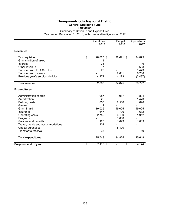# **Thompson-Nicola Regional District General Operating Fund**

**Television**

Summary of Revenue and Expenditures Year ended December 31, 2018, with comparative figures for 2017

|                                   | Operations       | <b>Budget</b> | Operations |
|-----------------------------------|------------------|---------------|------------|
|                                   | 2018             | 2018          | 2017       |
| Revenue:                          |                  |               |            |
| Tax requisition                   | \$<br>28,620 \$  | 28,621 \$     | 24,879     |
| Grants in lieu of taxes           | 4                |               |            |
| Interest                          | 33               |               | 19         |
| Other revenue                     | 7                |               | 658        |
| Transfer from TCA Surplus         | 25               |               | 1,473      |
| Transfer from reserve             |                  | 2,031         | 6,250      |
| Previous year's surplus (deficit) | 4,174            | 4,173         | (3, 487)   |
| <b>Total revenue</b>              | 32,863           | 34,825        | 29,792     |
| <b>Expenditures:</b>              |                  |               |            |
| Administration charge             | 987              | 987           | 804        |
| Amortization                      | 25               |               | 1,473      |
| <b>Building costs</b>             | 1,050            | 2,500         | 690        |
| General                           | 2                |               |            |
| Grant-in-aid                      | 19,025           | 19,025        | 19,025     |
| Insurance                         | 647              | 700           | 632        |
| Operating costs                   | 2,750            | 4,190         | 1,912      |
| Programs                          |                  | 1,000         |            |
| Salaries and benefits             | 1,125            | 1,023         | 1,063      |
| Travel, meals and accommodations  | 104              |               |            |
| Capital purchases                 |                  | 5,400         |            |
| Transfer to reserve               | 33               |               | 19         |
| <b>Total expenditures</b>         | 25,748           | 34,825        | 25,618     |
| Surplus - end of year             | \$<br>$7,115$ \$ | \$            | 4,174      |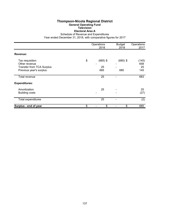#### **Thompson-Nicola Regional District General Operating Fund Television Electoral Area A**

Schedule of Revenue and Expenditures

|                                                                                                 | Operations<br>2018            | <b>Budget</b><br>2018 | Operations<br>2017        |
|-------------------------------------------------------------------------------------------------|-------------------------------|-----------------------|---------------------------|
| Revenue:                                                                                        |                               |                       |                           |
| Tax requisition<br>Other revenue<br><b>Transfer from TCA Surplus</b><br>Previous year's surplus | \$<br>$(685)$ \$<br>25<br>685 | $(685)$ \$<br>685     | (145)<br>658<br>25<br>145 |
| Total revenue                                                                                   | 25                            |                       | 683                       |
| <b>Expenditures:</b>                                                                            |                               |                       |                           |
| Amortization<br><b>Building costs</b>                                                           | 25                            |                       | 25<br>(27)                |
| Total expenditures                                                                              | 25                            |                       | (2)                       |
| Surplus - end of year                                                                           | \$<br>\$                      | \$                    | 685                       |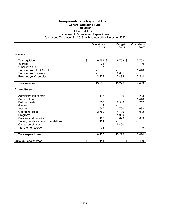#### **Thompson-Nicola Regional District General Operating Fund Television Electoral Area B**

Schedule of Revenue and Expenditures

|                                  | Operations       | <b>Budget</b> | Operations |
|----------------------------------|------------------|---------------|------------|
|                                  | 2018             | 2018          | 2017       |
| Revenue:                         |                  |               |            |
| Tax requisition                  | \$<br>$9,759$ \$ | 9,759 \$      | 5,752      |
| Interest                         | 33               |               | 19         |
| Other revenue                    | 7                |               |            |
| <b>Transfer from TCA Surplus</b> |                  |               | 1,448      |
| Transfer from reserve            |                  | 2,031         |            |
| Previous year's surplus          | 3,439            | 3,439         | 2,244      |
|                                  |                  |               |            |
| <b>Total revenue</b>             | 13,238           | 15,229        | 9,463      |
| <b>Expenditures:</b>             |                  |               |            |
| Administration charge            | 416              | 416           | 233        |
| Amortization                     |                  |               | 1,448      |
| <b>Building costs</b>            | 1,050            | 2,500         | 717        |
| General                          | 2                |               |            |
| Insurance                        | 647              | 700           | 632        |
| Operating costs                  | 2,750            | 4,190         | 1,912      |
| Programs                         |                  | 1,000         |            |
| Salaries and benefits            | 1,125            | 1,023         | 1,063      |
| Travel, meals and accommodations | 104              |               |            |
| Capital purchases                |                  | 5,400         |            |
| Transfer to reserve              | 33               |               | 19         |
| Total expenditures               | 6,127            | 15,229        | 6,024      |
| Surplus - end of year            | \$<br>7,111 \$   | \$            | 3,439      |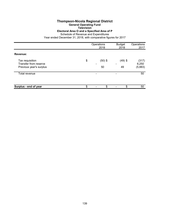# **Thompson-Nicola Regional District**

**General Operating Fund**

**Television Electoral Area O and a Specified Area of P**

Schedule of Revenue and Expenditures

|                                          | Operations<br>2018 |           | <b>Budget</b><br>2018 | Operations<br>2017 |
|------------------------------------------|--------------------|-----------|-----------------------|--------------------|
| Revenue:                                 |                    |           |                       |                    |
| Tax requisition<br>Transfer from reserve | \$                 | $(50)$ \$ | $(49)$ \$             | (317)              |
| Previous year's surplus                  |                    | 50        | 49                    | 6,250<br>(5,883)   |
| Total revenue                            |                    |           |                       | 50                 |
|                                          |                    |           |                       |                    |
| Surplus - end of year                    | \$                 | \$        | \$                    | 50                 |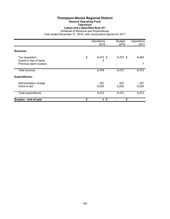# **Thompson-Nicola Regional District**

**General Operating Fund**

# **Television**

**Lytton and a Specified Area of I**

Schedule of Revenue and Expenditures Year ended December 31, 2018, with comparative figures for 2017

|                                                                       | Operations<br>2018 |                | <b>Budget</b><br>2018 | Operations<br>2017                         |
|-----------------------------------------------------------------------|--------------------|----------------|-----------------------|--------------------------------------------|
| Revenue:                                                              |                    |                |                       |                                            |
| Tax requisition<br>Grants in lieu of taxes<br>Previous year's surplus | \$                 | 8,472 \$<br>4  | 8,472 \$              | 8,465<br>$\qquad \qquad \blacksquare$<br>7 |
| Total revenue                                                         |                    | 8,476          | 8,472                 | 8,472                                      |
| <b>Expenditures:</b>                                                  |                    |                |                       |                                            |
| Administration charge<br>Grant-in-aid                                 |                    | 247<br>8,225   | 247<br>8,225          | 247<br>8,225                               |
| <b>Total expenditures</b>                                             |                    | 8,472          | 8,472                 | 8,472                                      |
| Surplus - end of year                                                 | \$                 | $4 \text{ } $$ | \$                    |                                            |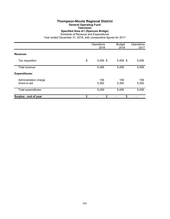#### **Thompson-Nicola Regional District General Operating Fund Television**

#### **Specified Area of I (Spences Bridge)**

Schedule of Revenue and Expenditures

|                                       | Operations<br>2018 |              | Operations<br>2017 |  |
|---------------------------------------|--------------------|--------------|--------------------|--|
| Revenue:                              |                    |              |                    |  |
| Tax requisition                       | \$<br>5,459 \$     | 5,459 \$     | 5,459              |  |
| Total revenue                         | 5,459              | 5,459        | 5,459              |  |
| <b>Expenditures:</b>                  |                    |              |                    |  |
| Administration charge<br>Grant-in-aid | 159<br>5,300       | 159<br>5,300 | 159<br>5,300       |  |
| Total expenditures                    | 5,459              | 5,459        | 5,459              |  |
| Surplus - end of year                 | \$<br>\$           | \$           |                    |  |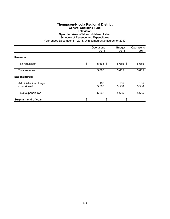### **Thompson-Nicola Regional District General Operating Fund Television Specified Area of M and J (Mamit Lake)**

Schedule of Revenue and Expenditures

|                                       | Operations<br>2018 | <b>Budget</b><br>2018 | Operations<br>2017 |
|---------------------------------------|--------------------|-----------------------|--------------------|
| Revenue:                              |                    |                       |                    |
| Tax requisition                       | \$<br>5,665 \$     | 5,665 \$              | 5,665              |
| Total revenue                         | 5,665              | 5,665                 | 5,665              |
| <b>Expenditures:</b>                  |                    |                       |                    |
| Administration charge<br>Grant-in-aid | 165<br>5,500       | 165<br>5,500          | 165<br>5,500       |
| <b>Total expenditures</b>             | 5,665              | 5,665                 | 5,665              |
| Surplus - end of year                 | \$<br>\$           | \$                    |                    |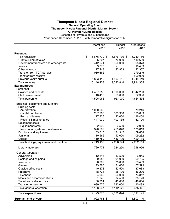## **Thompson-Nicola Regional District General Operating Fund Thompson-Nicola Regional District Library System All Member Municipalities**

|                                          | Operations         | <b>Budget</b> | Operations |
|------------------------------------------|--------------------|---------------|------------|
|                                          | 2018               | 2018          | 2017       |
| Revenue:                                 |                    |               |            |
| Tax requisition                          | \$<br>6,676,770 \$ | 6,676,770 \$  | 6,750,786  |
| Grants in lieu of taxes                  | 96,207             | 70,000        | 110,650    |
| Government transfers and other grants    | 412,671            | 350,000       | 395,378    |
| Interest                                 | 9,775              |               | 10,489     |
| Other revenue                            | 117,243            | 120,963       | 122,307    |
| <b>Transfer from TCA Surplus</b>         | 1,030,662          |               | 979,246    |
| Transfer from reserve                    |                    |               | 500,000    |
| Previous year's surplus                  | 1,803,110          | 1,803,111     | 1,045,449  |
| <b>Total revenue</b>                     | 10,146,438         | 9,020,844     | 9,914,305  |
| <b>Expenditures:</b>                     |                    |               |            |
| Personnel                                |                    |               |            |
| Salaries and benefits                    | 4,487,650          | 4,900,000     | 4,642,290  |
| Staff development                        | 18,415             | 53,000        | 22,306     |
| Total personnel                          | 4,506,065          | 4,953,000     | 4,664,596  |
| Buildings, equipment and furniture       |                    |               |            |
| <b>Building costs</b>                    |                    |               |            |
| Amortization                             | 1,030,662          |               | 979,246    |
| Capital purchases                        | 237,285            | 583,350       | 325,603    |
| Rent and leases                          | 17,326             | 20,000        | 16,464     |
| Repairs & maintenance                    | 447,039            | 402,135       | 162,720    |
| <b>Equipment costs</b>                   |                    |               |            |
| Equipment rental                         | 2,999              | 6,500         | 2,980      |
| Information systems maintenance          | 320,509            | 455,848       | 175,813    |
| Furniture and equipment                  | 133,015            | 184,342       | 59,658     |
| Janitorial                               | 110,565            | 112,000       | 109,232    |
| <b>Utilities</b>                         | 419,789            | 436,799       | 420,785    |
| Total buildings, equipment and furniture | 2,719,189          | 2,200,974     | 2,252,501  |
| Library materials                        | 729,774            | 724,250       | 718,956    |
|                                          |                    |               |            |
| <b>General Operation</b>                 |                    |               |            |
| Advertising                              | 12,813             | 13,500        | 6,045      |
| Postage and shipping                     | 99,956             | 94,000        | 90,705     |
| Insurance                                | 66,302             | 75,000        | 69,409     |
| General                                  | 73,866             | 84,000        | 67,599     |
| Outside office costs                     | 40,378             | 42,500        | 37,683     |
| Programs                                 | 38,738             | 25,120        | 36,226     |
| Telephone                                | 84,969             | 54,000        | 73,812     |
| Meals and accommodations                 | 31,046             | 34,500        | 35,120     |
| Travel and vehicle costs                 | 30,804             | 40,000        | 48,054     |
| Transfer to reserve                      | 689,775            | 680,000       | 10,489     |
| Total general operation                  | 1,168,647          | 1,142,620     | 475,142    |
| Total expenditures                       | 9,123,675          | 9,020,844     | 8,111,195  |
| Surplus - end of year                    | \$<br>1,022,763 \$ | \$            | 1,803,110  |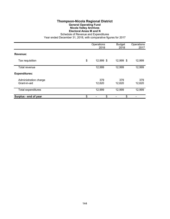# **Thompson-Nicola Regional District General Operating Fund Nicola Valley Archives Electoral Areas M and N**

Schedule of Revenue and Expenditures

|                                       | Operations<br>2018 | <b>Budget</b><br>2018 | Operations<br>2017 |
|---------------------------------------|--------------------|-----------------------|--------------------|
| Revenue:                              |                    |                       |                    |
| Tax requisition                       | \$<br>12,999 \$    | 12,999 \$             | 12,999             |
| Total revenue                         | 12,999             | 12,999                | 12,999             |
| <b>Expenditures:</b>                  |                    |                       |                    |
| Administration charge<br>Grant-in-aid | 379<br>12,620      | 379<br>12,620         | 379<br>12,620      |
| Total expenditures                    | 12,999             | 12,999                | 12,999             |
| Surplus - end of year                 | \$<br>\$           | \$                    |                    |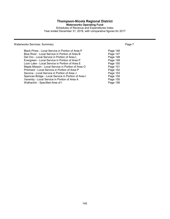# **Thompson-Nicola Regional District**

**Waterworks Operating Fund**

Schedules of Revenue and Expenditures Index Year ended December 31, 2018, with comparative figures for 2017

# Waterworks Services: Summary **Page 7** Number 2014 19:30 Number 2014

| Black Pines - Local Service in Portion of Area P    | Page 146 |
|-----------------------------------------------------|----------|
| Blue River - Local Service in Portion of Area B     | Page 147 |
| Del Oro - Local Service in Portion of Area L        | Page 148 |
| Evergreen - Local Service in Portion of Area P      | Page 149 |
| Loon Lake - Local Service in Portion of Area E      | Page 150 |
| Maple Mission - Local Service in Portion of Area O  | Page 151 |
| Pritchard - Local Service in Portion of Area P      | Page 152 |
| Savona - Local Service in Portion of Area J         | Page 153 |
| Spences Bridge - Local Service in Portion of Area I | Page 154 |
| Vavenby - Local Service in Portion of Area A        | Page 155 |
| Walhachin - Specified Area of I                     | Page 156 |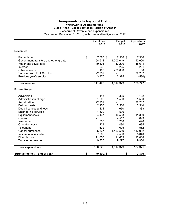## **Thompson-Nicola Regional District Waterworks Operating Fund Black Pines - Local Service in Portion of Area P**

Schedule of Revenue and Expenditures

|                                       | Operations          | <b>Budget</b> | Operations |
|---------------------------------------|---------------------|---------------|------------|
|                                       | 2018                | 2018          | 2017       |
| Revenue:                              |                     |               |            |
| Parcel taxes                          | \$<br>7,560 \$      | 7,560 \$      | 7,560      |
| Government transfers and other grants | 58,512              | 1,003,019     | 112,600    |
| Water and sewer tolls                 | 49,104              | 43,200        | 48,614     |
| Interest                              | 539                 | 225           | 221        |
| Other revenue                         | 100                 | 460,000       | 50         |
| <b>Transfer from TCA Surplus</b>      | 22,232              |               | 22,232     |
| Previous year's surplus               | 3,376               | 3,375         | (530)      |
| Total revenue                         | 141,423             | 1,517,379     | 190,747    |
|                                       |                     |               |            |
| <b>Expenditures:</b>                  |                     |               |            |
| Advertising                           | 145                 | 305           | 102        |
| Administration charge                 | 1,500               | 1,500         | 1,500      |
| Amortization                          | 22,232              |               | 22,232     |
| <b>Building costs</b>                 | 2,158               | 2,500         | 2,514      |
| Dues, licences and fees               | 431                 | 660           | 333        |
| <b>Engineering services</b>           | 1,500               | 1,500         |            |
| <b>Equipment costs</b>                | 4,147               | 10,533        | 11,390     |
| General                               |                     | 4,517         | 693        |
| Insurance                             | 1,538               | 1,750         | 1,490      |
| Operating costs                       | 1,423               | 1,480         | 1,635      |
| Telephone                             | 632                 | 605           | 582        |
| Capital purchases                     | 85,867              | 1,463,519     | 117,902    |
| Indirect administration               | 7,560               | 7,560         | 5,040      |
| Direct labour                         | 11,653              | 11,653        | 12,008     |
| Transfer to reserve                   | 9,836               | 9,297         | 9,950      |
| Total expenditures                    | 150,622             | 1,517,379     | 187,371    |
| Surplus (deficit) - end of year       | \$<br>$(9, 199)$ \$ | \$            | 3,376      |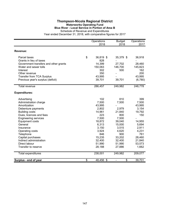## **Thompson-Nicola Regional District Waterworks Operating Fund Blue River - Local Service in Portion of Area B**

Schedule of Revenue and Expenditures

|                                       | Operations      | <b>Budget</b> | Operations |
|---------------------------------------|-----------------|---------------|------------|
|                                       | 2018            | 2018          | 2017       |
| Revenue:                              |                 |               |            |
|                                       |                 |               |            |
| Parcel taxes                          | \$<br>36,819 \$ | 35,379 \$     | 36,918     |
| Grants in lieu of taxes               | 828             |               |            |
| Government transfers and other grants | 14,399          | 27,702        | 28,460     |
| Water and sewer tolls                 | 150,063         | 146,700       | 145,823    |
| Interest                              | 302             | 500           | 162        |
| Other revenue                         | 350             |               | 200        |
| <b>Transfer from TCA Surplus</b>      | 43,995          |               | 43,995     |
| Previous year's surplus (deficit)     | 39,701          | 39,701        | (6,780)    |
| Total revenue                         | 286,457         | 249,982       | 248,778    |
|                                       |                 |               |            |
| <b>Expenditures:</b>                  |                 |               |            |
| Advertising                           | 102             | 810           | 399        |
| Administration charge                 | 7,500           | 7,500         | 7,500      |
| Amortization                          | 43,995          |               | 43,995     |
| Debenture payments                    | 2,802           | 2,979         | 3,154      |
| <b>Building costs</b>                 | 14,961          | 21,840        | 19,792     |
| Dues, licences and fees               | 223             | 800           | 150        |
| <b>Engineering services</b>           | 7,500           | 7,500         |            |
| <b>Equipment costs</b>                | 18,872          | 39,040        | 14,955     |
| General                               | 6,313           | 15,000        | 5,694      |
| Insurance                             | 3,150           | 3,515         | 2,911      |
| Operating costs                       | 3,924           | 4,620         | 4,231      |
| Telephone                             | 846             | 900           | 761        |
| Capital purchases                     | 15,235          | 33,202        | 28,460     |
| Indirect administration               | 32,400          | 32,400        | 21,840     |
| Direct labour                         | 51,990          | 51,990        | 53,573     |
| Transfer to reserve                   | 28,188          | 27,886        | 1,662      |
| <b>Total expenditures</b>             | 238,001         | 249,982       | 209,077    |
|                                       |                 |               |            |
| Surplus - end of year                 | \$<br>48,456 \$ | \$            | 39,701     |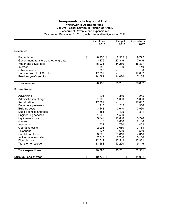## **Thompson-Nicola Regional District Waterworks Operating Fund Del Oro - Local Service in Portion of Area L**

|                                       | Operations<br>2018 | <b>Budget</b><br>2018          | Operations<br>2017 |
|---------------------------------------|--------------------|--------------------------------|--------------------|
| Revenue:                              |                    |                                |                    |
| Parcel taxes                          | \$<br>8,955 \$     | 8,955 \$                       | 9,792              |
| Government transfers and other grants | 3,476              | 27,816                         | 7,016              |
| Water and sewer tolls                 | 45,901             | 44,280                         | 45,377             |
| Interest                              | 388                | 150                            | 140                |
| Other revenue                         | 300                |                                | 100                |
| <b>Transfer from TCA Surplus</b>      | 17,082             |                                | 17,082             |
| Previous year's surplus               | 14,081             | 14,080                         | 7,155              |
| <b>Total revenue</b>                  | 90,183             | 95,281                         | 86,662             |
| <b>Expenditures:</b>                  |                    |                                |                    |
| Advertising                           | 294                | 350                            | 245                |
| Administration charge                 | 1,000              | 1,000                          | 1,000              |
| Amortization                          | 17,082             |                                | 17,082             |
| Debenture payments                    | 1,215              | 1,215                          | 1,986              |
| <b>Building costs</b>                 | 3,143              | 3,640                          | 3,960              |
| Dues, licences and fees               | 381                | 405                            | 311                |
| <b>Engineering services</b>           | 1,500              | 1,500                          |                    |
| <b>Equipment costs</b>                | 3,842              | 10,000                         | 5,778              |
| General                               | 16                 | 7,816                          | 2,180              |
| Insurance                             | 1,521              | 1,730                          | 1,462              |
| Operating costs                       | 2,095              | 3,660                          | 3,764              |
| Telephone                             | 627                | 660                            | 560                |
| Capital purchases                     | 3,800              | 29,816                         | 7,016              |
| Indirect administration               | 7,740              | 7,740                          | 5,160              |
| Direct labour                         | 12,549             | 12,549                         | 12,931             |
| Transfer to reserve                   | 13,588             | 13,200                         | 9,146              |
| Total expenditures                    | 70,393             | 95,281                         | 72,581             |
| Surplus - end of year                 | \$<br>19,790 \$    | \$<br>$\overline{\phantom{0}}$ | 14,081             |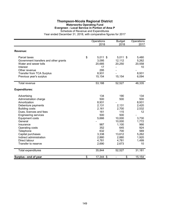### **Thompson-Nicola Regional District Waterworks Operating Fund Evergreen - Local Service in Portion of Area P**

Schedule of Revenue and Expenditures

|                                       | Operations<br>2018 | <b>Budget</b><br>2018 | Operations<br>2017 |
|---------------------------------------|--------------------|-----------------------|--------------------|
| Revenue:                              |                    |                       |                    |
| Parcel taxes                          | \$<br>$5,011$ \$   | $5,011$ \$            | 5,480              |
| Government transfers and other grants | 3,095              | 12,112                | 5,262              |
| Water and sewer tolls                 | 20,685             | 20,250                | 20,558             |
| Interest                              | 17                 |                       | 10                 |
| Other revenue                         | 295                |                       |                    |
| <b>Transfer from TCA Surplus</b>      | 8,931              |                       | 8,931              |
| Previous year's surplus               | 15,154             | 15,154                | 6,094              |
| Total revenue                         | 53,188             | 52,527                | 46,335             |
| <b>Expenditures:</b>                  |                    |                       |                    |
| Advertising                           | 134                | 190                   | 134                |
| Administration charge                 | 500                | 500                   | 500                |
| Amortization                          | 8,931              |                       | 8,931              |
| Debenture payments                    | 2,131              | 2,131                 | 2,420              |
| <b>Building costs</b>                 | 2,161              | 2,700                 | 2,532              |
| Dues, licences and fees               | 161                | 115                   | 12                 |
| <b>Engineering services</b>           | 500                | 500                   |                    |
| <b>Equipment costs</b>                | 5,666              | 10,000                | 3,730              |
| General                               |                    | 10,000                | 1,772              |
| Insurance                             | 987                | 1,100                 | 966                |
| Operating costs                       | 352                | 645                   | 924                |
| Telephone                             | 632                | 700                   | 569                |
| Capital purchases                     | 3,338              | 13,612                | 5,262              |
| Indirect administration               | 2,880              | 2,880                 | 1,920              |
| Direct labour                         | 4,781              | 4,781                 | 1,499              |
| Transfer to reserve                   | 2,690              | 2,673                 | 10                 |
| <b>Total expenditures</b>             | 35,844             | 52,527                | 31,181             |
| Surplus - end of year                 | \$<br>17,344 \$    | \$                    | 15,154             |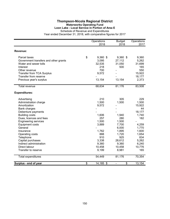# **Thompson-Nicola Regional District Waterworks Operating Fund**

**Loon Lake - Local Service in Portion of Area E** Schedule of Revenue and Expenditures

|                                       |                 | Operations<br>2018       | <b>Budget</b><br>2018 | Operations<br>2017 |
|---------------------------------------|-----------------|--------------------------|-----------------------|--------------------|
| Revenue:                              |                 |                          |                       |                    |
| Parcel taxes                          | \$              | $9,360$ \$               | $9,360$ \$            | 9,360              |
| Government transfers and other grants |                 | 3,095                    | 27,112                | 5,262              |
| Water and sewer tolls                 |                 | 32,535                   | 31,050                | 31,699             |
| Interest                              |                 | 218                      | 500                   | 165                |
| Other revenue                         |                 | 700                      |                       | 550                |
| <b>Transfer from TCA Surplus</b>      |                 | 9,572                    |                       | 15,922             |
| Transfer from reserve                 |                 |                          |                       | 18,177             |
| Previous year's surplus               |                 | 13,154                   | 13,154                | 2,373              |
| <b>Total revenue</b>                  |                 | 68,634                   | 81,176                | 83,508             |
| <b>Expenditures:</b>                  |                 |                          |                       |                    |
| Advertising                           |                 | 210                      | 305                   | 229                |
| Administration charge                 |                 | 1,500                    | 1,500                 | 1,500              |
| Amortization                          |                 | 9,572                    |                       | 15,922             |
| Bank charges                          |                 |                          |                       | 44                 |
| Debenture payments                    |                 |                          |                       | 18,177             |
| <b>Building costs</b>                 |                 | 1,606                    | 1,940                 | 1,740              |
| Dues, licences and fees               |                 | 257                      | 280                   | 182                |
| <b>Engineering services</b>           |                 | 1,500                    | 1,500                 |                    |
| <b>Equipment costs</b>                |                 | 3,889                    | 7,700                 | 4,259              |
| General                               |                 |                          | 6,000                 | 1,770              |
| Insurance                             |                 | 1,762                    | 1,895                 | 1,600              |
| Operating costs                       |                 | 888                      | 1,720                 | 1,654              |
| Telephone                             |                 | 910                      | 925                   | 834                |
| Capital purchases                     |                 | 3,338                    | 28,612                | 5,262              |
| Indirect administration               |                 | 9,360                    | 9,360                 | 6,240              |
| Direct labour                         |                 | 10,458                   | 10,458                | 10,776             |
| Transfer to reserve                   |                 | 9,199                    | 8,981                 | 165                |
| Total expenditures                    |                 | 54,449                   | 81,176                | 70,354             |
| Surplus - end of year                 | $\overline{\$}$ | $\overline{14}$ , 185 \$ | \$                    | 13,154             |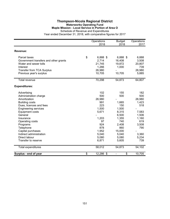# **Thompson-Nicola Regional District Waterworks Operating Fund Maple Mission - Local Service in Portion of Area O**

Schedule of Revenue and Expenditures

|                                       | Operations<br>2018 | <b>Budget</b><br>2018 | Operations<br>2017 |
|---------------------------------------|--------------------|-----------------------|--------------------|
| Revenue:                              |                    |                       |                    |
| Parcel taxes                          | \$<br>6,888 \$     | 6,888 \$              | 6,888              |
| Government transfers and other grants | 2,714              | 16,408                | 3,508              |
| Water and sewer tolls                 | 21,745             | 19,872                | 20,807             |
| Interest                              | 1,266              | 1,000                 | 739                |
| <b>Transfer from TCA Surplus</b>      | 26,980             |                       | 26,980             |
| Previous year's surplus               | 10,705             | 10,705                | 5,885              |
| <b>Total revenue</b>                  | 70,298             | 54,873                | 64,807             |
| <b>Expenditures:</b>                  |                    |                       |                    |
| Advertising                           | 102                | 155                   | 182                |
| Administration charge                 | 500                | 500                   | 500                |
| Amortization                          | 26,980             |                       | 26,980             |
| <b>Building costs</b>                 | 991                | 1,665                 | 1,423              |
| Dues, licences and fees               | 223                | 150                   | 518                |
| <b>Engineering services</b>           | 1,500              | 1,500                 |                    |
| Equipment costs                       | 5,671              | 8,315                 | 7,583              |
| General                               |                    | 6,500                 | 1,506              |
| Insurance                             | 1,203              | 1,355                 | 1,160              |
| Operating costs                       | 97                 | 740                   | 619                |
| Programs                              | 924                | 2,408                 | 3,508              |
| Telephone                             | 878                | 860                   | 790                |
| Capital purchases                     | 1,952              | 15,000                |                    |
| Indirect administration               | 5,040              | 5,040                 | 3,360              |
| Direct labour                         | 5,080              | 5,080                 | 5,234              |
| Transfer to reserve                   | 6,871              | 5,605                 | 739                |
| Total expenditures                    | 58,012             | 54,873                | 54,102             |
| Surplus - end of year                 | \$<br>12,286 \$    | \$                    | 10,705             |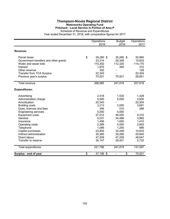### **Thompson-Nicola Regional District Waterworks Operating Fund Pritchard - Local Service in Portion of Area P**

Schedule of Revenue and Expenditures

|                                       | Operations<br>2018 | <b>Budget</b><br>2018 | Operations<br>2017 |
|---------------------------------------|--------------------|-----------------------|--------------------|
| Revenue:                              |                    |                       |                    |
| Parcel taxes                          | \$<br>35,280 \$    | 35,280 \$             | 30,960             |
| Government transfers and other grants | 23,314             | 29,348                | 10,833             |
| Water and sewer tolls                 | 115,302            | 112,320               | 114,170            |
| Interest                              | 1,875              | 350                   | 372                |
| Other revenue                         | 350                |                       | 128                |
| <b>Transfer from TCA Surplus</b>      | 22,343             |                       | 22,304             |
| Previous year's surplus               | 70,521             | 70,521                | 28,851             |
| <b>Total revenue</b>                  | 268,985            | 247,819               | 207,618            |
| <b>Expenditures:</b>                  |                    |                       |                    |
| Advertising                           | 2,518              | 1,530                 | 1,428              |
| Administration charge                 | 5,000              | 5,000                 | 5,000              |
| Amortization                          | 22,343             |                       | 22,304             |
| <b>Building costs</b>                 | 3,213              | 3,555                 | 3,691              |
| Dues, licences and fees               | 394                | 510                   | 288                |
| <b>Engineering services</b>           | 5,000              | 5,000                 |                    |
| <b>Equipment costs</b>                | 37,012             | 46,000                | 9,310              |
| General                               | 5,031              | 34,466                | 3,982              |
| Insurance                             | 1,456              | 1,650                 | 1,410              |
| Operating costs                       | 2,289              | 4,550                 | 2,853              |
| Telephone                             | 1,089              | 1,200                 | 989                |
| Capital purchases                     | 23,805             | 32,448                | 10,833             |
| Indirect administration               | 35,280             | 35,280                | 20,640             |
| Direct labour                         | 47,209             | 47,209                | 48,647             |
| Transfer to reserve                   | 30,147             | 29,421                | 5,722              |
| <b>Total expenditures</b>             | 221,786            | 247,819               | 137,097            |
| Surplus - end of year                 | \$<br>47,199 \$    | \$                    | 70,521             |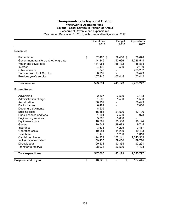## **Thompson-Nicola Regional District Waterworks Operating Fund Savona - Local Service in Portion of Area J**

|                                       | Operations<br>2018 | <b>Budget</b><br>2018 | Operations<br>2017       |
|---------------------------------------|--------------------|-----------------------|--------------------------|
| Revenue:                              |                    |                       |                          |
| Parcel taxes                          | \$<br>62,460 \$    | 59,400 \$             | 78,678                   |
| Government transfers and other grants | 144,845            | 110,696               | 1,086,514                |
| Water and sewer tolls                 | 184,954            | 165,132               | 188,833                  |
| Interest                              | 4,190              | 500                   | 2,130                    |
| Other revenue                         | 848                |                       | 723,232                  |
| <b>Transfer from TCA Surplus</b>      | 88,952             |                       | 50,443                   |
| Previous year's surplus               | 107,445            | 107,445               | 73,412                   |
| Total revenue                         | 593,694            | 443,173               | 2,203,242                |
| <b>Expenditures:</b>                  |                    |                       |                          |
| Advertising                           | 2,307              | 2,500                 | 3,193                    |
| Administration charge                 | 1,500              | 1,500                 | 1,500                    |
| Amortization                          | 88,952             |                       | 50,443                   |
| Bank charges                          | 6,482              |                       | 7,050                    |
| Debenture payments                    | 8,509              |                       |                          |
| <b>Building costs</b>                 | 15,883             | 21,500                | 17,796                   |
| Dues, licences and fees               | 1,004              | 2,500                 | 973                      |
| <b>Engineering services</b>           | 5,000              | 5,000                 | $\overline{\phantom{0}}$ |
| <b>Equipment costs</b>                | 18,592             | 25,500                | 10,194                   |
| General                               | 10,741             | 39,673                | 9,745                    |
| Insurance                             | 3,631              | 4,205                 | 3,467                    |
| Operating costs                       | 10,084             | 11,200                | 10,483                   |
| Telephone                             | 1,179              | 1,200                 | 1,010                    |
| Capital purchases                     | 194,929            | 152,141               | 1,845,509                |
| Indirect administration               | 59,400             | 59,400                | 39,720                   |
| Direct labour                         | 90,534             | 90,354                | 93,291                   |
| Transfer to reserve                   | 28,938             | 26,500                | 1,423                    |
| <b>Total expenditures</b>             | 547,665            | 443,173               | 2,095,797                |
| Surplus - end of year                 | \$<br>46,029 \$    | \$                    | 107,445                  |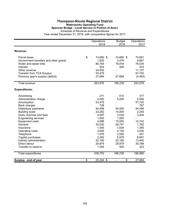### **Thompson-Nicola Regional District Waterworks Operating Fund Spences Bridge - Local Service in Portion of Area I** Schedule of Revenue and Expenditures

|                                       | Operations<br>2018 | <b>Budget</b><br>2018 | Operations<br>2017 |
|---------------------------------------|--------------------|-----------------------|--------------------|
| Revenue:                              |                    |                       |                    |
| Parcel taxes                          | \$<br>74,660 \$    | 74,660 \$             | 74,691             |
| Government transfers and other grants | 1,905              | 3,479                 | 8,667              |
| Water and sewer tolls                 | 80,764             | 79,916                | 76,534             |
| Interest                              | 554                | 500                   | 323                |
| Other revenue                         | 24,930             |                       | 11,137             |
| <b>Transfer from TCA Surplus</b>      | 53,479             |                       | 57,720             |
| Previous year's surplus (deficit)     | 27,684             | 27,684                | (4, 493)           |
| Total revenue                         | 263,976            | 186,239               | 224,579            |
| <b>Expenditures:</b>                  |                    |                       |                    |
| Advertising                           | 271                | 610                   | 377                |
| Administration charge                 | 5,000              | 5,000                 | 5,000              |
| Amortization                          | 53,479             |                       | 57,720             |
| Bank charges                          | 728                |                       | 767                |
| Debenture payments                    | 54,498             | 54,500                | 54,498             |
| <b>Building costs</b>                 | 23,262             | 15,000                | 2,240              |
| Dues, licences and fees               | 4,597              | 3,030                 | 3,404              |
| <b>Engineering services</b>           | 1,500              | 1,500                 |                    |
| <b>Equipment costs</b>                | 4,988              | 15,000                | 12,742             |
| General                               | 30,000             | 26,747                | 1,762              |
| Insurance                             | 1,540              | 1,634                 | 1,385              |
| Operating costs                       | 3,935              | 4,150                 | 3,530              |
| Telephone                             | 1,579              | 2,550                 | 251                |
| Capital purchases                     | 2,282              | 5,979                 | 8,667              |
| Indirect administration               | 20,160             | 20,160                | 13,440             |
| Direct labour                         | 29,879             | 29,879                | 30,789             |
| Transfer to reserve                   | 1,054              | 500                   | 323                |
| Total expenditures                    | 238,752            | 186,239               | 196,895            |
| Surplus - end of year                 | \$<br>25,224 \$    | \$                    | 27,684             |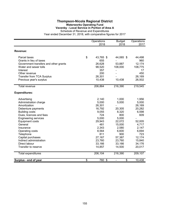### **Thompson-Nicola Regional District Waterworks Operating Fund Vavenby - Local Service in Portion of Area A**

Schedule of Revenue and Expenditures

|                                       | Operations<br>2018 | <b>Budget</b><br>2018 | Operations<br>2017 |
|---------------------------------------|--------------------|-----------------------|--------------------|
| Revenue:                              |                    |                       |                    |
| Parcel taxes                          | \$<br>43,765 \$    | 44,065 \$             | 44,498             |
| Grants in lieu of taxes               | 655                |                       | 960                |
| Government transfers and other grants | 26,628             | 53,887                | 12,174             |
| Water and sewer tolls                 | 98,520             | 108,000               | 108,775            |
| Interest                              | 357                |                       | 17                 |
| Other revenue                         | 200                |                       | 450                |
| <b>Transfer from TCA Surplus</b>      | 26,301             |                       | 26,169             |
| Previous year's surplus               | 10,438             | 10,438                | 26,502             |
| <b>Total revenue</b>                  | 206,864            | 216,390               | 219,545            |
| <b>Expenditures:</b>                  |                    |                       |                    |
| Advertising                           | 2,140              | 1,000                 | 1,956              |
| Administration charge                 | 5,000              | 5,000                 | 5,000              |
| Amortization                          | 26,301             |                       | 26,169             |
| Debenture payments                    | 16,792             | 20,305                | 20,282             |
| <b>Building costs</b>                 | 9,055              | 8,320                 | 6,598              |
| Dues, licences and fees               | 724                | 800                   | 609                |
| <b>Engineering services</b>           | 5,000              | 5,000                 |                    |
| <b>Equipment costs</b>                | 29,943             | 22,072                | 52,005             |
| General                               | 481                | 15,000                | 4,717              |
| Insurance                             | 2,343              | 2,580                 | 2,147              |
| Operating costs                       | 8,564              | 6,600                 | 6,694              |
| Telephone                             | 811                | 900                   | 723                |
| Capital purchases                     | 27,167             | 57,387                | 12,174             |
| Indirect administration               | 23,760             | 23,760                | 15,840             |
| Direct labour                         | 33,166             | 33,166                | 34,176             |
| Transfer to reserve                   | 14,857             | 14,500                | 20,017             |
| Total expenditures                    | 206,104            | 216,390               | 209,107            |
| Surplus - end of year                 | \$<br>760 \$       | \$                    | 10,438             |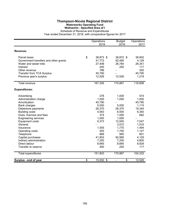## **Thompson-Nicola Regional District Waterworks Operating Fund Walhachin - Specified Area of I**

|                                       | Operations<br>2018 | <b>Budget</b><br>2018 | Operations<br>2017 |
|---------------------------------------|--------------------|-----------------------|--------------------|
| Revenue:                              |                    |                       |                    |
| Parcel taxes                          | \$<br>38,873 \$    | 38,872 \$             | 38,902             |
| Government transfers and other grants | 41,772             | 92,485                | 4,129              |
| Water and sewer tolls                 | 27,408             | 26,784                | 26,351             |
| Interest                              | 200                | 200                   | 117                |
| Other revenue                         | 786                |                       | 350                |
| <b>Transfer from TCA Surplus</b>      | 45,790             |                       | 45,790             |
| Previous year's surplus               | 12,526             | 12,526                | 1,219              |
| <b>Total revenue</b>                  | 167,355            | 170,867               | 116,858            |
| <b>Expenditures:</b>                  |                    |                       |                    |
| Advertising                           | 278                | 1,000                 | 574                |
| Administration charge                 | 1,000              | 1,000                 | 1,000              |
| Amortization                          | 45,790             |                       | 45,790             |
| Bank charges                          | 5,000              | 5,000                 | 1,115              |
| Debenture payments                    | 26,370             | 26,370                | 19,344             |
| <b>Building costs</b>                 | 4,563              | 6,505                 | 6,350              |
| Dues, licences and fees               | 374                | 1,000                 | 682                |
| <b>Engineering services</b>           | 1,000              | 1,000                 |                    |
| <b>Equipment costs</b>                | 6,373              | 12,000                | 7,047              |
| General                               |                    | 3,572                 | 1,033              |
| Insurance                             | 1,555              | 1,770                 | 1,494              |
| Operating costs                       | 493                | 1,700                 | 1,127              |
| Telephone                             | 889                | 900                   | 801                |
| Capital purchases                     | 41,853             | 92,985                | 4,129              |
| Indirect administration               | 7,200              | 7,200                 | 4,800              |
| Direct labour                         | 8,665              | 8,665                 | 8,929              |
| Transfer to reserve                   | 400                | 200                   | 117                |
| Total expenditures                    | 151,803            | 170,867               | 104,332            |
| Surplus - end of year                 | \$<br>15,552 \$    | \$                    | 12,526             |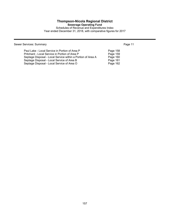# **Thompson-Nicola Regional District**

**Sewerage Operating Fund**

Schedules of Revenue and Expenditures Index Year ended December 31, 2018, with comparative figures for 2017

Sewer Services: Summary **Page 11** 

| Paul Lake - Local Service in Portion of Area P              | Page 158 |
|-------------------------------------------------------------|----------|
| Pritchard - Local Service in Portion of Area P              | Page 159 |
| Septage Disposal - Local Service within a Portion of Area A | Page 160 |
| Septage Disposal - Local Service of Area B                  | Page 161 |
| Septage Disposal - Local Service of Area O                  | Page 162 |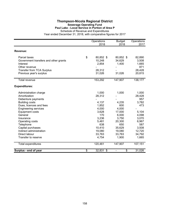### **Thompson-Nicola Regional District Sewerage Operating Fund Paul Lake - Local Service in Portion of Area P**

Schedule of Revenue and Expenditures

|                                                                                                                                                                                                                                                                                                                          | Operations<br>2018                                                                                                         | <b>Budget</b><br>2018                                                                                              | Operations<br>2017                                                                                                      |
|--------------------------------------------------------------------------------------------------------------------------------------------------------------------------------------------------------------------------------------------------------------------------------------------------------------------------|----------------------------------------------------------------------------------------------------------------------------|--------------------------------------------------------------------------------------------------------------------|-------------------------------------------------------------------------------------------------------------------------|
| Revenue:                                                                                                                                                                                                                                                                                                                 |                                                                                                                            |                                                                                                                    |                                                                                                                         |
| Parcel taxes<br>Government transfers and other grants<br>Interest<br>Other revenue<br><b>Transfer from TCA Surplus</b><br>Previous year's surplus                                                                                                                                                                        | \$<br>80,852 \$<br>10,248<br>2,854<br>28,312<br>31,026                                                                     | 80,852 \$<br>34,629<br>1,400<br>31,026                                                                             | 82,890<br>3,508<br>1,665<br>871<br>28,428<br>20,815                                                                     |
| Total revenue                                                                                                                                                                                                                                                                                                            | 153,292                                                                                                                    | 147,907                                                                                                            | 138,177                                                                                                                 |
| <b>Expenditures:</b>                                                                                                                                                                                                                                                                                                     |                                                                                                                            |                                                                                                                    |                                                                                                                         |
| Administration charge<br>Amortization<br>Debenture payments<br><b>Building costs</b><br>Dues, licences and fees<br><b>Engineering services</b><br><b>Equipment costs</b><br>General<br>Insurance<br>Operating costs<br>Telephone<br>Capital purchases<br>Indirect administration<br>Direct labour<br>Transfer to reserve | 1,000<br>28,312<br>4,137<br>1,852<br>4,000<br>3,628<br>170<br>3,236<br>5,481<br>638<br>10,410<br>19,080<br>33,763<br>4,754 | 1,000<br>4,235<br>600<br>4,000<br>17,000<br>6,000<br>3,750<br>20,300<br>650<br>35,629<br>19,080<br>33,763<br>1,900 | 1,000<br>28,428<br>957<br>3,782<br>473<br>5,104<br>4,098<br>3,070<br>6,967<br>587<br>3,508<br>12,720<br>34,792<br>1,665 |
| Total expenditures                                                                                                                                                                                                                                                                                                       | 120,461                                                                                                                    | 147,907                                                                                                            | 107,151                                                                                                                 |
| Surplus - end of year                                                                                                                                                                                                                                                                                                    | \$<br>32,831 \$                                                                                                            | \$                                                                                                                 | 31,026                                                                                                                  |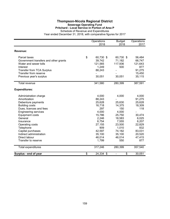### **Thompson-Nicola Regional District Sewerage Operating Fund Pritchard - Local Service in Portion of Area P**

Schedule of Revenue and Expenditures

|                                       | Operations<br>2018 | <b>Budget</b><br>2018 | Operations<br>2017 |
|---------------------------------------|--------------------|-----------------------|--------------------|
|                                       |                    |                       |                    |
| Revenue:                              |                    |                       |                    |
| Parcel taxes                          | \$<br>60,730 \$    | 60,730 \$             | 56,484             |
| Government transfers and other grants | 39,742             | 71,182                | 66,747             |
| Water and sewer tolls                 | 121,565            | 117,936               | 121,643            |
| Interest                              | 1,249              | 500                   | 877                |
| <b>Transfer from TCA Surplus</b>      | 88,243             |                       | 91,275             |
| Transfer from reserve                 |                    |                       | 15,450             |
| Previous year's surplus               | 30,051             | 30,051                | 35,115             |
| <b>Total revenue</b>                  | 341,580            | 280,399               | 387,591            |
|                                       |                    |                       |                    |
| <b>Expenditures:</b>                  |                    |                       |                    |
| Administration charge                 | 4,000              | 4,000                 | 4,000              |
| Amortization                          | 88,243             |                       | 91,275             |
| Debenture payments                    | 25,628             | 25,630                | 25,628             |
| <b>Building costs</b>                 | 16,718             | 14,375                | 18,309             |
| Dues, licences and fees               | 297                | 150                   | 118                |
| <b>Engineering services</b>           | 4,000              | 4,000                 |                    |
| <b>Equipment costs</b>                | 15,786             | 25,750                | 30,474             |
| General                               | 2,246              | 18,583                | 6,025              |
| Insurance                             | 6,754              | 7,555                 | 6,207              |
| Operating costs                       | 27,155             | 23,500                | 22,829             |
| Telephone                             | 909                | 1,010                 | 832                |
| Capital purchases                     | 42,597             | 74,182                | 83,031             |
| Indirect administration               | 35,100             | 35,100                | 20,520             |
| Direct labour                         | 46,014             | 46,014                | 47,415             |
| Transfer to reserve                   | 1,799              | 550                   | 877                |
| Total expenditures                    | 317,246            | 280,399               | 357,540            |
| Surplus - end of year                 | \$<br>24,334 \$    | \$                    | 30,051             |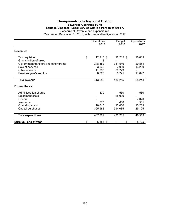## **Thompson-Nicola Regional District Sewerage Operating Fund Septage Disposal - Local Service within a Portion of Area A** Schedule of Revenue and Expenditures

|                                       | Operations<br>2018 | <b>Budget</b><br>2018 | Operations<br>2017 |
|---------------------------------------|--------------------|-----------------------|--------------------|
| Revenue:                              |                    |                       |                    |
| Tax requisition                       | \$<br>$12,215$ \$  | $12,215$ \$           | 10,033             |
| Grants in lieu of taxes               | 8                  |                       |                    |
| Government transfers and other grants | 348,582            | 381,546               | 20,854             |
| Sale of services                      | 3,060              | 7,000                 | 13,260             |
| Other revenue                         | 41,090             | 20,729                |                    |
| Previous year's surplus               | 8,725              | 8,725                 | 11,097             |
| Total revenue                         | 413,680            | 430,215               | 55,244             |
| <b>Expenditures:</b>                  |                    |                       |                    |
| Administration charge                 | 530                | 530                   | 530                |
| Equipment costs                       |                    | 25,000                |                    |
| General                               |                    |                       | 7,020              |
| Insurance                             | 570                | 600                   | 561                |
| Operating costs                       | 10,640             | 10,000                | 13,283             |
| Capital purchases                     | 395,582            | 394,085               | 25,125             |
| Total expenditures                    | 407,322            | 430,215               | 46,519             |
| Surplus - end of year                 | \$<br>6,358 \$     | \$                    | 8,725              |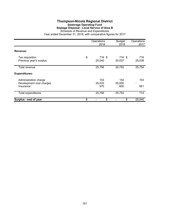# **Thompson-Nicola Regional District Sewerage Operating Fund Septage Disposal - Local Service of Area B**

|                                                                | Operations<br>2018     | <b>Budget</b><br>2018 | Operations<br>2017                         |
|----------------------------------------------------------------|------------------------|-----------------------|--------------------------------------------|
| Revenue:                                                       |                        |                       |                                            |
| Tax requisition<br>Previous year's surplus                     | \$<br>716 \$<br>25,040 | 716 \$<br>25,037      | 716<br>25,038                              |
| Total revenue                                                  | 25,756                 | 25,753                | 25,754                                     |
| <b>Expenditures:</b>                                           |                        |                       |                                            |
| Administration charge<br>Development cost charges<br>Insurance | 153<br>25,033<br>570   | 153<br>25,000<br>600  | 153<br>$\qquad \qquad \blacksquare$<br>561 |
| Total expenditures                                             | 25,756                 | 25,753                | 714                                        |
| Surplus - end of year                                          | \$<br>\$               | \$                    | 25,040                                     |